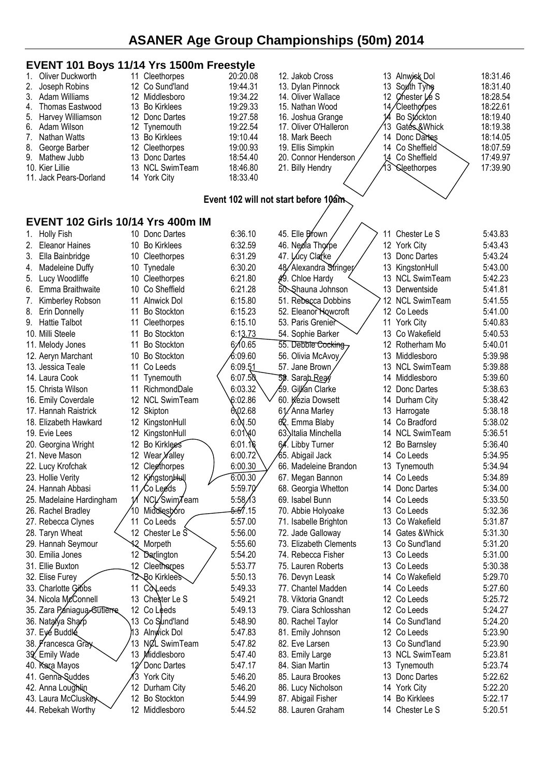#### **EVENT 101 Boys 11/14 Yrs 1500m Freestyle**<br>1. Oliver Duckworth 11 Cleethorpes 20:20.08 1. Oliver Duckworth 11 Cleethorpes 20:20.08<br>2. Joseph Robins 12 Co Sund'land 19:44.31 2. Joseph Robins 12 Co Sund'land 19:44.31<br>3. Adam Williams 12 Middlesboro 19:34.22 3. Adam Williams 12 Middlesboro 19:34.22<br>13 Bo Kirklees 19:29.33 Thomas Eastwood 5. Harvey Williamson 12 Donc Dartes 19:27.58 6. Adam Wilson 12 Tynemouth 19:22.54 7. Nathan Watts 13 Bo Kirklees 8. George Barber 12 Cleethorpes 19:00.93 9. Mathew Jubb 13 Donc Dartes 18:54.40 10. Kier Lillie 13 NCL SwimTeam 18:46.80 11. Jack Pears-Dorland 14 York City 18:33.40 12. Jakob Cross 13 Alnwick Dol 18:31.46<br>13. Dylan Pinnock 13 South Tyne 18:31.40 13. Dylan Pinnock 13 South Tyne 18:31.40<br>14. Oliver Wallace 12 Chester Le S 18:28.54 14. Oliver Wallace 12 Chester Le S 18:28.54<br>15. Nathan Wood 14/Cleethornes 18:22.61 14/Cleethorpes 16. Joshua Grange 14 Bo Stockton 18:19.40 17. Oliver O'Halleron (13 Gates & Whick 18:19.38<br>18. Mark Beech (14 Donc Dartes 18:14.05) 14 Donc Dartes 19. Ellis Simpkin / 14 Co Sheffield 18:07.59 20. Connor Henderson  $/$  14 Co Sheffield  $\sim$  17:49.97 21. Billy Hendry  $\sqrt{3}$  Cleethorpes  $\sqrt{13/39.90}$ **Event 102 will not start before 10am EVENT 102 Girls 10/14 Yrs 400m IM** 1. Holly Fish 10 Donc Dartes 6:36.10 2. Eleanor Haines 10 Bo Kirklees 6:32.59 3. Ella Bainbridge 10 Cleethorpes 6:31.29 4. Madeleine Duffy 10 Tynedale 6:30.20 5. Lucy Woodliffe 10 Cleethorpes 6:21.80 6. Emma Braithwaite 10 Co Sheffield 6:21.28 7. Kimberley Robson 11 Alnwick Dol 6:15.80 8. Erin Donnelly 11 Bo Stockton 6:15.23 9. Hattie Talbot 11 Cleethorpes 6:15.10 10. Milli Steele 11 Bo Stockton 6:13.73 11. Melody Jones 11 Bo Stockton 6:10.65 12. Aeryn Marchant 10 Bo Stockton 6:09.60 13. Jessica Teale 11 Co Leeds / 6:09.51 14. Laura Cook 11 Tynemouth (6:07.50 15. Christa Wilson 11 RichmondDale \ 6:03.32 16. Emily Coverdale 12 NCL SwimTeam 6:02.86 17. Hannah Raistrick 12 Skipton 6:02.68 18. Elizabeth Hawkard 12 KingstonHull 6:001.50 19. Evie Lees 12 KingstonHull 6:01.40 20. Georgina Wright 12 Bo Kirklees 6:01.16 21. Neve Mason 12 Wear  $\chi$  alley 10.00.72 22. Lucy Krofchak 12 Cleethorpes 7 6:00.30 23. Hollie Verity 12 Kingston Hull 6:00.30 24. Hannah Abbasi 11 Co Leeds 7 5:59.70<br>25. Madelaine Hardingham 11 NCL/Swim Team 5:58 13 25. Madelaine Hardingham 11 NCL Swim Team 5:58/13<br>26. Rachel Bradlev 10 Middlesboro 5:57.15 26. Rachel Bradley /10 Middlesboro 27. Rebecca Clynes  $\frac{1}{11}$  Co Leeds  $\frac{1}{11}$  Co 1.57.00 28. Taryn Wheat  $\leftarrow$  12 Chester Le  $\sim$  5:56.00 29. Hannah Seymour 12 Morpeth 5:55.60 30. Emilia Jones 12 Darlington 5:54.20 31. Ellie Buxton 12 Cleethorpes / 5:53.77 32. Elise Furey 12 Bo Kirklees 7 5:50.13 33. Charlotte Gibbs 11 Co Leeds 5:49.33 34. Nicola McConnell 13 Chester Le S 5:49.21 35. Zara Paniagua-Gutierre 12 Co Leeds 5:49.13 36. Natalya Sharp 13 Co Sund'land 5:48.90 37. Eve Buddle 13 Alnwick Dol 5:47.83 Francesca Gray /13 NCL SwimTeam 5:47.82 39. Emily Wade 13 Middlesboro 5:47.40 40. Kara Mayos 12 Donc Dartes 5:47.17 41. Genna Suddes 13 York City 5:46.20 42. Anna Loughlin / 12 Durham City 5:46.20 43. Laura McCluskey / 12 Bo Stockton 5:44.99 44. Rebekah Worthy 12 Middlesboro 5:44.52 45. Elle Brown  $\angle$   $\rightarrow$  11 Chester Le S 5:43.83 46. Neola Thorpe  $\begin{array}{ccc} \end{array}$  12 York City 5:43.43 47. Lucy Clarke  $\frac{1}{13}$  Donc Dartes 5:43.24 48/Alexandra Stringer 13 KingstonHull 5:43.00  $\frac{1}{2}$ . Chloe Hardy  $\leq$  13 NCL SwimTeam 5:42.23 50. Shauna Johnson 13 Derwentside 5:41.81 51. Rebecca Dobbins 712 NCL SwimTeam 5:41.55 52. Eleanor Howcroft / 12 Co Leeds 5:41.00 53. Paris Grenier 7 11 York City 5:40.83 54. Sophie Barker 13 Co Wakefield 5:40.53 55. Debbie Cocking 7 12 Rotherham Mo 5:40.01 56. Olivia McAvoy / 13 Middlesboro 5:39.98 57. Jane Brown / 13 NCL SwimTeam 5:39.88 58. Sarah Reay 14 Middlesboro 5:39.60 59. Gillian Clarke 12 Donc Dartes 5:38.63 60. Kezia Dowsett 14 Durham City 5:38.42 61. Anna Marley 13 Harrogate 5:38.18 62. Emma Blaby 14 Co Bradford 5:38.02 63. Italia Minchella 14 NCL SwimTeam 5:36.51 64. Libby Turner 12 Bo Barnsley 5:36.40 65. Abigail Jack 14 Co Leeds 5:34.95 66. Madeleine Brandon 13 Tynemouth 5:34.94 67. Megan Bannon 14 Co Leeds 5:34.89 68. Georgia Whetton 14 Donc Dartes 5:34.00 69. Isabel Bunn 14 Co Leeds 5:33.50 70. Abbie Holyoake 13 Co Leeds 5:32.36 71. Isabelle Brighton 13 Co Wakefield 5:31.87 72. Jade Galloway 14 Gates &Whick 5:31.30 73. Elizabeth Clements 13 Co Sund'land 5:31.20 74. Rebecca Fisher 13 Co Leeds 5:31.00 75. Lauren Roberts 13 Co Leeds 5:30.38 76. Devyn Leask 14 Co Wakefield 5:29.70 77. Chantel Madden 14 Co Leeds 5:27.60 78. Viktoria Gnandt 12 Co Leeds 5:25.72 79. Ciara Schlosshan 12 Co Leeds 5:24.27 80. Rachel Taylor 14 Co Sund'land 5:24.20 81. Emily Johnson 12 Co Leeds 5:23.90 82. Eve Larsen 13 Co Sund'land 5:23.90 83. Emily Large 13 NCL SwimTeam 5:23.81 84. Sian Martin 13 Tynemouth 5:23.74 85. Laura Brookes 13 Donc Dartes 5:22.62 86. Lucy Nicholson 14 York City 5:22.20 87. Abigail Fisher 14 Bo Kirklees 5:22.17 88. Lauren Graham 14 Chester Le S 5:20.51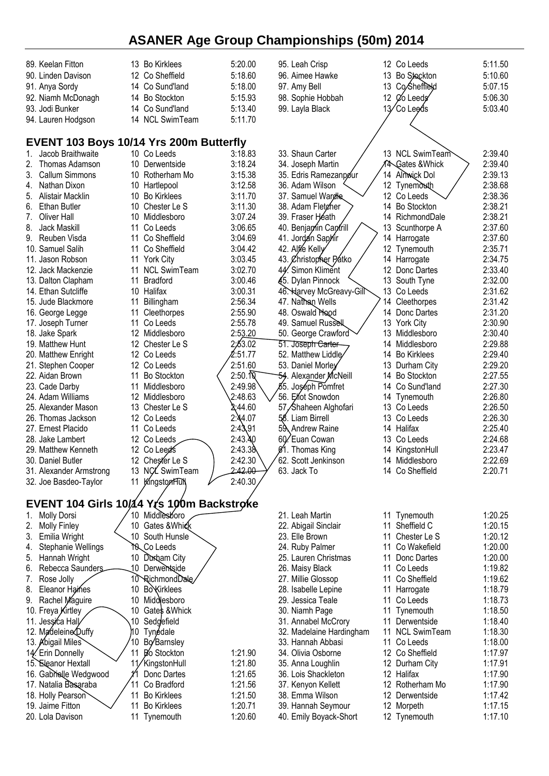| 89. Keelan Fitton                              | 13 Bo Kirklees                 | 5:20.00                      | 95. Leah Crisp                                | 12 Co Leeds                  | 5:11.50 |
|------------------------------------------------|--------------------------------|------------------------------|-----------------------------------------------|------------------------------|---------|
| 90. Linden Davison                             | 12 Co Sheffield                | 5:18.60                      | 96. Aimee Hawke                               | <b>Bo Stockton</b><br>13     | 5:10.60 |
|                                                |                                |                              |                                               | 13 Co/Sheffreld              |         |
| 91. Anya Sordy                                 | 14 Co Sund'land                | 5:18.00                      | 97. Amy Bell                                  |                              | 5:07.15 |
| 92. Niamh McDonagh                             | 14 Bo Stockton                 | 5:15.93                      | 98. Sophie Hobbah                             | 12 Ø Leeds                   | 5:06.30 |
| 93. Jodi Bunker                                | 14 Co Sund'land                | 5:13.40                      | 99. Layla Black                               | 13/Co Leeds                  | 5:03.40 |
| 94. Lauren Hodgson                             | <b>NCL SwimTeam</b><br>14      | 5:11.70                      |                                               |                              |         |
|                                                |                                |                              |                                               |                              |         |
| EVENT 103 Boys 10/14 Yrs 200m Butterfly        |                                |                              |                                               |                              |         |
| Jacob Braithwaite<br>1.                        | 10 Co Leeds                    | 3:18.83                      | 33. Shaun Carter                              | 13 NCL SwimTeam              | 2:39.40 |
| Thomas Adamson                                 | 10 Derwentside                 | 3:18.24                      | 34. Joseph Martin                             | A <sup>A</sup> Gates & Whick | 2:39.40 |
| <b>Callum Simmons</b><br>3.                    | 10 Rotherham Mo                | 3:15.38                      | 35. Edris Ramezanpour                         | Almwick Dol<br>14            | 2:39.13 |
| Nathan Dixon<br>4.                             | 10 Hartlepool                  | 3:12.58                      | 36. Adam Wilson                               | 12 Tynemouth                 | 2:38.68 |
| 5.<br>Alistair Macklin                         | 10<br><b>Bo Kirklees</b>       | 3:11.70                      | 37. Samuel Wardle                             | 12 Co Leeds                  | 2:38.36 |
| <b>Ethan Butler</b><br>6.                      | Chester Le S<br>10             | 3:11.30                      | 38. Adam Fletcher                             | 14<br><b>Bo Stockton</b>     | 2:38.21 |
| <b>Oliver Hall</b><br>7.                       | 10 Middlesboro                 | 3:07.24                      | 39. Fraser Héath                              | 14 RichmondDale              | 2:38.21 |
| 8.<br><b>Jack Maskill</b>                      | Co Leeds<br>11                 | 3:06.65                      | 40. Benjamin Cantrill                         | 13<br>Scunthorpe A           | 2:37.60 |
| 9.<br>Reuben Visda                             | Co Sheffield<br>11             | 3:04.69                      | 41. Jordan Saphir                             | 14<br>Harrogate              | 2:37.60 |
| 10. Samuel Salih                               | Co Sheffield<br>11             | 3:04.42                      | 42. Alfre Kelly                               | 12 Tynemouth                 | 2:35.71 |
| 11. Jason Robson                               | <b>York City</b><br>11         | 3:03.45                      | 43. Øhristopher Patko                         | 14 Harrogate                 | 2:34.75 |
| 12. Jack Mackenzie                             | <b>NCL SwimTeam</b><br>11      | 3:02.70                      | 44. Simon Kliment                             | 12<br>Donc Dartes            | 2:33.40 |
| 13. Dalton Clapham                             | <b>Bradford</b><br>11          | 3:00.46                      | 45. Dylan Pinnock                             | 13<br>South Tyne             | 2:32.00 |
| 14. Ethan Sutcliffe                            | 10 Halifax                     | 3:00.31                      | 46. Harvey McGreavy-Gill                      | 13<br>Co Leeds               | 2:31.62 |
| 15. Jude Blackmore                             | 11<br>Billingham               | 2:56.34                      | 47. Nathan Wells                              | 14<br>Cleethorpes            | 2:31.42 |
| 16. George Legge                               | Cleethorpes<br>11              | 2:55.90                      | 48. Oswald Hood                               | 14<br>Donc Dartes            | 2:31.20 |
| 17. Joseph Turner                              | Co Leeds<br>11                 | 2:55.78                      | 49. Samuel Russell                            | 13 York City                 | 2:30.90 |
| 18. Jake Spark                                 | Middlesboro<br>12              | 2:53.20                      | 50. George Crawford                           | 13<br>Middlesboro            | 2:30.40 |
| 19. Matthew Hunt                               | 12 Chester Le S                | 2:63.02                      | 51. Joseph Carter                             | 14 Middlesboro               | 2:29.88 |
| 20. Matthew Enright                            | 12 Co Leeds                    | 2:51.77                      | 52. Matthew Liddle                            | 14 Bo Kirklees               | 2:29.40 |
| 21. Stephen Cooper                             | 12 Co Leeds                    | 2:51.60                      | 53. Daniel Morley                             | 13<br>Durham City            | 2:29.20 |
| 22. Aidan Brown                                | <b>Bo Stockton</b><br>11       | $2:50.\overline{\mathbb{Q}}$ | 54. Alexander McNeill                         | <b>Bo Stockton</b><br>14     | 2:27.55 |
| 23. Cade Darby                                 | Middlesboro<br>11              | 2:49.98                      | 55. Joséph Pomfret                            | Co Sund'land<br>14           | 2:27.30 |
| 24. Adam Williams                              | 12<br>Middlesboro              | 2:48.63                      | 56. Elfot Snowdon                             | 14<br>Tynemouth              | 2:26.80 |
| 25. Alexander Mason                            | 13 Chester Le S                | ል:44.60                      | 57, Shaheen Alghofari                         | Co Leeds<br>13               | 2:26.50 |
| 26. Thomas Jackson                             | 12 Co Leeds                    | 2:44.07                      | 58. Liam Birrell                              | 13<br>Co Leeds               | 2:26.30 |
| 27. Ernest Placido                             | 11 Co Leeds                    | 2:43,91                      | 59 Andrew Raine                               | Halifax<br>14                | 2:25.40 |
| 28. Jake Lambert                               | 12 Co Leeds                    | 2:43.40                      | 60. Euan Cowan                                | 13<br>Co Leeds               | 2:24.68 |
| 29. Matthew Kenneth                            | 12 Co Leed's                   | 2:43.38                      | Ø1. Thomas King                               | KingstonHull<br>14           | 2:23.47 |
| 30. Daniel Butler                              | 12 Chester Le S                | 2:42.30                      | 62. Scott Jenkinson                           | 14 Middlesboro               | 2:22.69 |
| 31. Alexander Armstrong                        | 13 NCL SwimTeam                | 2:42.00                      | 63. Jack To                                   | 14 Co Sheffield              | 2:20.71 |
| 32. Joe Basdeo-Taylor                          | KingstonHu<br>11               | 2:40.30                      |                                               |                              |         |
| EVENT 104 Girls 10/14 Yrs 100m Backstroke      |                                |                              |                                               |                              |         |
| <b>Molly Dorsi</b><br>1.                       | 10 Middlesboro                 |                              | 21. Leah Martin                               | Tynemouth<br>11              | 1:20.25 |
| <b>Molly Finley</b><br>2.                      | Gates &Whick<br>10             |                              | 22. Abigail Sinclair                          | Sheffield C<br>11            | 1:20.15 |
| Emilia Wright<br>3.                            | 10 South Hunsle                |                              | 23. Elle Brown                                | 11<br>Chester Le S           | 1:20.12 |
| Stephanie Wellings<br>4.                       | TO Leeds                       |                              | 24. Ruby Palmer                               | Co Wakefield<br>11           | 1:20.00 |
| Hannah Wright<br>5.                            | 10 Durkam City                 |                              | 25. Lauren Christmas                          | Donc Dartes<br>11            | 1:20.00 |
| Rebecca Saunders.<br>6.                        | 10 Derwentside                 |                              | 26. Maisy Black                               | 11<br>Co Leeds               | 1:19.82 |
| Rose Jolly<br>7.                               | 10 RichmondDale                |                              | 27. Millie Glossop                            | Co Sheffield<br>11           | 1:19.62 |
| 8.<br>Eleanor Haines                           | <b>BoKirklees</b><br>10        |                              | 28. Isabelle Lepine                           | 11<br>Harrogate              | 1:18.79 |
| Rachel Maguire<br>9.                           | 10<br>Middlesboro              |                              | 29. Jessica Teale                             | 11<br>Co Leeds               | 1:18.73 |
| 10. Freya Kirtley                              | Gates & Whick<br>10            |                              | 30. Niamh Page                                | Tynemouth<br>11              | 1:18.50 |
| 11. Jessica Hall                               | 10<br>Sedgefield               |                              | 31. Annabel McCrory                           | Derwentside<br>11            | 1:18.40 |
|                                                |                                |                              |                                               | <b>NCL SwimTeam</b><br>11    | 1:18.30 |
| 12. Madeleine Duffy<br>13. Abigail Miles       | 10<br>Tynédale<br>Bo Barnsley  |                              | 32. Madelaine Hardingham<br>33. Hannah Abbasi | Co Leeds<br>11               | 1:18.00 |
|                                                | 10<br>11<br><b>Bo</b> Stockton | 1:21.90                      | 34. Olivia Osborne                            | 12 Co Sheffield              | 1:17.97 |
| 14. Erin Donnelly                              | 11/KingstonHull                | 1:21.80                      |                                               | 12                           | 1:17.91 |
| 15. Eleanor Hextall                            |                                | 1:21.65                      | 35. Anna Loughlin<br>36. Lois Shackleton      | Durham City<br>12 Halifax    | 1:17.90 |
| 16. Gabrielle Wedgwood<br>17. Natalia Basaraba | Donc Dartes<br>Co Bradford     | 1:21.56                      |                                               | 12 Rotherham Mo              | 1:17.90 |
| 18. Holly Pearson                              | <b>Bo Kirklees</b><br>11       | 1:21.50                      | 37. Kenyon Kellett<br>38. Emma Wilson         | 12 Derwentside               | 1:17.42 |
| 19. Jaime Fitton                               | <b>Bo Kirklees</b><br>11       | 1:20.71                      | 39. Hannah Seymour                            | 12 Morpeth                   | 1:17.15 |
| 20. Lola Davison                               | 11 Tynemouth                   | 1:20.60                      | 40. Emily Boyack-Short                        |                              | 1:17.10 |
|                                                |                                |                              |                                               | 12 Tynemouth                 |         |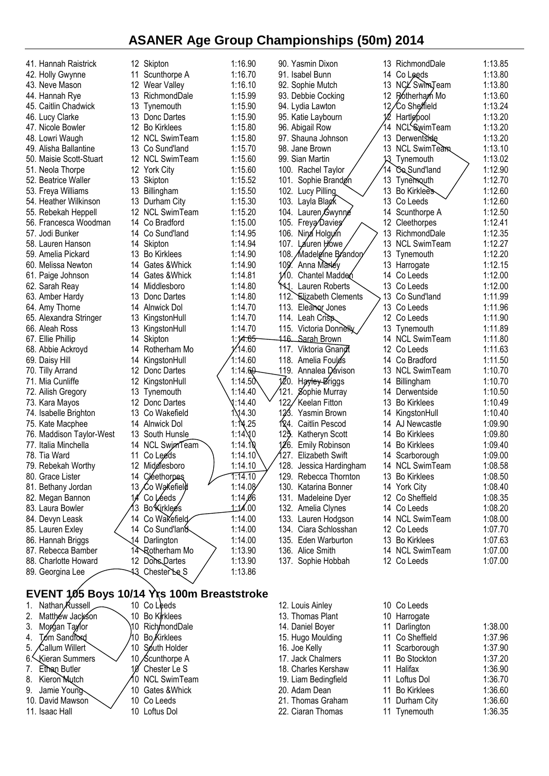| 41. Hannah Raistrick                       |                 | 12 Skipton          | 1:16.90         |          | 90. Yasmin Dixon               |     | 13 RichmondDale     | 1:13.85 |
|--------------------------------------------|-----------------|---------------------|-----------------|----------|--------------------------------|-----|---------------------|---------|
| 42. Holly Gwynne                           | 11              | Scunthorpe A        | 1:16.70         |          | 91. Isabel Bunn                | 14  | Co Leeds            | 1:13.80 |
| 43. Neve Mason                             | 12              | Wear Valley         | 1:16.10         |          | 92. Sophie Mutch               | 13  | NCL Swim Team       | 1:13.80 |
| 44. Hannah Rye                             | 13              | RichmondDale        | 1:15.99         |          | 93. Debbie Cocking             | 12  | Rotherham Mo        | 1:13.60 |
| 45. Caitlin Chadwick                       | 13              | Tynemouth           | 1:15.90         |          | 94. Lydia Lawton               | 12, | ∕Co She⁄ffield      | 1:13.24 |
| 46. Lucy Clarke                            |                 | 13 Donc Dartes      | 1:15.90         |          | 95. Katie Laybourn             |     | Hartlepool          | 1:13.20 |
| 47. Nicole Bowler                          | 12              | <b>Bo Kirklees</b>  | 1:15.80         |          |                                | 14  | NCLSwimTeam         | 1:13.20 |
|                                            |                 |                     |                 |          | 96. Abigail Row                |     |                     |         |
| 48. Lowri Waugh                            | 12              | <b>NCL SwimTeam</b> | 1:15.80         |          | 97. Shauna Johnson             | 13  | Derwentside         | 1:13.20 |
| 49. Alisha Ballantine                      |                 | 13 Co Sund'land     | 1:15.70         |          | 98. Jane Brown                 | 13  | <b>NCL SwimTeam</b> | 1:13.10 |
| 50. Maisie Scott-Stuart                    |                 | 12 NCL SwimTeam     | 1:15.60         |          | 99. Sian Martin                | 13  | Tynemouth           | 1:13.02 |
| 51. Neola Thorpe                           |                 | 12 York City        | 1:15.60         |          | 100. Rachel Taylor             | 14  | Co Sund'land        | 1:12.90 |
| 52. Beatrice Waller                        |                 | 13 Skipton          | 1:15.52         |          | 101. Sophie Brandon            | 13  | Tynemouth           | 1:12.70 |
| 53. Freya Williams                         |                 | 13 Billingham       | 1:15.50         |          | 102. Lucy Pilling              | 13  | <b>Bo Kirklees</b>  | 1:12.60 |
| 54. Heather Wilkinson                      | 13              | Durham City         | 1:15.30         |          | 103. Layla Blagk               | 13. | Co Leeds            | 1:12.60 |
| 55. Rebekah Heppell                        |                 | 12 NCL SwimTeam     | 1:15.20         |          | 104. Lauren Gwynne             | 14  | Scunthorpe A        | 1:12.50 |
| 56. Francesca Woodman                      |                 | 14 Co Bradford      | 1:15.00         |          | 105. Freya Davies              | 12  | Cleethorpes         | 1:12.41 |
| 57. Jodi Bunker                            |                 | 14 Co Sund'land     | 1:14.95         |          | 106. Ning Holguin              | 13  | RichmondDale        | 1:12.35 |
|                                            |                 |                     |                 |          |                                |     |                     |         |
| 58. Lauren Hanson                          | 14              | Skipton             | 1:14.94         |          | 107.<br>Lauren Howe            | 13  | <b>NCL SwimTeam</b> | 1:12.27 |
| 59. Amelia Pickard                         | 13              | <b>Bo Kirklees</b>  | 1:14.90         |          | 108. Madeleine Brandor         | 13  | Tynemouth           | 1:12.20 |
| 60. Melissa Newton                         |                 | 14 Gates & Whick    | 1:14.90         | 109.     | Anna Marley                    | 13  | Harrogate           | 1:12.15 |
| 61. Paige Johnson                          |                 | 14 Gates & Whick    | 1:14.81         | $1/10$ . | Chantel Madden                 | 14  | Co Leeds            | 1:12.00 |
| 62. Sarah Reay                             |                 | 14 Middlesboro      | 1:14.80         |          | THJ.<br>Lauren Roberts         | 13  | Co Leeds            | 1:12.00 |
| 63. Amber Hardy                            | 13.             | Donc Dartes         | 1:14.80         |          | 112. Elizabeth Clements        | 13  | Co Sund'land        | 1:11.99 |
| 64. Amy Thorne                             |                 | 14 Alnwick Dol      | 1:14.70         |          | 113. Eleanor Jones             | 13  | Co Leeds            | 1:11.96 |
| 65. Alexandra Stringer                     | 13              | KingstonHull        | 1:14.70         |          | 114. Leah Crisp                |     | 12 Co Leeds         | 1:11.90 |
| 66. Aleah Ross                             | 13              | KingstonHull        | 1:14.70         |          | 115. Victoria Donnelly         | 13. | Tynemouth           | 1:11.89 |
| 67. Ellie Phillip                          | 14              | Skipton             | 1:14.65         |          | 446. Sarah Brown               | 14  | <b>NCL SwimTeam</b> | 1:11.80 |
|                                            | 14              |                     | 1/14.60         |          | 117. Viktoria Gnangt           | 12  | Co Leeds            | 1:11.63 |
| 68. Abbie Ackroyd                          |                 | Rotherham Mo        |                 |          |                                |     |                     |         |
| 69. Daisy Hill                             | 14              | KingstonHull        | 1:14.60         |          | 118. Amelia Foulds             | 14  | Co Bradford         | 1:11.50 |
| 70. Tilly Arrand                           | 12              | Donc Dartes         | 1:14.60         | 119.     | Annalea Dávison                | 13  | <b>NCL SwimTeam</b> | 1:10.70 |
| 71. Mia Cunliffe                           | 12              | KingstonHull        | 1:14.5 $\circ$  | 120.     | Hayley-Briggs                  | 14  | Billingham          | 1:10.70 |
| 72. Ailish Gregory                         | 13              | Tynemouth           | 1:14.40         |          | 121.<br>Sophie Murray          | 14  | Derwentside         | 1:10.50 |
| 73. Kara Mayos                             |                 | 12 Donc Dartes      | 1:14.40         | 122      | Keelan Fitton                  | 13  | <b>Bo Kirklees</b>  | 1:10.49 |
| 74. Isabelle Brighton                      | 13.             | Co Wakefield        | 1\14.30         | 123      | Yasmin Brown                   | 14  | KingstonHull        | 1:10.40 |
| 75. Kate Macphee                           |                 | 14 Alnwick Dol      | 1:14.25         | 124.     | Caitlin Pescod                 | 14  | AJ Newcastle        | 1:09.90 |
| 76. Maddison Taylor-West                   |                 | 13 South Hunsle     | $1:14 \times 0$ | 125      | Katheryn Scott                 | 14  | <b>Bo Kirklees</b>  | 1:09.80 |
| 77. Italia Minchella                       |                 | 14 NCL SwimTeam     | 1:14.10         | 126.     | <b>Emily Robinson</b>          | 14  | <b>Bo Kirklees</b>  | 1:09.40 |
| 78. Tia Ward                               | 11              | Co Leeds            | 1:14.10         |          | 127.<br><b>Elizabeth Swift</b> |     | Scarborough         | 1:09.00 |
| 79. Rebekah Worthy                         |                 | 12 Middlesboro      | 1:14.10         | 128.     | Jessica Hardingham             | 14  | <b>NCL SwimTeam</b> | 1:08.58 |
|                                            |                 |                     |                 |          |                                |     |                     |         |
| 80. Grace Lister                           |                 | 14 Cléethorpes      | 1:14.10         |          | 129. Rebecca Thornton          |     | 13 Bo Kirklees      | 1:08.50 |
| 81. Bethany Jordan                         |                 | 13 Co Wakefield     | 1:14.08         |          | 130. Katarina Bonner           |     | 14 York City        | 1:08.40 |
| 82. Megan Bannon                           |                 | Co Léeds            | 1:14,06         |          | 131. Madeleine Dyer            |     | 12 Co Sheffield     | 1:08.35 |
| 83. Laura Bowler                           |                 | Bo Kirklee's        | 1:14.00         |          | 132. Amelia Clynes             |     | 14 Co Leeds         | 1:08.20 |
| 84. Devyn Leask                            |                 | 14 Co Wakefield     | 1:14.00         |          | 133. Lauren Hodgson            | 14  | <b>NCL SwimTeam</b> | 1:08.00 |
| 85. Lauren Exley                           |                 | 14 Co Sund'land     | 1:14.00         |          | 134. Ciara Schlosshan          |     | 12 Co Leeds         | 1:07.70 |
| 86. Hannah Briggs                          |                 | 14 Darlington       | 1:14.00         |          | 135. Eden Warburton            |     | 13 Bo Kirklees      | 1:07.63 |
| 87. Rebecca Bamber                         |                 | 14 Rotherham Mo     | 1:13.90         |          | 136. Alice Smith               |     | 14 NCL SwimTeam     | 1:07.00 |
| 88. Charlotte Howard                       |                 | 12 Dons Dartes      | 1:13.90         |          | 137. Sophie Hobbah             |     | 12 Co Leeds         | 1:07.00 |
| 89. Georgina Lee                           |                 | 43 Chester Le S     | 1:13.86         |          |                                |     |                     |         |
|                                            |                 |                     |                 |          |                                |     |                     |         |
|                                            |                 |                     |                 |          |                                |     |                     |         |
| EVENT 105 Boys 10/14 Yrs 100m Breaststroke |                 |                     |                 |          |                                |     |                     |         |
| Nathan Russell                             |                 | 10 Co Leeds         |                 |          | 12. Louis Ainley               |     | 10 Co Leeds         |         |
| 2.<br>Matthew Jackson                      |                 | 10 Bo Kirklees      |                 |          | 13. Thomas Plant               |     | 10 Harrogate        |         |
| 3.<br>Morgan Taylor                        | ١10             | Rich/nondDale       |                 |          | 14. Daniel Boyer               | 11  | Darlington          | 1:38.00 |
| Tom Sandford<br>4.                         | 40              | Bo Kirklees         |                 |          | 15. Hugo Moulding              | 11  | Co Sheffield        | 1:37.96 |
| 5.<br>Callum Willert                       | 10 <sup>°</sup> | South Holder        |                 |          | 16. Joe Kelly                  | 11  | Scarborough         | 1:37.90 |
| 6.<br>Kieran Summers                       |                 | 10 Scunthorpe A     |                 |          | 17. Jack Chalmers              | 11  | <b>Bo Stockton</b>  | 1:37.20 |
| 7.<br>Ethan Butler                         | 10              | Chester Le S        |                 |          | 18. Charles Kershaw            | 11  | Halifax             | 1:36.90 |
| 8.                                         |                 |                     |                 |          |                                |     |                     |         |
| Kieron Mutch                               | 10              | <b>NCL SwimTeam</b> |                 |          | 19. Liam Bedingfield           | 11  | Loftus Dol          | 1:36.70 |
| 9.<br>Jamie Young                          |                 | 10 Gates & Whick    |                 |          | 20. Adam Dean                  | 11  | <b>Bo Kirklees</b>  | 1:36.60 |

- 
- 
- 10. David Mawson
- 
- 10 Gates &Whick<br>10 Co Leeds 10 Loftus Dol

- 
- 
- 22. Ciaran Thomas 11 Tynemouth
- 19. Liam Bedingfield 11 Loftus Dol 1:36.70 20. Adam Dean 11 Bo Kirklees 1:36.60<br>21. Thomas Graham 11 Durham City 1:36.60 21. Thomas Graham 11 Durham City 1:36.60<br>22. Ciaran Thomas 11 Tynemouth 1:36.35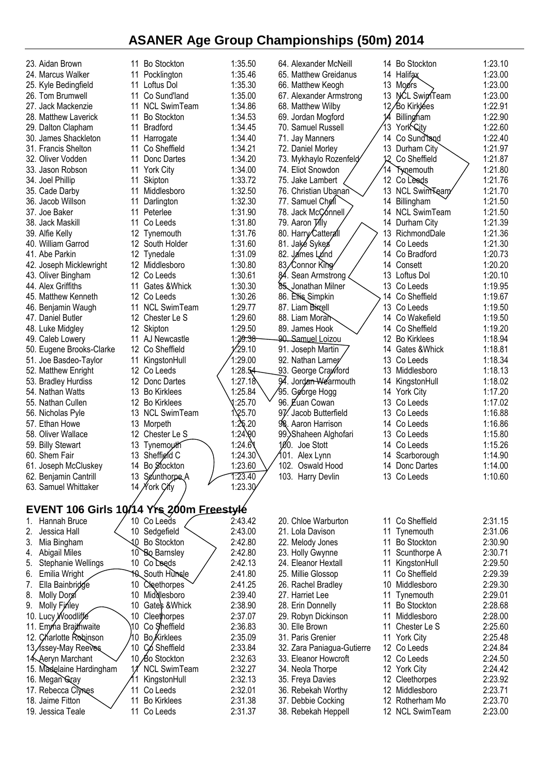| 23. Aidan Brown                                   |                 | 11 Bo Stockton                 | 1:35.50             |                 | 64. Alexander McNeill                              |    |          | 14 Bo Stockton               | 1:23.10            |
|---------------------------------------------------|-----------------|--------------------------------|---------------------|-----------------|----------------------------------------------------|----|----------|------------------------------|--------------------|
| 24. Marcus Walker                                 | 11              | Pocklington                    | 1:35.46             |                 | 65. Matthew Greidanus                              |    |          | 14 Halifax                   | 1:23.00            |
| 25. Kyle Bedingfield                              | 11              | Loftus Dol                     | 1:35.30             |                 | 66. Matthew Keogh                                  |    | 13       | Moors                        | 1:23.00            |
| 26. Tom Brumwell                                  | 11              | Co Sund'land                   | 1:35.00             |                 | 67. Alexander Armstrong                            |    | 13       | <b>NCL SwinTeam</b>          | 1:23.00            |
| 27. Jack Mackenzie                                | 11              | <b>NCL SwimTeam</b>            | 1:34.86             |                 | 68. Matthew Wilby                                  |    |          | 12/Bo Kirklées               | 1:22.91            |
| 28. Matthew Laverick                              | 11              | <b>Bo Stockton</b>             | 1:34.53             |                 | 69. Jordan Mogford                                 |    |          | Billingham                   | 1:22.90            |
| 29. Dalton Clapham                                | 11              | <b>Bradford</b>                | 1:34.45             |                 | 70. Samuel Russell                                 |    | 13       | York City                    | 1:22.60            |
| 30. James Shackleton                              |                 | 11 Harrogate                   | 1:34.40             |                 | 71. Jay Manners                                    |    |          | 14 Co Sund land              | 1:22.40            |
| 31. Francis Shelton                               | 11              | Co Sheffield                   | 1:34.21             |                 | 72. Daniel Morley                                  |    |          | 13 Durham City               | 1:21.97            |
| 32. Oliver Vodden                                 | 11              | Donc Dartes                    | 1:34.20             |                 | 73. Mykhaylo Rozenfeld                             |    | 12       | Co Sheffield                 | 1:21.87            |
| 33. Jason Robson                                  |                 | 11 York City                   | 1:34.00             |                 | 74. Eliot Snowdon                                  |    | 14       | Tygemouth                    | 1:21.80            |
| 34. Joel Phillip                                  | 11              | Skipton                        | 1:33.72             |                 | 75. Jake Lambert                                   |    |          | 12 Co Leeds                  | 1:21.76            |
| 35. Cade Darby                                    | 11              | Middlesboro                    | 1:32.50             |                 | 76. Christian Ubanan                               |    |          | 13 NCL Swim Team             | 1:21.70            |
| 36. Jacob Willson                                 | 11              | Darlington                     | 1:32.30             |                 | 77. Samuel Chell                                   |    |          | 14 Billingham                | 1:21.50            |
| 37. Joe Baker                                     | 11              | Peterlee                       | 1:31.90             |                 | 78. Jack McConnell                                 |    |          | 14 NCL SwimTeam              | 1:21.50            |
| 38. Jack Maskill                                  | 11              | Co Leeds                       | 1:31.80             |                 | 79. Aaron Tilly                                    |    |          | 14 Durham City               | 1:21.39            |
| 39. Alfie Kelly                                   | 12              | Tynemouth                      | 1:31.76             |                 | 80. Harry Catterall                                |    | 13       | RichmondDale                 | 1:21.36            |
| 40. William Garrod                                |                 | 12 South Holder                | 1:31.60             |                 | 81. Jaké Sykes                                     |    |          | 14 Co Leeds                  | 1:21.30            |
| 41. Abe Parkin                                    |                 | 12 Tynedale                    | 1:31.09             |                 | 82. James Lund                                     |    |          | 14 Co Bradford               | 1:20.73            |
| 42. Joseph Micklewright                           |                 | 12 Middlesboro                 | 1:30.80             |                 | 83/Connor King                                     |    |          | 14 Consett                   | 1:20.20            |
| 43. Oliver Bingham                                |                 | 12 Co Leeds                    | 1:30.61             |                 | Sean Armstrong                                     |    |          | 13 Loftus Dol                | 1:20.10            |
| 44. Alex Griffiths                                | 11              | Gates & Whick                  | 1:30.30             |                 | 85 Jonathan Milner                                 |    |          | 13 Co Leeds                  | 1:19.95            |
| 45. Matthew Kenneth                               |                 | 12 Co Leeds                    | 1:30.26             |                 | 86. Ellis Simpkin                                  |    |          | 14 Co Sheffield              | 1:19.67            |
| 46. Benjamin Waugh                                |                 | 11 NCL SwimTeam                | 1:29.77             |                 | 87. Liam Bixrell                                   |    | 13       | Co Leeds                     | 1:19.50            |
| 47. Daniel Butler                                 |                 | 12 Chester Le S                | 1:29.60             |                 | 88. Liam Moran                                     |    |          | 14 Co Wakefield              | 1:19.50            |
| 48. Luke Midgley                                  |                 | 12 Skipton                     | 1:29.50             |                 | 89. James Hook                                     |    |          | 14 Co Sheffield              | 1:19.20            |
| 49. Caleb Lowery                                  |                 | 11 AJ Newcastle                | 1:29 <del>:38</del> |                 | 90. Samuel Loizou                                  |    |          | 12 Bo Kirklees               | 1:18.94            |
| 50. Eugene Brooks-Clarke                          |                 | 12 Co Sheffield                | 1/29.10             |                 | 91. Joseph Martin                                  |    |          | 14 Gates & Whick             | 1:18.81            |
| 51. Joe Basdeo-Taylor                             | 11              | KingstonHull<br>12 Co Leeds    | 1:29.00<br>1:28.54  |                 | 92. Nathan Larner                                  |    | 13<br>13 | Co Leeds                     | 1:18.34<br>1:18.13 |
| 52. Matthew Enright                               |                 | 12 Donc Dartes                 | 1:27.18             |                 | 93. George Crawford<br>94. Jordan Wearmouth        |    | 14       | Middlesboro                  | 1:18.02            |
| 53. Bradley Hurdiss<br>54. Nathan Watts           |                 | 13 Bo Kirklees                 | 1:25.84             |                 | 95. George Hogg                                    |    |          | KingstonHull<br>14 York City | 1:17.20            |
| 55. Nathan Cullen                                 |                 | 12 Bo Kirklees                 | 1:25.70             |                 | 96. Euan Cowan                                     |    | 13       | Co Leeds                     | 1:17.02            |
| 56. Nicholas Pyle                                 |                 | 13 NCL SwimTeam                | 1.25.70             | 97 <sub>1</sub> | Jacob Butterfield                                  |    |          | 13 Co Leeds                  | 1:16.88            |
| 57. Ethan Howe                                    |                 | 13 Morpeth                     | 1:25.20             |                 | 98. Aaron Harrison                                 |    |          | 14 Co Leeds                  | 1:16.86            |
| 58. Oliver Wallace                                |                 | 12 Chester Le S                | 1:24.90             |                 | 99. Shaheen Alghofari                              |    |          | 13 Co Leeds                  | 1:15.80            |
| 59. Billy Stewart                                 |                 | 13 Tynemouth                   | 1:24.6              |                 | 100. Joe Stott                                     |    |          | 14 Co Leeds                  | 1:15.26            |
| 60. Shem Fair                                     |                 | 13 Sheffield C                 | 1:24.30             | 101             | Alex Lynn                                          |    |          | 14 Scarborough               | 1:14.90            |
| 61. Joseph McCluskey                              |                 | 14 Bo Stockton                 | 1:23.60             |                 | 102. Oswald Hood                                   |    |          | 14 Donc Dartes               | 1:14.00            |
| 62. Benjamin Cantrill                             | 13              | Seunthorpe A                   | 1:23.40             |                 | 103. Harry Devlin                                  |    |          | 13 Co Leeds                  | 1:10.60            |
| 63. Samuel Whittaker                              |                 | 14 Nork City                   | 1:23.30             |                 |                                                    |    |          |                              |                    |
|                                                   |                 |                                |                     |                 |                                                    |    |          |                              |                    |
| EVENT 106 Girls 10/14 Yrs 200m Freestyle          |                 |                                |                     |                 |                                                    |    |          |                              |                    |
| Hannah Bruce<br>1.                                | 10              | Co Leeds                       | 2:43.42             |                 | 20. Chloe Warburton                                |    | 11       | Co Sheffield                 | 2:31.15            |
| Jessica Hall<br>2.                                |                 | 10 Sedgefield                  | 2:43.00             |                 | 21. Lola Davison                                   |    |          | 11 Tynemouth                 | 2:31.06            |
| Mia Bingham<br>3.                                 |                 | 10 Bo Stockton                 | 2:42.80             |                 | 22. Melody Jones                                   |    | 11       | <b>Bo Stockton</b>           | 2:30.90            |
| <b>Abigail Miles</b><br>4.                        |                 | 10 Bo Barnsley                 | 2:42.80             |                 | 23. Holly Gwynne                                   |    | 11       | Scunthorpe A                 | 2:30.71            |
| <b>Stephanie Wellings</b><br>5.                   |                 | 10 Co Leeds                    | 2:42.13             |                 | 24. Eleanor Hextall                                |    | 11       | KingstonHull                 | 2:29.50            |
| Emilia Wright<br>6.                               |                 | <b>10 South Hunsle</b>         | 2:41.80             |                 | 25. Millie Glossop                                 |    | 11       | Co Sheffield                 | 2:29.39            |
| Ella Bainbridge<br>7.                             | 10              | Cleethorpes                    | 2:41.25             |                 | 26. Rachel Bradley                                 |    | 10       | Middlesboro                  | 2:29.30            |
| 8.<br>Molly Dorgi                                 |                 | 10 Middlesboro                 | 2:39.40             |                 | 27. Harriet Lee                                    | 11 |          | Tynemouth                    | 2:29.01            |
| Molly Finley<br>9.                                |                 | 10 Gates & Whick               | 2:38.90             |                 | 28. Erin Donnelly                                  |    | 11       | <b>Bo Stockton</b>           | 2:28.68            |
| 10. Lucy Woodliffe                                |                 | 10 Cleethorpes                 | 2:37.07             |                 | 29. Robyn Dickinson                                |    | 11       | Middlesboro                  | 2:28.00            |
| 11. Emma Braithwaite                              | 10<br>0         | Co Sheffield                   | 2:36.83             |                 | 30. Elle Brown                                     |    | 11       | Chester Le S                 | 2:25.60            |
| 12. Charlotte Robinson                            | 10 <sup>°</sup> | <b>Bo</b> Kirklees             | 2:35.09<br>2:33.84  |                 | 31. Paris Grenier                                  |    |          | 11 York City                 | 2:25.48<br>2:24.84 |
| 13, <i>Assey-May Reeves</i><br>14. Aeryn Marchant |                 | Có Sheffield<br>10 Bo Stockton | 2:32.63             |                 | 32. Zara Paniagua-Gutierre<br>33. Eleanor Howcroft |    |          | 12 Co Leeds<br>12 Co Leeds   | 2:24.50            |
| 15. Madelaine Hardingham                          |                 | <b>NCL SwimTeam</b>            | 2:32.27             |                 | 34. Neola Thorpe                                   |    |          | 12 York City                 | 2:24.42            |
| 16. Megan Gray                                    |                 | KingstonHull                   | 2:32.13             |                 | 35. Freya Davies                                   |    |          | 12 Cleethorpes               | 2:23.92            |
| 17. Rebecca Clynes                                | 11              | Co Leeds                       | 2:32.01             |                 | 36. Rebekah Worthy                                 |    | 12       | Middlesboro                  | 2:23.71            |
| 18. Jaime Fitton                                  | 11              | <b>Bo Kirklees</b>             | 2:31.38             |                 | 37. Debbie Cocking                                 |    |          | 12 Rotherham Mo              | 2:23.70            |
| 19. Jessica Teale                                 |                 | 11 Co Leeds                    | 2:31.37             |                 | 38. Rebekah Heppell                                |    |          | 12 NCL SwimTeam              | 2:23.00            |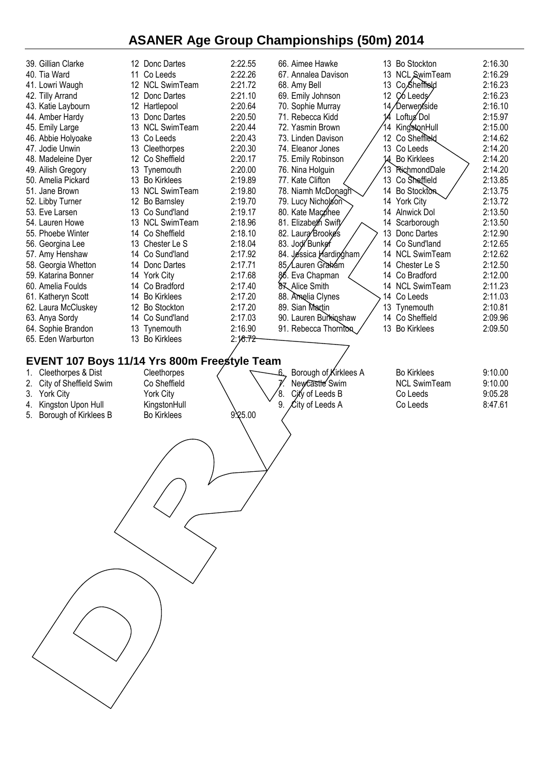| 39. Gillian Clarke<br>40. Tia Ward<br>41. Lowri Waugh<br>42. Tilly Arrand<br>43. Katie Laybourn<br>44. Amber Hardy<br>45. Emily Large<br>46. Abbie Holyoake<br>47. Jodie Unwin<br>48. Madeleine Dyer<br>49. Ailish Gregory<br>50. Amelia Pickard<br>51. Jane Brown<br>52. Libby Turner<br>53. Eve Larsen<br>54. Lauren Howe<br>55. Phoebe Winter<br>56. Georgina Lee<br>57. Amy Henshaw<br>58. Georgia Whetton<br>59. Katarina Bonner<br>60. Amelia Foulds<br>61. Katheryn Scott<br>62. Laura McCluskey<br>63. Anya Sordy<br>64. Sophie Brandon<br>65. Eden Warburton | 12 Donc Dartes<br>11 Co Leeds<br>12 NCL SwimTeam<br>12<br>Donc Dartes<br>12<br>Hartlepool<br>Donc Dartes<br>13<br>13 NCL SwimTeam<br>13 Co Leeds<br>Cleethorpes<br>13<br>Co Sheffield<br>12<br>13 Tynemouth<br><b>Bo Kirklees</b><br>13<br>13 NCL SwimTeam<br>12<br>Bo Barnsley<br>Co Sund'land<br>13<br><b>NCL SwimTeam</b><br>13<br>Co Sheffield<br>14<br>13<br>Chester Le S<br>Co Sund'land<br>14<br>Donc Dartes<br>14<br><b>York City</b><br>14<br>Co Bradford<br>14<br><b>Bo Kirklees</b><br>14<br>12 Bo Stockton<br>Co Sund'land<br>14<br>13 Tynemouth<br>13 Bo Kirklees | 2:22.55<br>2:22.26<br>2:21.72<br>2:21.10<br>2:20.64<br>2:20.50<br>2:20.44<br>2:20.43<br>2:20.30<br>2:20.17<br>2:20.00<br>2:19.89<br>2:19.80<br>2:19.70<br>2:19.17<br>2:18.96<br>2:18.10<br>2:18.04<br>2:17.92<br>2:17.71<br>2:17.68<br>2:17.40<br>2:17.20<br>2:17.20<br>2:17.03<br>2:16.90<br>2:16.72 | 66. Aimee Hawke<br>67. Annalea Davison<br>68. Amy Bell<br>69. Emily Johnson<br>70. Sophie Murray<br>71. Rebecca Kidd<br>72. Yasmin Brown<br>73. Linden Davison<br>74. Eleanor Jones<br>75. Emily Robinson<br>76. Nina Holguin<br>77. Kate Clifton<br>78. Niamh McDonagh<br>79. Lucy Nicholson<br>80. Kate Macphee<br>81. Elizabeth Swift<br>82. Laura Brookes<br>83. Jodi Bunker<br>84. Jessica Hardingham,<br>85/Lauren Grakám<br>86. Eva Chapman<br>87 Alice Smith<br>88. Amelia Clynes<br>89. Sian Martin<br>90. Lauren Burkinshaw<br>91. Rebecca Thornton | 13 Bo Stockton<br>13 NCL SwimTeam<br>13 Co, Sheffreld<br>12 C6 Leeds<br>14/Derwentside<br>Loftug Dol<br>KingstonHull<br>14<br>12 Co Sheffreld<br>13 Co Leeds<br>14 Bo Kirklees<br>13 RichmondDale<br>13 Co Sheffield<br>14 Bo Stockton<br>14 York City<br>14<br>Alnwick Dol<br>14<br>Scarborough<br>13<br>Donc Dartes<br>14 Co Sund'land<br>14 NCL SwimTeam<br>14 Chester Le S<br>14 Co Bradford<br>14 NCL SwimTeam<br>14 Co Leeds<br>13 Tynemouth<br>14 Co Sheffield<br>13 Bo Kirklees | 2:16.30<br>2:16.29<br>2:16.23<br>2:16.23<br>2:16.10<br>2:15.97<br>2:15.00<br>2:14.62<br>2:14.20<br>2:14.20<br>2:14.20<br>2:13.85<br>2:13.75<br>2:13.72<br>2:13.50<br>2:13.50<br>2:12.90<br>2:12.65<br>2:12.62<br>2:12.50<br>2:12.00<br>2:11.23<br>2:11.03<br>2:10.81<br>2:09.96<br>2:09.50 |
|-----------------------------------------------------------------------------------------------------------------------------------------------------------------------------------------------------------------------------------------------------------------------------------------------------------------------------------------------------------------------------------------------------------------------------------------------------------------------------------------------------------------------------------------------------------------------|--------------------------------------------------------------------------------------------------------------------------------------------------------------------------------------------------------------------------------------------------------------------------------------------------------------------------------------------------------------------------------------------------------------------------------------------------------------------------------------------------------------------------------------------------------------------------------|-------------------------------------------------------------------------------------------------------------------------------------------------------------------------------------------------------------------------------------------------------------------------------------------------------|---------------------------------------------------------------------------------------------------------------------------------------------------------------------------------------------------------------------------------------------------------------------------------------------------------------------------------------------------------------------------------------------------------------------------------------------------------------------------------------------------------------------------------------------------------------|-----------------------------------------------------------------------------------------------------------------------------------------------------------------------------------------------------------------------------------------------------------------------------------------------------------------------------------------------------------------------------------------------------------------------------------------------------------------------------------------|--------------------------------------------------------------------------------------------------------------------------------------------------------------------------------------------------------------------------------------------------------------------------------------------|
| EVENT 107 Boys 11/14 Yrs 800m Freestyle Team<br>Cleethorpes & Dist<br>1.<br>City of Sheffield Swim<br>2.                                                                                                                                                                                                                                                                                                                                                                                                                                                              | Cleethorpes<br>Co Sheffield                                                                                                                                                                                                                                                                                                                                                                                                                                                                                                                                                    |                                                                                                                                                                                                                                                                                                       | Borough of Kirklees A<br>Newcastle Swim                                                                                                                                                                                                                                                                                                                                                                                                                                                                                                                       | <b>Bo Kirklees</b><br><b>NCL SwimTeam</b>                                                                                                                                                                                                                                                                                                                                                                                                                                               | 9:10.00<br>9:10.00                                                                                                                                                                                                                                                                         |
| 3. York City<br>Kingston Upon Hull<br>4.                                                                                                                                                                                                                                                                                                                                                                                                                                                                                                                              | York City<br>KingstonHull                                                                                                                                                                                                                                                                                                                                                                                                                                                                                                                                                      |                                                                                                                                                                                                                                                                                                       | 8.<br>City of Leeds B<br>9.<br>City of Leeds A                                                                                                                                                                                                                                                                                                                                                                                                                                                                                                                | Co Leeds<br>Co Leeds                                                                                                                                                                                                                                                                                                                                                                                                                                                                    | 9:05.28<br>8:47.61                                                                                                                                                                                                                                                                         |
| Borough of Kirklees B<br>5.                                                                                                                                                                                                                                                                                                                                                                                                                                                                                                                                           | <b>Bo Kirklees</b>                                                                                                                                                                                                                                                                                                                                                                                                                                                                                                                                                             | 9.25.00                                                                                                                                                                                                                                                                                               |                                                                                                                                                                                                                                                                                                                                                                                                                                                                                                                                                               |                                                                                                                                                                                                                                                                                                                                                                                                                                                                                         |                                                                                                                                                                                                                                                                                            |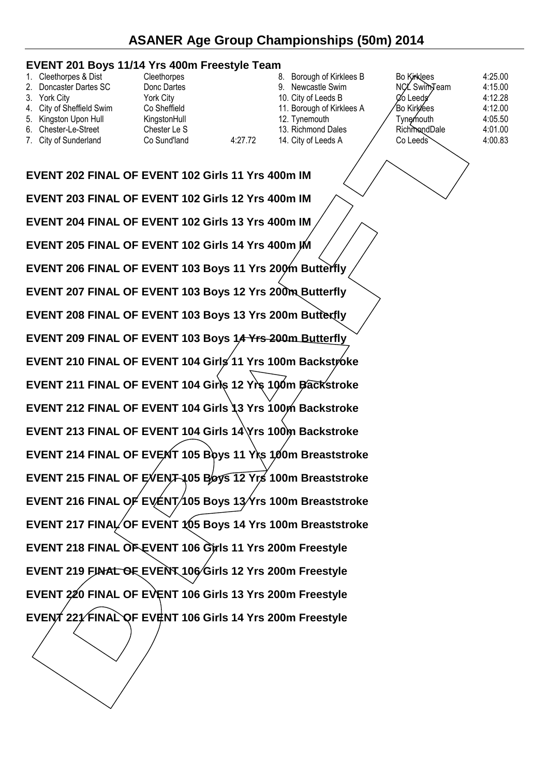#### **EVENT 201 Boys 11/14 Yrs 400m Freestyle Team**

| 1. Cleethorpes & Dist     | Cleethorpes  |         | 8. Borough of Kirklees B  | <b>Bo Kirklees</b>    | 4:25.00 |
|---------------------------|--------------|---------|---------------------------|-----------------------|---------|
| 2. Doncaster Dartes SC    | Donc Dartes  |         | 9. Newcastle Swim         | NCL SwimTeam          | 4:15.00 |
| 3. York City              | York City    |         | 10. City of Leeds B       | <b>⊘o</b> Leeds       | 4:12.28 |
| 4. City of Sheffield Swim | Co Sheffield |         | 11. Borough of Kirklees A | ∕Bo Kirk⁄ees          | 4:12.00 |
| 5. Kingston Upon Hull     | KingstonHull |         | 12. Tynemouth             | Tvnemouth             | 4:05.50 |
| 6. Chester-Le-Street      | Chester Le S |         | 13. Richmond Dales        | RichmondDale          | 4:01.00 |
| 7. City of Sunderland     | Co Sund'land | 4:27.72 | 14. City of Leeds A       | $Co$ Leeds $\searrow$ | 4:00.83 |
|                           |              |         |                           |                       |         |

**EVENT 202 FINAL OF EVENT 102 Girls 11 Yrs 400m IM EVENT 203 FINAL OF EVENT 102 Girls 12 Yrs 400m IM EVENT 204 FINAL OF EVENT 102 Girls 13 Yrs 400m IM EVENT 205 FINAL OF EVENT 102 Girls 14 Yrs 400m IM EVENT 206 FINAL OF EVENT 103 Boys 11 Yrs 200m Butterfly EVENT 207 FINAL OF EVENT 103 Boys 12 Yrs 200m Butterfly EVENT 208 FINAL OF EVENT 103 Boys 13 Yrs 200m Butterfly EVENT 209 FINAL OF EVENT 103 Boys 14 Yrs 200m Butterfly EVENT 210 FINAL OF EVENT 104 Girls 11 Yrs 100m Backstroke EVENT 211 FINAL OF EVENT 104 Girls 12 Yrs 100m Backstroke EVENT 212 FINAL OF EVENT 104 Girls 13 Yrs 100m Backstroke EVENT 213 FINAL OF EVENT 104 Girls 14 Yrs 100m Backstroke** EVENT 214 FINAL OF EVENT 105 Boys 11 Yrs 100m Breaststroke **EVENT 215 FINAL OF EVENT 105 Boys 12 Yrs 100m Breaststroke** EVENT 216 FINAL OF EVENT/105 Boys 13/Yrs 100m Breaststroke EVENT 217 FINAL OF EVENT 105 Boys 14 Yrs 100m Breaststroke **EVENT 218 FINAL OF EVENT 106 Girls 11 Yrs 200m Freestyle EVENT 219 FINAL OF EVENT 106 Girls 12 Yrs 200m Freestyle EVENT 220 FINAL OF EVENT 106 Girls 13 Yrs 200m Freestyle EVENT 221 FINAL OF EVENT 106 Girls 14 Yrs 200m Freestyle**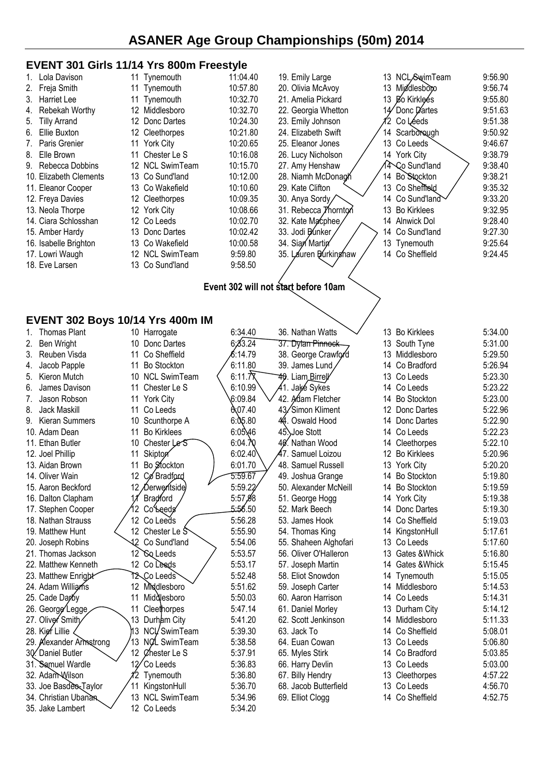#### **EVENT 301 Girls 11/14 Yrs 800m Freestyle**

28. Kier Lillie 13 NCL SwimTeam 5:39.30 29. Alexander Armstrong 13 NCL SwimTeam 5:38.58 30. Daniel Butler 12 Chester Le S 5:37.91<br>31. Samuel Wardle 12 Co Leeds 5:36.83 31. Samuel Wardle 12 Co Leeds 5:36.83<br>32. Adam Wilson 12 Tynemouth 5:36.80 32. Adam Wilson  $\frac{1}{2}$  Tynemouth 5:36.80 33. Joe Basdeo-Taylor 11 KingstonHull 5:36.70<br>34. Christian Ubanan 13 NCL SwimTeam 5:34.96 34. Christian Ubanan / 13 NCL SwimTeam 5:34.96 35. Jake Lambert  $\sim$  12 Co Leeds 5:34.20

|                                      | EVENT 301 Girls 11/14 Yrs 800m Freestyle |          |                       |                          |         |  |  |  |  |  |  |  |  |
|--------------------------------------|------------------------------------------|----------|-----------------------|--------------------------|---------|--|--|--|--|--|--|--|--|
| Lola Davison<br>1.                   | 11 Tynemouth                             | 11:04.40 | 19. Emily Large       | NCL/SwimTeam<br>13       | 9:56.90 |  |  |  |  |  |  |  |  |
| 2.<br>Freja Smith                    | Tynemouth<br>11                          | 10:57.80 | 20. Olivia McAvoy     | Middlesbopo<br>13        | 9:56.74 |  |  |  |  |  |  |  |  |
| 3.<br><b>Harriet Lee</b>             | Tynemouth<br>11                          | 10:32.70 | 21. Amelia Pickard    | 13 Bo Kirklees           | 9:55.80 |  |  |  |  |  |  |  |  |
| Rebekah Worthy<br>4.                 | 12<br>Middlesboro                        | 10:32.70 | 22. Georgia Whetton   | Donc Dartes<br>14        | 9:51.63 |  |  |  |  |  |  |  |  |
| 5.<br><b>Tilly Arrand</b>            | 12<br>Donc Dartes                        | 10:24.30 | 23. Emily Johnson     | Co Léeds                 | 9:51.38 |  |  |  |  |  |  |  |  |
| 6.<br>Ellie Buxton                   | 12 Cleethorpes                           | 10:21.80 | 24. Elizabeth Swift   | Scarborough<br>14        | 9:50.92 |  |  |  |  |  |  |  |  |
| 7.<br>Paris Grenier                  | <b>York City</b><br>11                   | 10:20.65 | 25. Eleanor Jones     | 13<br>Co Leeds           | 9:46.67 |  |  |  |  |  |  |  |  |
| Elle Brown<br>8.                     | Chester Le S<br>11                       | 10:16.08 | 26. Lucy Nicholson    | 14 York City             | 9:38.79 |  |  |  |  |  |  |  |  |
| 9. Rebecca Dobbins                   | 12 NCL SwimTeam                          | 10:15.70 | 27. Amy Henshaw       | Co Sund'land             | 9:38.40 |  |  |  |  |  |  |  |  |
| 10. Elizabeth Clements               | 13 Co Sund'land                          | 10:12.00 | 28. Niamh McDonagh    | Bo Stockton<br>14        | 9:38.21 |  |  |  |  |  |  |  |  |
| 11. Eleanor Cooper                   | 13 Co Wakefield                          | 10:10.60 | 29. Kate Clifton      | 13<br>Co Sheffield       | 9:35.32 |  |  |  |  |  |  |  |  |
| 12. Freya Davies                     | 12 Cleethorpes                           | 10:09.35 | 30. Anya Sordy        | Co Sund'land<br>14       | 9:33.20 |  |  |  |  |  |  |  |  |
| 13. Neola Thorpe                     | 12 York City                             | 10:08.66 | 31. Rebecca Thornton  | 13<br><b>Bo Kirklees</b> | 9:32.95 |  |  |  |  |  |  |  |  |
| 14. Ciara Schlosshan                 | 12 Co Leeds                              | 10:02.70 | 32. Kate Macphee      | 14<br>Alnwick Dol        | 9:28.40 |  |  |  |  |  |  |  |  |
| 15. Amber Hardy                      | 13 Donc Dartes                           | 10:02.42 | 33. Jodi Bunker       | 14<br>Co Sund'land       | 9:27.30 |  |  |  |  |  |  |  |  |
| 16. Isabelle Brighton                | 13 Co Wakefield                          | 10:00.58 | 34. Sian Martin       | 13<br>Tynemouth          | 9:25.64 |  |  |  |  |  |  |  |  |
| 17. Lowri Waugh                      | 12 NCL SwimTeam                          | 9:59.80  | 35. Lauren Burkinghaw | 14 Co Sheffield          | 9:24.45 |  |  |  |  |  |  |  |  |
| 18. Eve Larsen                       | 13 Co Sund'land                          | 9:58.50  |                       |                          |         |  |  |  |  |  |  |  |  |
|                                      |                                          |          |                       |                          |         |  |  |  |  |  |  |  |  |
| Event 302 will not start before 10am |                                          |          |                       |                          |         |  |  |  |  |  |  |  |  |
|                                      |                                          |          |                       |                          |         |  |  |  |  |  |  |  |  |
|                                      |                                          |          |                       |                          |         |  |  |  |  |  |  |  |  |
|                                      | <b>EVENT 302 Boys 10/14 Yrs 400m IM</b>  |          |                       |                          |         |  |  |  |  |  |  |  |  |
| 1. Thomas Plant                      | 10 Harrogate                             | 6:34.40  | 36. Nathan Watts      | 13 Bo Kirklees           | 5:34.00 |  |  |  |  |  |  |  |  |
| Ben Wright<br>2.                     | 10<br>Donc Dartes                        | 6;33.24  | 37. Dylan Pinnock     | 13 South Tyne            | 5:31.00 |  |  |  |  |  |  |  |  |
| Reuben Visda<br>3.                   | Co Sheffield<br>11                       | 6:14.79  | 38. George Crawford   | Middlesboro<br>13        | 5:29.50 |  |  |  |  |  |  |  |  |
| Jacob Papple<br>4.                   | <b>Bo Stockton</b><br>11                 | 6:11.80  | 39. James Lund        | Co Bradford<br>14        | 5:26.94 |  |  |  |  |  |  |  |  |
| Kieron Mutch<br>5.                   | <b>NCL SwimTeam</b><br>10                | 6:11.7X  | 40. Liam_Birrell      | 13<br>Co Leeds           | 5:23.30 |  |  |  |  |  |  |  |  |
| James Davison<br>6.                  | 11<br>Chester Le S                       | 6:10.99  | 41. Jaķé Sykes        | 14<br>Co Leeds           | 5:23.22 |  |  |  |  |  |  |  |  |
| Jason Robson<br>7.                   | <b>York City</b><br>11                   | 6:09.84  | 42. Adam Fletcher     | <b>Bo Stockton</b><br>14 | 5:23.00 |  |  |  |  |  |  |  |  |
| Jack Maskill<br>8.                   | 11<br>Co Leeds                           | 607.40   | 43/Simon Kliment      | 12<br>Donc Dartes        | 5:22.96 |  |  |  |  |  |  |  |  |
| 9. Kieran Summers                    | Scunthorpe A<br>10                       | 6:05.80  | 44. Oswald Hood       | Donc Dartes<br>14        | 5:22.90 |  |  |  |  |  |  |  |  |
| 10. Adam Dean                        | <b>Bo Kirklees</b><br>11                 | 6:05.46  | 45. Joe Stott         | Co Leeds<br>14           | 5:22.23 |  |  |  |  |  |  |  |  |
| 11. Ethan Butler                     | 10<br>Chester Le <sup>S</sup>            | 6:04.70  | 40. Nathan Wood       | 14 Cleethorpes           | 5:22.10 |  |  |  |  |  |  |  |  |
| 12. Joel Phillip                     | Skipton<br>11                            | 6:02.40  | 47. Samuel Loizou     | <b>Bo Kirklees</b><br>12 | 5:20.96 |  |  |  |  |  |  |  |  |
| 13. Aidan Brown                      | Bo Stockton<br>11                        | 6:01.70  | 48. Samuel Russell    | 13 York City             | 5:20.20 |  |  |  |  |  |  |  |  |
| 14. Oliver Wain                      | 12 Co Bradford                           | 5:59.67  | 49. Joshua Grange     | 14 Bo Stockton           | 5:19.80 |  |  |  |  |  |  |  |  |
| 15. Aaron Beckford                   | 12 Derwentside                           | 5:59.22  | 50. Alexander McNeill | 14 Bo Stockton           | 5:19.59 |  |  |  |  |  |  |  |  |
| 16. Dalton Clapham                   | Bradford                                 | 5:57,98  | 51. George Hogg       | 14 York City             | 5:19.38 |  |  |  |  |  |  |  |  |
| 17. Stephen Cooper                   | 2 CoLeeds                                | 5:56.50  | 52. Mark Beech        | 14<br>Donc Dartes        | 5:19.30 |  |  |  |  |  |  |  |  |
| 18. Nathan Strauss                   | 12 Co Leeds                              | 5:56.28  | 53. James Hook        | Co Sheffield<br>14       | 5:19.03 |  |  |  |  |  |  |  |  |
| 19. Matthew Hunt                     | 12 Chester Le S                          | 5:55.90  | 54. Thomas King       | 14 KingstonHull          | 5:17.61 |  |  |  |  |  |  |  |  |
| 20. Joseph Robins                    | 42 Co Sund'land                          | 5:54.06  | 55. Shaheen Alghofari | 13<br>Co Leeds           | 5:17.60 |  |  |  |  |  |  |  |  |
| 21. Thomas Jackson                   | 12 \So Leeds                             | 5:53.57  | 56. Oliver O'Halleron | 13<br>Gates & Whick      | 5:16.80 |  |  |  |  |  |  |  |  |
| 22. Matthew Kenneth                  | 12 Co Leeds                              | 5:53.17  | 57. Joseph Martin     | 14<br>Gates & Whick      | 5:15.45 |  |  |  |  |  |  |  |  |
| 23. Matthew Enright                  | 12 Co Leeds                              | 5:52.48  | 58. Eliot Snowdon     | 14 Tynemouth             | 5:15.05 |  |  |  |  |  |  |  |  |
| 24. Adam Williams                    | 12 Middlesboro                           | 5:51.62  | 59. Joseph Carter     | 14 Middlesboro           | 5:14.53 |  |  |  |  |  |  |  |  |
| 25. Cade Darby                       | Middlesboro<br>11                        | 5:50.03  | 60. Aaron Harrison    | Co Leeds<br>14           | 5:14.31 |  |  |  |  |  |  |  |  |
| 26. George Legge                     | 11<br>Cleethorpes                        | 5:47.14  | 61. Daniel Morley     | 13<br>Durham City        | 5:14.12 |  |  |  |  |  |  |  |  |
| 27. Oliver Smith                     | 13 Durham City                           | 5:41.20  | 62. Scott Jenkinson   | 14 Middlesboro           | 5:11.33 |  |  |  |  |  |  |  |  |

63. Jack To 14 Co Sheffield 5:08.01 64. Euan Cowan 13 Co Leeds 5:06.80<br>65. Myles Stirk 14 Co Bradford 5:03.85

66. Harry Devlin 13 Co Leeds 5:03.00 67. Billy Hendry 13 Cleethorpes 4:57.22 68. Jacob Butterfield 13 Co Leeds 4:56.70 69. Elliot Clogg 14 Co Sheffield 4:52.75

14 Co Bradford 5:03.85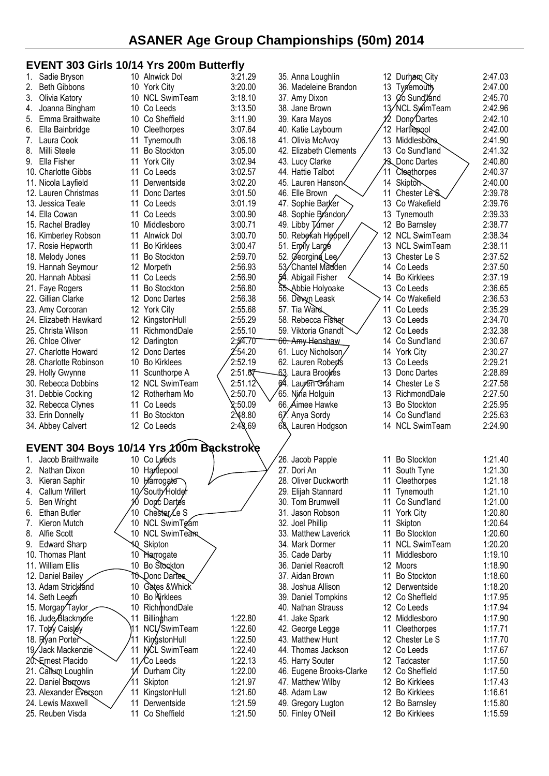### **EVENT 303 Girls 10/14 Yrs 200m Butterfly**

|    | Sadie Bryson                             |    | 10 Alnwick Dol      | 3:21.29 | 35. Anna Loughlin           |    | 12 Durham City             | 2:47.03 |  |
|----|------------------------------------------|----|---------------------|---------|-----------------------------|----|----------------------------|---------|--|
|    | <b>Beth Gibbons</b>                      |    |                     | 3:20.00 | 36. Madeleine Brandon       |    | 13 Typemouth               | 2:47.00 |  |
|    |                                          |    | 10 York City        |         |                             |    |                            |         |  |
| 3. | Olivia Katory                            |    | 10 NCL SwimTeam     | 3:18.10 | 37. Amy Dixon               |    | 13 Co Sund/and             | 2:45.70 |  |
| 4. | Joanna Bingham                           |    | 10 Co Leeds         | 3:13.50 | 38. Jane Brown              |    | 13/NCL SwimTeam            | 2:42.96 |  |
| 5. | Emma Braithwaite                         |    | 10 Co Sheffield     | 3:11.90 | 39. Kara Mayos              |    | Dong Dartes                | 2:42.10 |  |
| 6. | Ella Bainbridge                          | 10 | Cleethorpes         | 3:07.64 | 40. Katie Laybourn          |    | 12 Hartlepool              | 2:42.00 |  |
| 7. | Laura Cook                               | 11 | Tynemouth           | 3:06.18 | 41. Olivia McAvoy           |    | 13 Middlesbore             | 2:41.90 |  |
| 8. | Milli Steele                             | 11 | <b>Bo Stockton</b>  | 3:05.00 | 42. Elizabeth Clements      |    | 13 Co Sund'land            | 2:41.32 |  |
| 9. | Ella Fisher                              |    | 11 York City        | 3:02.94 | 43. Lucy Clarke             |    | 13 Donc Dartes             | 2:40.80 |  |
|    | 10. Charlotte Gibbs                      | 11 | Co Leeds            | 3:02.57 | 44. Hattie Talbot           | 11 | Cheethorpes                | 2:40.37 |  |
|    | 11. Nicola Layfield                      | 11 | Derwentside         | 3:02.20 | 45. Lauren Hanson<          |    | 14 Skiptom                 | 2:40.00 |  |
|    |                                          |    |                     |         |                             |    |                            |         |  |
|    | 12. Lauren Christmas                     | 11 | Donc Dartes         | 3:01.50 | 46. Elle Brown              |    | 11 Chester Le <sup>S</sup> | 2:39.78 |  |
|    | 13. Jessica Teale                        |    | 11 Co Leeds         | 3:01.19 | 47. Sophie Barker           |    | 13 Co Wakefield            | 2:39.76 |  |
|    | 14. Ella Cowan                           | 11 | Co Leeds            | 3:00.90 | 48. Sophie Brandon          |    | 13 Tynemouth               | 2:39.33 |  |
|    | 15. Rachel Bradley                       |    | 10 Middlesboro      | 3:00.71 | 49. Libby Turner            |    | 12 Bo Barnsley             | 2:38.77 |  |
|    | 16. Kimberley Robson                     | 11 | Alnwick Dol         | 3:00.70 | 50. Rebekah Heppell         |    | 12 NCL SwimTeam            | 2:38.34 |  |
|    | 17. Rosie Hepworth                       | 11 | <b>Bo Kirklees</b>  | 3:00.47 | 51. Emyly Large             |    | 13 NCL SwimTeam            | 2:38.11 |  |
|    | 18. Melody Jones                         | 11 | Bo Stockton         | 2:59.70 | 52. Ceorgina Lee            |    | 13 Chester Le S            | 2:37.52 |  |
|    | 19. Hannah Seymour                       |    | 12 Morpeth          | 2:56.93 | 53/Chantel Madden           |    | 14 Co Leeds                | 2:37.50 |  |
|    | 20. Hannah Abbasi                        | 11 | Co Leeds            | 2:56.90 | 54. Abigail Fisher          |    | 14 Bo Kirklees             | 2:37.19 |  |
|    |                                          | 11 | <b>Bo Stockton</b>  | 2:56.80 | 55. Abbie Holyoake          |    | 13 Co Leeds                | 2:36.65 |  |
|    | 21. Faye Rogers                          |    |                     |         |                             |    |                            |         |  |
|    | 22. Gillian Clarke                       |    | 12 Donc Dartes      | 2:56.38 | 56. Devyn Leask             |    | 14 Co Wakefield            | 2:36.53 |  |
|    | 23. Amy Corcoran                         |    | 12 York City        | 2:55.68 | 57. Tia Ward                | 11 | Co Leeds                   | 2:35.29 |  |
|    | 24. Elizabeth Hawkard                    |    | 12 KingstonHull     | 2:55.29 | 58. Rebecca Fisher          |    | 13 Co Leeds                | 2:34.70 |  |
|    | 25. Christa Wilson                       |    | 11 RichmondDale     | 2:55.10 | 59. Viktoria Gnandt         |    | 12 Co Leeds                | 2:32.38 |  |
|    | 26. Chloe Oliver                         |    | 12 Darlington       | 2:54.70 | <del>60. Amy Hens</del> haw |    | 14 Co Sund'land            | 2:30.67 |  |
|    | 27. Charlotte Howard                     |    | 12 Donc Dartes      | 2:54.20 | 61. Lucy Nicholson          |    | 14 York City               | 2:30.27 |  |
|    | 28. Charlotte Robinson                   | 10 | <b>Bo Kirklees</b>  | 2:52.19 | 62. Lauren Robert's         |    | 13 Co Leeds                | 2:29.21 |  |
|    | 29. Holly Gwynne                         | 11 | Scunthorpe A        | 2:51.67 | 63. Laura Brookes           |    | 13 Donc Dartes             | 2:28.89 |  |
|    | 30. Rebecca Dobbins                      |    | 12 NCL SwimTeam     | 2:51.12 | 64. Lauren Graham           | 14 | Chester Le S               | 2:27.58 |  |
|    |                                          |    |                     |         |                             |    |                            |         |  |
|    | 31. Debbie Cocking                       |    | 12 Rotherham Mo     | 2:50.70 | 65. Nina Holguin            |    | 13 RichmondDale            | 2:27.50 |  |
|    | 32. Rebecca Clynes                       |    | 11 Co Leeds         | 2:50.09 | 66. Aimee Hawke             | 13 | <b>Bo Stockton</b>         | 2:25.95 |  |
|    | 33. Erin Donnelly                        | 11 | <b>Bo Stockton</b>  | 2.48.80 | 67. Anya Sordy              |    | 14 Co Sund'land            | 2:25.63 |  |
|    | 34. Abbey Calvert                        |    | 12 Co Leeds         | 2:48.69 | 68, Lauren Hodgson          |    | 14 NCL SwimTeam            | 2:24.90 |  |
|    |                                          |    |                     |         |                             |    |                            |         |  |
|    | EVENT 304 Boys 10/14 Yrs 100m Backstroke |    |                     |         |                             |    |                            |         |  |
|    | 1. Jacob Braithwaite                     |    | 10 Co Leeds         |         | 26. Jacob Papple            |    | 11 Bo Stockton             | 1:21.40 |  |
|    | 2. Nathan Dixon                          |    | 10 Harlepool        |         | 27. Dori An                 |    | 11 South Tyne              | 1:21.30 |  |
| 3. | Kieran Saphir                            |    | 10 Harrogate        |         | 28. Oliver Duckworth        |    | 11 Cleethorpes             | 1:21.18 |  |
|    |                                          |    |                     |         |                             |    |                            |         |  |
| 4. | Callum Willert                           |    | 10/South/Holder     |         | 29. Elijah Stannard         |    | 11 Tynemouth               | 1:21.10 |  |
| 5. | Ben Wright                               |    | 10 Donc Dartes      |         | 30. Tom Brumwell            |    | 11 Co Sund'land            | 1:21.00 |  |
| 6. | <b>Ethan Butler</b>                      |    | Chester/Le S        |         | 31. Jason Robson            |    | 11 York City               | 1:20.80 |  |
| 7. | Kieron Mutch                             |    | 10 NCL SwimTgam     |         | 32. Joel Phillip            |    | 11 Skipton                 | 1:20.64 |  |
| 8. | Alfie Scott                              |    | 10 NCL SwimTeam     |         | 33. Matthew Laverick        |    | 11 Bo Stockton             | 1:20.60 |  |
|    | 9. Edward Sharp                          | 10 | Skipton             |         | 34. Mark Dormer             |    | 11 NCL SwimTeam            | 1:20.20 |  |
|    | 10. Thomas Plant                         |    | 10 Harrogate        |         | 35. Cade Darby              |    | 11 Middlesboro             | 1:19.10 |  |
|    | 11. William Ellis                        |    | 10 Bo Stockton      |         | 36. Daniel Reacroft         |    | 12 Moors                   | 1:18.90 |  |
|    | 12. Daniel Bailey                        |    | TO Donc Dartes      |         | 37. Aidan Brown             |    | 11 Bo Stockton             | 1:18.60 |  |
|    |                                          |    |                     |         |                             |    |                            |         |  |
|    | 13. Adam Strickland                      |    | 10 Gates & Whick    |         | 38. Joshua Allison          |    | 12 Derwentside             | 1:18.20 |  |
|    | 14. Seth Leegh                           |    | 10 Bo Kirklees      |         | 39. Daniel Tompkins         |    | 12 Co Sheffield            | 1:17.95 |  |
|    | 15. Morgan Taylor                        | 10 | RichmondDale        |         | 40. Nathan Strauss          |    | 12 Co Leeds                | 1:17.94 |  |
|    | 16. Jude Blackmore                       | 11 | Billingham          | 1:22.80 | 41. Jake Spark              |    | 12 Middlesboro             | 1:17.90 |  |
|    | 17. Toby Caisley                         |    | NCL/SwimTeam        | 1:22.60 | 42. George Legge            |    | 11 Cleethorpes             | 1:17.71 |  |
|    | 18. Ryan Porter                          |    | KingstonHull        | 1:22.50 | 43. Matthew Hunt            |    | 12 Chester Le S            | 1:17.70 |  |
|    | 19/Jack Mackenzie                        | 11 | <b>NCL SwimTeam</b> | 1:22.40 | 44. Thomas Jackson          |    | 12 Co Leeds                | 1:17.67 |  |
|    | 20 Ernest Placido                        |    | 11/Co Leeds         | 1:22.13 | 45. Harry Souter            |    | 12 Tadcaster               | 1:17.50 |  |
|    | 21. Calbum Loughlin                      |    | Durham City         | 1:22.00 | 46. Eugene Brooks-Clarke    |    | 12 Co Sheffield            | 1:17.50 |  |
|    |                                          |    |                     |         |                             |    |                            |         |  |
|    | 22. Daniel Buxrows                       |    | Skipton             | 1:21.97 | 47. Matthew Wilby           |    | 12 Bo Kirklees             | 1:17.43 |  |
|    | 23. Alexander Everson                    | 11 | KingstonHull        | 1:21.60 | 48. Adam Law                |    | 12 Bo Kirklees             | 1:16.61 |  |
|    | 24. Lewis Maxwell                        |    | 11 Derwentside      | 1:21.59 | 49. Gregory Lugton          |    | 12 Bo Barnsley             | 1:15.80 |  |
|    | 25. Reuben Visda                         |    | 11 Co Sheffield     | 1:21.50 | 50. Finley O'Neill          |    | 12 Bo Kirklees             | 1:15.59 |  |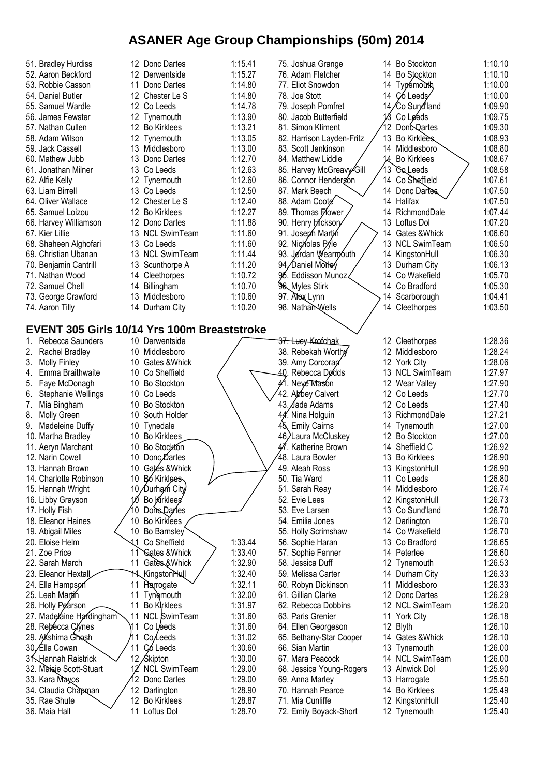| 51. Bradley Hurdiss                                |       | 12 Donc Dartes           | 1:15.41 | 75. Joshua Grange         |     | 14 Bo Stockton       | 1:10.10 |
|----------------------------------------------------|-------|--------------------------|---------|---------------------------|-----|----------------------|---------|
| 52. Aaron Beckford                                 |       | 12 Derwentside           | 1:15.27 | 76. Adam Fletcher         | 14  | <b>Bo Stockton</b>   | 1:10.10 |
| 53. Robbie Casson                                  | 11    | Donc Dartes              | 1:14.80 | 77. Eliot Snowdon         | 14  | Typemouth,           | 1:10.00 |
| 54. Daniel Butler                                  |       | 12 Chester Le S          | 1:14.80 | 78. Joe Stott             | 14  | C <sub>6</sub> Leeds | 1:10.00 |
| 55. Samuel Wardle                                  |       | 12 Co Leeds              | 1:14.78 | 79. Joseph Pomfret        |     | 14/Co Sundland       | 1:09.90 |
| 56. James Fewster                                  |       | 12 Tynemouth             | 1:13.90 | 80. Jacob Butterfield     | 18  | Co Leeds             | 1:09.75 |
| 57. Nathan Cullen                                  |       | 12 Bo Kirklees           | 1:13.21 | 81. Simon Kliment         |     | 12 DoncQartes        | 1:09.30 |
| 58. Adam Wilson                                    |       | 12 Tynemouth             | 1:13.05 | 82. Harrison Layden-Fritz |     | 13 Bo Kirklees       | 1:08.93 |
| 59. Jack Cassell                                   |       | 13 Middlesboro           | 1:13.00 | 83. Scott Jenkinson       |     |                      | 1:08.80 |
|                                                    |       |                          |         |                           |     | 14 Middlesboro       |         |
| 60. Mathew Jubb                                    |       | 13 Donc Dartes           | 1:12.70 | 84. Matthew Liddle        | 14  | <b>Bo Kirklees</b>   | 1:08.67 |
| 61. Jonathan Milner                                |       | 13 Co Leeds              | 1:12.63 | 85. Harvey McGreavy Gill  | 13  | <b>Coleeds</b>       | 1:08.58 |
| 62. Alfie Kelly                                    |       | 12 Tynemouth             | 1:12.60 | 86. Connor Hendergon      |     | 14 Co Sheffield      | 1:07.61 |
| 63. Liam Birrell                                   |       | 13 Co Leeds              | 1:12.50 | 87. Mark Beech            |     | 14 Donc Dartes       | 1:07.50 |
| 64. Oliver Wallace                                 |       | 12 Chester Le S          | 1:12.40 | 88. Adam Coote            |     | 14 Halifax           | 1:07.50 |
| 65. Samuel Loizou                                  |       | 12 Bo Kirklees           | 1:12.27 | 89. Thomas Flower         | 14  | RichmondDale         | 1:07.44 |
| 66. Harvey Williamson                              |       | 12 Donc Dartes           | 1:11.88 | 90. Henry Hickson         | 13  | Loftus Dol           | 1:07.20 |
| 67. Kier Lillie                                    |       | 13 NCL SwimTeam          | 1:11.60 | 91. Joseph Martin         | 14  | Gates & Whick        | 1:06.60 |
| 68. Shaheen Alghofari                              |       | 13 Co Leeds              | 1:11.60 | 92. Nicholas Pyle         | 13. | <b>NCL SwimTeam</b>  | 1:06.50 |
| 69. Christian Ubanan                               |       | 13 NCL SwimTeam          | 1:11.44 | 93. Jordan Wearmouth      |     | 14 KingstonHull      | 1:06.30 |
| 70. Benjamin Cantrill                              | 13    | Scunthorpe A             | 1:11.20 | 94, Daniel Morley         |     | 13 Durham City       | 1:06.13 |
| 71. Nathan Wood                                    |       | 14 Cleethorpes           | 1:10.72 | 9⁄5. Eddisson Munoz ∢     | 14  | Co Wakefield         | 1:05.70 |
| 72. Samuel Chell                                   | 14    | Billingham               | 1:10.70 | 96 Myles Stirk            |     | 14 Co Bradford       | 1:05.30 |
| 73. George Crawford                                | 13.   | Middlesboro              | 1:10.60 | 97. Alex Lynn             | 14  | Scarborough          | 1:04.41 |
| 74. Aaron Tilly                                    |       | 14 Durham City           | 1:10.20 | 98. Nathan Wells          |     | 14 Cleethorpes       | 1:03.50 |
|                                                    |       |                          |         |                           |     |                      |         |
|                                                    |       |                          |         |                           |     |                      |         |
| <b>EVENT 305 Girls 10/14 Yrs 100m Breaststroke</b> |       |                          |         |                           |     |                      |         |
| Rebecca Saunders<br>1.                             |       | 10 Derwentside           |         | 37. Luey Krofchak         |     | 12 Cleethorpes       | 1:28.36 |
| Rachel Bradley<br>2.                               |       | 10 Middlesboro           |         | 38. Rebekah Worthy        |     | 12 Middlesboro       | 1:28.24 |
| <b>Molly Finley</b><br>3.                          |       | 10 Gates & Whick         |         | 39. Amy Corcorap          |     | 12 York City         | 1:28.06 |
| Emma Braithwaite<br>4.                             |       | 10 Co Sheffield          |         | 40.<br>Rebecca Dødds      |     | 13 NCL SwimTeam      | 1:27.97 |
| Faye McDonagh<br>5.                                |       | 10 Bo Stockton           |         | 41. Neye Mason            |     | 12 Wear Valley       | 1:27.90 |
| <b>Stephanie Wellings</b><br>6.                    |       | 10 Co Leeds              |         | 42.<br>Abbey Calvert      |     | 12 Co Leeds          | 1:27.70 |
| 7.<br>Mia Bingham                                  |       | 10 Bo Stockton           |         | 43. Jade Adams            |     | 12 Co Leeds          | 1:27.40 |
| <b>Molly Green</b><br>8.                           |       | 10 South Holder          |         | 44. Nina Holguin          |     | 13 RichmondDale      | 1:27.21 |
| Madeleine Duffy<br>9.                              |       | 10 Tynedale              |         | 45, Emily Cairns          |     | 14 Tynemouth         | 1:27.00 |
| 10. Martha Bradley                                 |       | 10 Bo Kirklees           |         | 46/Laura McCluskey        |     | 12 Bo Stockton       | 1:27.00 |
| Aeryn Marchant<br>11.                              | 10    | Bo Stockton              |         | Katherine Brown           | 14  | Sheffield C          | 1:26.92 |
| 12. Narin Cowell                                   |       | 10 Donc, Dartes          |         | 48. Laura Bowler          |     | 13 Bo Kirklees       | 1:26.90 |
| 13. Hannah Brown                                   | 10    | Gates & Whick            |         | 49. Aleah Ross            |     | 13 KingstonHull      | 1:26.90 |
| 14. Charlotte Robinson                             | 10    | <b>Bo</b> Kirklees       |         | 50. Tia Ward              | 11  | Co Leeds             | 1:26.80 |
|                                                    |       | 10 Durham City           |         |                           |     | 14 Middlesboro       | 1:26.74 |
| 15. Hannah Wright                                  |       |                          |         | 51. Sarah Reay            |     |                      |         |
| 16. Libby Grayson                                  |       | Bo Kirklees              |         | 52. Evie Lees             |     | 12 KingstonHull      | 1:26.73 |
| 17. Holly Fish                                     | 10    | Dons Dartes              |         | 53. Eve Larsen            |     | 13 Co Sund'land      | 1:26.70 |
| 18. Eleanor Haines                                 | 10    | Bo Kirklees              |         | 54. Emilia Jones          | 12  | Darlington           | 1:26.70 |
| 19. Abigail Miles                                  | 10    | Bo Barnsley              |         | 55. Holly Scrimshaw       |     | 14 Co Wakefield      | 1:26.70 |
| 20. Eloise Helm                                    | 11    | Co Sheffield             | 1:33.44 | 56. Sophie Haran          |     | 13 Co Bradford       | 1:26.65 |
| 21. Zoe Price                                      | 11    | <b>Gates &amp; Whick</b> | 1:33.40 | 57. Sophie Fenner         |     | 14 Peterlee          | 1:26.60 |
| 22. Sarah March                                    | 11    | Gates & Whick            | 1:32.90 | 58. Jessica Duff          |     | 12 Tynemouth         | 1:26.53 |
| 23. Eleanor Hextall                                |       | <b>11 Kingston Hull</b>  | 1:32.40 | 59. Melissa Carter        |     | 14 Durham City       | 1:26.33 |
| 24. Ella Hampson                                   | 11    | Harrogate                | 1:32.11 | 60. Robyn Dickinson       | 11  | Middlesboro          | 1:26.33 |
| 25. Leah Martin                                    | 11    | <b>Tynemouth</b>         | 1:32.00 | 61. Gillian Clarke        |     | 12 Donc Dartes       | 1:26.29 |
| 26. Holly Pearson                                  | 11    | Bo Kirklees              | 1:31.97 | 62. Rebecca Dobbins       |     | 12 NCL SwimTeam      | 1:26.20 |
| 27. Madelaine Hardingham                           | 11    | <b>NCL SwimTeam</b>      | 1:31.60 | 63. Paris Grenier         |     | 11 York City         | 1:26.18 |
| 28. Rebécca Clynes                                 | ี่ 11 | Co Leeds                 | 1:31.60 | 64. Ellen Georgeson       |     | 12 Blyth             | 1:26.10 |
| 29. Akshima Ghosh                                  | 1     | Co/Leeds                 | 1:31.02 | 65. Bethany-Star Cooper   |     | 14 Gates & Whick     | 1:26.10 |
| 30, Ella Cowan                                     | 11    | Có Leeds                 | 1:30.60 | 66. Sian Martin           |     | 13 Tynemouth         | 1:26.00 |
| 3 <b>Hannah Raistrick</b>                          |       | 12 Skipton               | 1:30.00 | 67. Mara Peacock          |     | 14 NCL SwimTeam      | 1:26.00 |
| 32. Maisie Scott-Stuart                            |       | <b>NCL SwimTeam</b>      | 1:29.00 | 68. Jessica Young-Rogers  |     | 13 Alnwick Dol       | 1:25.90 |
|                                                    |       |                          |         |                           |     |                      |         |
| 33. Kara Mayos                                     |       | Donc Dartes              | 1:29.00 | 69. Anna Marley           | 13  | Harrogate            | 1:25.50 |
| 34. Claudia Chapman                                | 12    | Darlington               | 1:28.90 | 70. Hannah Pearce         | 14  | <b>Bo Kirklees</b>   | 1:25.49 |
| 35. Rae Shute                                      | 12    | <b>Bo Kirklees</b>       | 1:28.87 | 71. Mia Cunliffe          | 12  | KingstonHull         | 1:25.40 |
| 36. Maia Hall                                      | 11    | Loftus Dol               | 1:28.70 | 72. Emily Boyack-Short    |     | 12 Tynemouth         | 1:25.40 |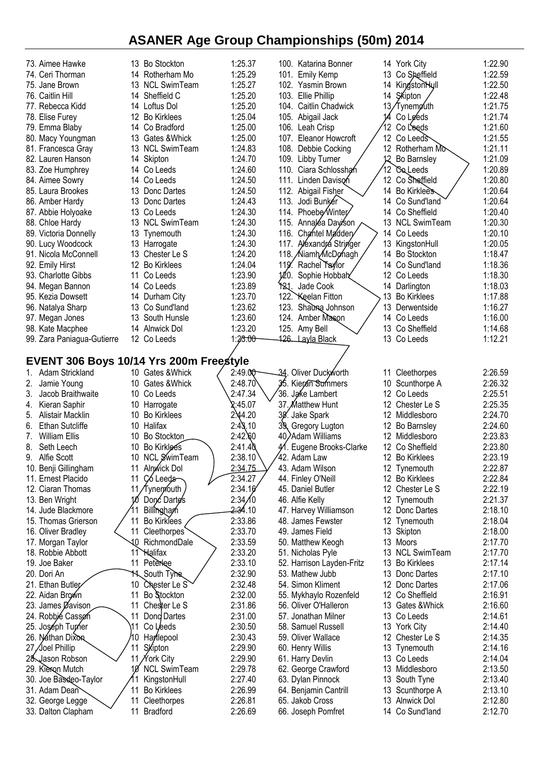| 73. Aimee Hawke                         |     | 13 Bo Stockton      | 1:25.37             |     | 100. Katarina Bonner                  |                   | 14 York City                      | 1:22.90            |
|-----------------------------------------|-----|---------------------|---------------------|-----|---------------------------------------|-------------------|-----------------------------------|--------------------|
| 74. Ceri Thorman                        |     | 14 Rotherham Mo     | 1:25.29             |     | 101. Emily Kemp                       |                   | 13 Co Sheffield                   | 1:22.59            |
| 75. Jane Brown                          |     | 13 NCL SwimTeam     | 1:25.27             |     | 102. Yasmin Brown                     |                   | 14 Kingston Hyll                  | 1:22.50            |
| 76. Caitlin Hill                        |     | 14 Sheffield C      | 1:25.20             |     |                                       |                   | 14 SKipton                        | 1:22.48            |
|                                         |     |                     |                     |     | 103. Ellie Phillip                    |                   |                                   |                    |
| 77. Rebecca Kidd                        |     | 14 Loftus Dol       | 1:25.20             |     | 104. Caitlin Chadwick                 |                   | 13/Tynemøuth                      | 1:21.75            |
| 78. Elise Furey                         |     | 12 Bo Kirklees      | 1:25.04             |     | 105. Abigail Jack                     | 14                | Co Leeds                          | 1:21.74            |
| 79. Emma Blaby                          |     | 14 Co Bradford      | 1:25.00             |     | 106. Leah Crisp                       | 12 <sup>°</sup>   | Co Leeds                          | 1:21.60            |
| 80. Macy Youngman                       |     | 13 Gates & Whick    | 1:25.00             |     | 107. Eleanor Howcroft                 |                   | 12 Co Leeds                       | 1:21.55            |
| 81. Francesca Gray                      |     | 13 NCL SwimTeam     | 1:24.83             |     | 108. Debbie Cocking                   |                   | 12 Rotherham Mo                   | 1:21.11            |
| 82. Lauren Hanson                       |     | 14 Skipton          | 1:24.70             |     | 109. Libby Turner                     | 12                | Bo Barnsley                       | 1:21.09            |
| 83. Zoe Humphrey                        |     | 14 Co Leeds         | 1:24.60             |     | 110. Ciara Schlosshah                 | 12 <sup>°</sup>   | Coleeds                           | 1:20.89            |
| 84. Aimee Sowry                         |     | 14 Co Leeds         | 1:24.50             |     | 111. Linden Davison                   |                   | 12 Co Sheffield                   | 1:20.80            |
| 85. Laura Brookes                       |     | 13 Donc Dartes      | 1:24.50             |     | 112. Abigail Fisher                   |                   | 14 Bo Kirklees                    | 1:20.64            |
| 86. Amber Hardy                         |     | 13 Donc Dartes      | 1:24.43             |     | 113. Jodi Bunker                      |                   | 14 Co Sund'land                   | 1:20.64            |
|                                         |     | 13 Co Leeds         | 1:24.30             |     | 114. Phoebe/Winter/                   |                   | 14 Co Sheffield                   | 1:20.40            |
| 87. Abbie Holyoake                      |     |                     |                     |     |                                       |                   |                                   |                    |
| 88. Chloe Hardy                         |     | 13 NCL SwimTeam     | 1:24.30             |     | 115. Annaléa Dayison                  |                   | 13 NCL SwimTeam                   | 1:20.30            |
| 89. Victoria Donnelly                   |     | 13 Tynemouth        | 1:24.30             |     | 116. Chantel Maddery                  |                   | 14 Co Leeds                       | 1:20.10            |
| 90. Lucy Woodcock                       |     | 13 Harrogate        | 1:24.30             |     | 117. Alexandrá Stringer               | 13                | KingstonHull                      | 1:20.05            |
| 91. Nicola McConnell                    |     | 13 Chester Le S     | 1:24.20             |     | 118. Niamh McDo hagh                  |                   | 14 Bo Stockton                    | 1:18.47            |
| 92. Emily Hirst                         |     | 12 Bo Kirklees      | 1:24.04             |     | 119. Rachel Taylor                    |                   | 14 Co Sund'land                   | 1:18.36            |
| 93. Charlotte Gibbs                     | 11  | Co Leeds            | 1:23.90             |     | 120.<br>Sophie Hobbah                 |                   | 12 Co Leeds                       | 1:18.30            |
| 94. Megan Bannon                        |     | 14 Co Leeds         | 1:23.89             |     | Y <sub>21</sub> . Jade Cook           |                   | 14 Darlington                     | 1:18.03            |
| 95. Kezia Dowsett                       |     | 14 Durham City      | 1:23.70             |     | 122. Keelan Fitton                    |                   | 13 Bo Kirklees                    | 1:17.88            |
| 96. Natalya Sharp                       |     | 13 Co Sund'land     | 1:23.62             |     | 123. Shadma Johnson                   | 13.               | Derwentside                       | 1:16.27            |
| 97. Megan Jones                         |     | 13 South Hunsle     | 1:23.60             |     | 124. Amber Mason                      |                   | 14 Co Leeds                       | 1:16.00            |
| 98. Kate Macphee                        |     | 14 Alnwick Dol      | 1:23.20             |     | 125. Amy Bell                         |                   | 13 Co Sheffield                   | 1:14.68            |
| 99. Zara Paniagua-Gutierre              |     | 12 Co Leeds         | 1:23.00             |     | 426. Layla Black                      |                   | 13 Co Leeds                       | 1:12.21            |
|                                         |     |                     |                     |     |                                       |                   |                                   |                    |
| EVENT 306 Boys 10/14 Yrs 200m Freestyle |     |                     |                     |     |                                       |                   |                                   |                    |
|                                         |     |                     |                     |     |                                       |                   |                                   |                    |
| Adam Strickland<br>1.                   |     | 10 Gates & Whick    | 2:49.00             |     | 34. Oliver Duckworth                  |                   | 11 Cleethorpes                    | 2:26.59            |
| Jamie Young                             |     | 10 Gates & Whick    | 2:48.70             |     | 35. Kieran Summers                    | 10                | Scunthorpe A                      | 2:26.32            |
| Jacob Braithwaite<br>3.                 |     | 10 Co Leeds         | 2:47.34             |     | 36. Jake Lambert                      | $12 \overline{ }$ | Co Leeds                          | 2:25.51            |
| Kieran Saphir<br>4.                     |     | 10 Harrogate        | 2:45.07             |     | 37. Matthew Hunt                      | 12                | Chester Le S                      | 2:25.35            |
| 5.<br>Alistair Macklin                  |     | 10 Bo Kirklees      | 2:44.20             | 38. | Jake Spark                            |                   | 12 Middlesboro                    | 2:24.70            |
| 6.<br><b>Ethan Sutcliffe</b>            |     | 10 Halifax          | 2:43.10             | 39, | Gregory Lugton                        |                   | 12 Bo Barnsley                    | 2:24.60            |
| William Ellis<br>7.                     |     | 10 Bo Stockton      | 2:42.60             |     | 40/Adam Williams                      |                   | 12 Middlesboro                    | 2:23.83            |
| 8.<br>Seth Leech                        | 10  | Bo Kirklees         | 2:41.40             |     | 41. Eugene Brooks-Clarke              |                   | 12 Co Sheffield                   | 2:23.80            |
| 9.<br>Alfie Scott                       |     | 10 NCL SwimTeam     | 2:38.10             |     | 42. Adam Law                          |                   | 12 Bo Kirklees                    | 2:23.19            |
| 10. Benji Gillingham                    |     | Alnwick Dol         | 2:34.75             |     | 43. Adam Wilson                       |                   | 12 Tynemouth                      | 2:22.87            |
| 11. Ernest Placido                      | 11  | Có Leeds            | 2:34.27             |     | 44. Finley O'Neill                    |                   | 12 Bo Kirklees                    | 2:22.84            |
| 12. Ciaran Thomas                       |     | 11/Tynemouth        | 2:34.16             |     | 45. Daniel Butler                     |                   | 12 Chester Le S                   | 2:22.19            |
| 13. Ben Wright                          | 10  | Donc Dartes         | 2:34/10             |     | 46. Alfie Kelly                       |                   | 12 Tynemouth                      | 2:21.37            |
| 14. Jude Blackmore                      | 11  | Billingham          | <del>2:3</del> 4.10 |     | 47. Harvey Williamson                 |                   | 12 Donc Dartes                    | 2:18.10            |
| 15. Thomas Grierson                     | 11  | Bo Kirklees         | 2:33.86             |     | 48. James Fewster                     | 12                | Tynemouth                         | 2:18.04            |
| 16. Oliver Bradley                      | 11  | Cleethorpes         | 2:33.70             |     | 49. James Field                       |                   | 13 Skipton                        | 2:18.00            |
| 17. Morgan Taylor                       | 10. | RichmondDale        | 2:33.59             |     | 50. Matthew Keogh                     |                   | 13 Moors                          | 2:17.70            |
| 18. Robbie Abbott                       | 11  | Halifax             | 2:33.20             |     | 51. Nicholas Pyle                     |                   | 13 NCL SwimTeam                   | 2:17.70            |
| 19. Joe Baker                           | 11  | Peterlee            | 2:33.10             |     | 52. Harrison Layden-Fritz             |                   | 13 Bo Kirklees                    | 2:17.14            |
| 20. Dori An                             | 11. | South Tyne          | 2:32.90             |     | 53. Mathew Jubb                       |                   | 13 Donc Dartes                    | 2:17.10            |
| 21. Ethan Butley                        | 10  | Chester Le S        | 2:32.48             |     | 54. Simon Kliment                     | 12                | Donc Dartes                       | 2:17.06            |
|                                         | 11  | Bo Stockton         | 2:32.00             |     |                                       |                   |                                   | 2:16.91            |
| 22. Aidan Brown                         |     |                     |                     |     | 55. Mykhaylo Rozenfeld                | 12.               | Co Sheffield<br>13 Gates & Whick  | 2:16.60            |
| 23. James Davison                       |     |                     |                     |     |                                       |                   |                                   |                    |
| 24. Robbié Casson                       | 11  | Chester Le S        | 2:31.86             |     | 56. Oliver O'Halleron                 |                   |                                   |                    |
|                                         | 11  | Dong Dartes         | 2:31.00             |     | 57. Jonathan Milner                   |                   | 13 Co Leeds                       | 2:14.61            |
| 25. Joséph Turner                       | 11  | Co Leeds            | 2:30.50             |     | 58. Samuel Russell                    |                   | 13 York City                      | 2:14.40            |
| 26. Nathan Dixon                        | 0   | Hartlepool          | 2:30.43             |     | 59. Oliver Wallace                    | $12 \overline{ }$ | Chester Le S                      | 2:14.35            |
| 27 /Joel Phillip                        | 11  | Skipton             | 2:29.90             |     | 60. Henry Willis                      | 13                | Tynemouth                         | 2:14.16            |
| 28. Jason Robson                        |     | 11 Nork City        | 2:29.90             |     | 61. Harry Devlin                      |                   | 13 Co Leeds                       | 2:14.04            |
| 29. Kieron Mutch                        | 10  | <b>NCL SwimTeam</b> | 2:29.78             |     | 62. George Crawford                   | 13.               | Middlesboro                       | 2:13.50            |
| 30. Joe Bassleo-Taylor                  |     | KingstonHull        | 2:27.40             |     | 63. Dylan Pinnock                     |                   | 13 South Tyne                     | 2:13.40            |
| 31. Adam Dean                           | 11  | <b>Bo Kirklees</b>  | 2:26.99             |     | 64. Benjamin Cantrill                 | 13                | Scunthorpe A                      | 2:13.10            |
| 32. George Legge<br>33. Dalton Clapham  | 11  | Cleethorpes         | 2:26.81<br>2:26.69  |     | 65. Jakob Cross<br>66. Joseph Pomfret |                   | 13 Alnwick Dol<br>14 Co Sund'land | 2:12.80<br>2:12.70 |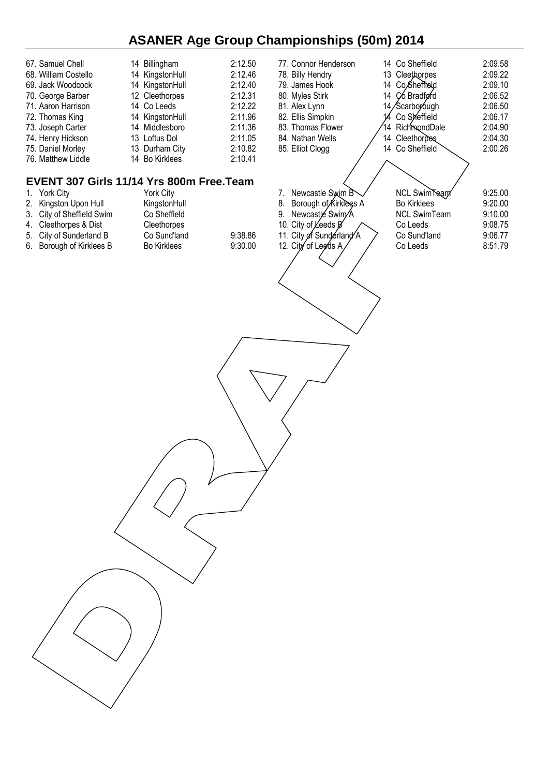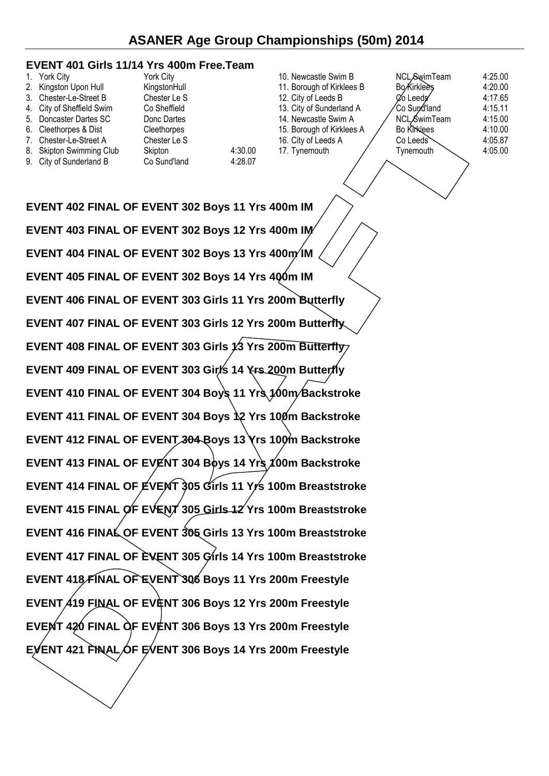#### **EVENT 401 Girls 11/14 Yrs 400m Free.Team**

| 1. York City              | York City          |         | 10. Newcastle Swim B      | NCL SwimTeam         | 4:25.00 |
|---------------------------|--------------------|---------|---------------------------|----------------------|---------|
| 2. Kingston Upon Hull     | KingstonHull       |         | 11. Borough of Kirklees B | Bo Kirklees          | 4:20.00 |
| 3. Chester-Le-Street B    | Chester Le S       |         | 12. City of Leeds B       | <b>⊘o</b> Leeds      | 4:17.65 |
| 4. City of Sheffield Swim | Co Sheffield       |         | 13. City of Sunderland A  | 'Co Sund'land        | 4:15.11 |
| 5. Doncaster Dartes SC    | Donc Dartes        |         | 14. Newcastle Swim A      | <b>NCL</b> Swim Team | 4:15.00 |
| 6. Cleethorpes & Dist     | <b>Cleethorpes</b> |         | 15. Borough of Kirklees A | <b>Bo Kirklees</b>   | 4:10.00 |
| 7. Chester-Le-Street A    | Chester Le S       |         | 16. City of Leeds A       | $Co$ Leeds           | 4:05.87 |
| 8. Skipton Swimming Club  | Skipton            | 4:30.00 | 17. Tynemouth             | Tvnemouth            | 4:05.00 |
| 9. City of Sunderland B   | Co Sund'land       | 4:28.07 |                           |                      |         |

**EVENT 402 FINAL OF EVENT 302 Boys 11 Yrs 400m IM EVENT 403 FINAL OF EVENT 302 Boys 12 Yrs 400m IM EVENT 404 FINAL OF EVENT 302 Boys 13 Yrs 400m/IM EVENT 405 FINAL OF EVENT 302 Boys 14 Yrs 400m IM EVENT 406 FINAL OF EVENT 303 Girls 11 Yrs 200m Butterfly EVENT 407 FINAL OF EVENT 303 Girls 12 Yrs 200m Butterfly EVENT 408 FINAL OF EVENT 303 Girls 13 Yrs 200m Butterfly EVENT 409 FINAL OF EVENT 303 Girls 14 Yrs 200m Butterfly EVENT 410 FINAL OF EVENT 304 Boys 11 Yrs 100m Backstroke EVENT 411 FINAL OF EVENT 304 Boys 12 Yrs 100m Backstroke EVENT 412 FINAL OF EVENT 304 Boys 13 Yrs 100m Backstroke** EVENT 413 FINAL OF EVENT 304 Boys 14 Yrs 100m Backstroke **EVENT 414 FINAL OF EVENT 305 Girls 11 Yrs 100m Breaststroke EVENT 415 FINAL OF EVENT 305 Girls 12 Yrs 100m Breaststroke EVENT 416 FINAL OF EVENT 305 Girls 13 Yrs 100m Breaststroke EVENT 417 FINAL OF EVENT 305 Girls 14 Yrs 100m Breaststroke EVENT 418 FINAL OF EVENT 306 Boys 11 Yrs 200m Freestyle EVENT 419 FINAL OF EVENT 306 Boys 12 Yrs 200m Freestyle EVENT 420 FINAL OF EVENT 306 Boys 13 Yrs 200m Freestyle EVENT 421 FINAL OF EVENT 306 Boys 14 Yrs 200m Freestyle**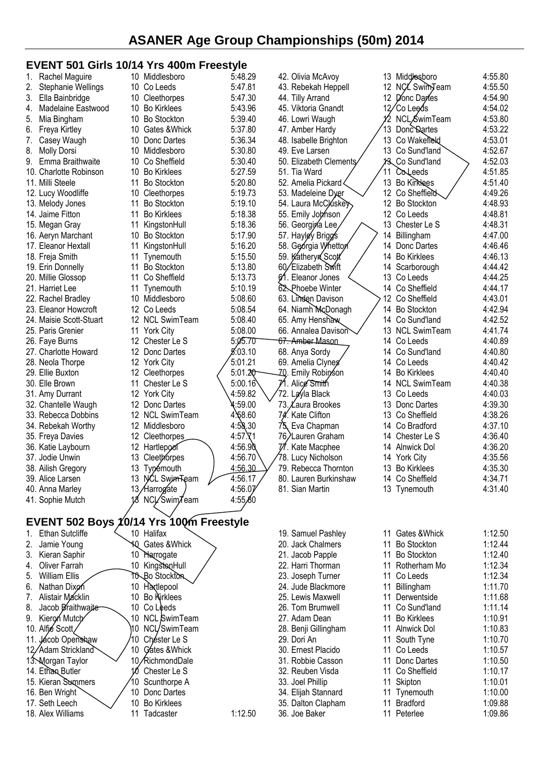### **EVENT 501 Girls 10/14 Yrs 400m Freestyle**

| 1. | Rachel Maguire                          |          | 10 Middlesboro                 | 5:48.29            |     | 42. Olivia McAvoy                       |    | 13 Middlesboro                 | 4:55.80            |
|----|-----------------------------------------|----------|--------------------------------|--------------------|-----|-----------------------------------------|----|--------------------------------|--------------------|
| 2. | Stephanie Wellings                      |          | 10 Co Leeds                    | 5:47.81            |     | 43. Rebekah Heppell                     |    | 12 NCL Swim Team               | 4:55.50            |
| 3. | Ella Bainbridge                         |          | 10 Cleethorpes                 | 5:47.30            |     | 44. Tilly Arrand                        |    | 12 Donc Darles                 | 4:54.90            |
| 4. | Madelaine Eastwood                      | 10       | <b>Bo Kirklees</b>             | 5:43.96            |     | 45. Viktoria Gnandt                     |    | 12/Co Leeds                    | 4:54.02            |
| 5. | Mia Bingham                             | 10       | <b>Bo Stockton</b>             | 5:39.40            |     | 46. Lowri Waugh                         |    | NCL Swim Team                  | 4:53.80            |
| 6. | Freya Kirtley                           | 10       | Gates & Whick                  | 5:37.80            |     | 47. Amber Hardy                         |    | 13 Donc Dartes                 | 4:53.22            |
| 7. | Casey Waugh                             | 10       | Donc Dartes                    | 5:36.34            |     | 48. Isabelle Brighton                   |    | 13 Co Wakefield                | 4:53.01            |
| 8. | <b>Molly Dorsi</b>                      | 10       | Middlesboro                    | 5:30.80            |     | 49. Eve Larsen                          |    | 13 Co Sund'land                | 4:52.67            |
| 9. | Emma Braithwaite                        | 10       | Co Sheffield                   | 5:30.40            |     | 50. Elizabeth Clements                  |    | 13 Co Sund'land                | 4:52.03            |
|    | 10. Charlotte Robinson                  | 10       | <b>Bo Kirklees</b>             | 5:27.59            |     | 51. Tia Ward                            | 11 | Coleeds                        | 4:51.85            |
|    | 11. Milli Steele                        | 11       | <b>Bo Stockton</b>             | 5:20.80            |     | 52. Amelia Pickard <                    |    | 13 Bo Kirklees                 | 4:51.40            |
|    | 12. Lucy Woodliffe                      | 10       | Cleethorpes                    | 5:19.73            |     | 53. Madeleine Dyer                      |    | 12 Co Sheffield                | 4:49.26            |
|    | 13. Melody Jones                        | 11       | <b>Bo Stockton</b>             | 5:19.10            |     | 54. Laura McCluske                      | 12 | <b>Bo Stockton</b>             | 4:48.93            |
|    | 14. Jaime Fitton                        | 11       | <b>Bo Kirklees</b>             | 5:18.38            |     | 55. Emily Johnson                       |    | 12 Co Leeds                    | 4:48.81            |
|    | 15. Megan Gray                          | 11       | KingstonHull                   | 5:18.36            |     | 56. Georgina Lee,                       |    | 13 Chester Le S                | 4:48.31            |
|    | 16. Aeryn Marchant                      | 10       | <b>Bo Stockton</b>             | 5:17.90            |     | 57. Hayley Brigg's                      | 14 | Billingham                     | 4:47.00            |
|    | 17. Eleanor Hextall                     | 11       | KingstonHull                   | 5:16.20            |     | 58. Georgia Whetton                     |    | 14 Donc Dartes                 | 4:46.46            |
|    | 18. Freja Smith                         | 11       | Tynemouth                      | 5:15.50            |     | 59. Katheryn Scott                      |    | 14 Bo Kirklees                 | 4:46.13            |
|    | 19. Erin Donnelly                       | 11       | <b>Bo Stockton</b>             | 5:13.80            |     | 60/Elizabeth Swift                      |    | 14 Scarborough                 | 4:44.42            |
|    | 20. Millie Glossop                      | 11       | Co Sheffield                   | 5:13.73            |     | 61. Eleanor Jones                       |    | 13 Co Leeds                    | 4:44.25            |
|    | 21. Harriet Lee                         | 11       | Tynemouth                      | 5:10.19            |     | 62. Phoebe Winter                       |    | 14 Co Sheffield                | 4:44.17            |
|    | 22. Rachel Bradley                      |          | 10 Middlesboro                 | 5:08.60            |     | 63. Linden Davison                      |    | 12 Co Sheffield                | 4:43.01            |
|    | 23. Eleanor Howcroft                    |          | 12 Co Leeds                    | 5:08.54            |     | 64. Niamh McDonagh                      |    | 14 Bo Stockton                 | 4:42.94            |
|    | 24. Maisie Scott-Stuart                 |          | 12 NCL SwimTeam                | 5:08.40            |     | 65. Amy Henshaw                         |    | 14 Co Sund'land                | 4:42.52            |
|    | 25. Paris Grenier                       | 11       | <b>York City</b>               | 5:08.00            |     | 66. Annalea Davison                     |    | 13 NCL SwimTeam                | 4:41.74            |
|    | 26. Faye Burns                          |          | 12 Chester Le S                | 5:05.70            |     | <del>67. Amber Mas</del> on             |    | 14 Co Leeds                    | 4:40.89            |
|    | 27. Charlotte Howard                    |          | 12 Donc Dartes                 | <i>5</i> .03.10    |     | 68. Anya Sordy                          |    | 14 Co Sund'land                | 4:40.80            |
|    | 28. Neola Thorpe                        |          | 12 York City                   | 5:01.21            |     | 69. Amelia Clynes                       |    | 14 Co Leeds                    | 4:40.42            |
|    | 29. Ellie Buxton                        | 12<br>11 | Cleethorpes                    | 5:01.20            | 71. | -Z0. Emily Robin⁄son<br>Alice Smith     | 14 | <b>Bo Kirklees</b>             | 4:40.40<br>4:40.38 |
|    | 30. Elle Brown                          |          | Chester Le S<br>12 York City   | 5:00.16<br>4:59.82 |     | 72. Layla Black                         |    | 14 NCL SwimTeam<br>13 Co Leeds | 4:40.03            |
|    | 31. Amy Durrant<br>32. Chantelle Waugh  |          | 12 Donc Dartes                 | 4:59.00            |     | 73. Laura Brookes                       |    | 13 Donc Dartes                 | 4:39.30            |
|    | 33. Rebecca Dobbins                     |          | 12 NCL SwimTeam                | 4.68.60            |     | 74. Kate Clifton                        |    | 13 Co Sheffield                | 4:38.26            |
|    | 34. Rebekah Worthy                      |          | 12 Middlesboro                 | 4:58.30            | 75. | Eva Chapman                             |    | 14 Co Bradford                 | 4:37.10            |
|    | 35. Freya Davies                        | 12       | Cleethorpes                    | $4:57.\71$         | 76, | ∕Lauren Graham                          |    | 14 Chester Le S                | 4:36.40            |
|    | 36. Katie Laybourn                      | 12       | Hartlepool                     | 4:56.90            |     | 77. Kate Macphee                        | 14 | Alnwick Dol                    | 4:36.20            |
|    | 37. Jodie Unwin                         | 13       | Cleethorpes                    | 4:56.70            |     | 78. Lucy Nicholson                      |    | 14 York City                   | 4:35.56            |
|    | 38. Ailish Gregory                      | 13       | <b>Typémouth</b>               | 4:56.30            |     | 79. Rebecca Thornton                    | 13 | <b>Bo Kirklees</b>             | 4:35.30            |
|    | 39. Alice Larsen                        |          | 13 NCL SwimTeam                | 4:56.17            |     | 80. Lauren Burkinshaw                   |    | 14 Co Sheffield                | 4:34.71            |
|    | 40. Anna Marley                         |          | 13/Harrogate                   | 4:56.07            |     | 81. Sian Martin                         |    | 13 Tynemouth                   | 4:31.40            |
|    | 41. Sophie Mutch                        |          | NCL/SwimTeam                   | 4:55,80            |     |                                         |    |                                |                    |
|    |                                         |          |                                |                    |     |                                         |    |                                |                    |
|    | EVENT 502 Boys 10/14 Yrs 100m Freestyle |          |                                |                    |     |                                         |    |                                |                    |
| 1. | <b>Ethan Sutcliffe</b>                  |          | 10 Halifax                     |                    |     | 19. Samuel Pashley                      |    | 11 Gates & Whick               | 1:12.50            |
| 2. | Jamie Young                             |          | <b>40 Gates &amp; Whick</b>    |                    |     | 20. Jack Chalmers                       |    | 11 Bo Stockton                 | 1:12.44            |
| 3. | Kieran Saphir                           |          | 10 Harrogate                   |                    |     | 21. Jacob Papple                        |    | 11 Bo Stockton                 | 1:12.40            |
| 4. | Oliver Farrah                           |          | 10 KingstonHull                |                    |     | 22. Harri Thorman                       |    | 11 Rotherham Mo                | 1:12.34            |
| 5. | William Ellis                           |          | TO Bo Stockton                 |                    |     | 23. Joseph Turner                       |    | 11 Co Leeds                    | 1:12.34            |
| 6. | Nathan Dixon                            |          | 10 Hartlepool                  |                    |     | 24. Jude Blackmore                      | 11 | Billingham                     | 1:11.70            |
| 7. | Alistair Macklin                        | 10       | <b>Bo Kirklees</b>             |                    |     | 25. Lewis Maxwell                       | 11 | Derwentside                    | 1:11.68            |
| 8. | Jacob Braithwaite                       | 10       | Co Leeds                       |                    |     | 26. Tom Brumwell                        | 11 | Co Sund'land                   | 1:11.14            |
| 9. | Kieron Mutch                            |          | 10 NCL SwimTeam                |                    |     | 27. Adam Dean                           | 11 | <b>Bo Kirklees</b>             | 1:10.91            |
|    | 10. Alfie Scott                         | MO.      | NCL/SwimTeam                   |                    |     | 28. Benji Gillingham                    | 11 | Alnwick Dol                    | 1:10.83            |
|    | 11. Jácob Openskaw                      |          | 10 Chéster Le S                |                    |     | 29. Dori An                             |    | 11 South Tyne                  | 1:10.70            |
|    | 12/Adam Strickland                      | 10       | Gates & Whick                  |                    |     | 30. Ernest Placido                      | 11 | 11 Co Leeds                    | 1:10.57            |
|    | 13. Morgan Taylor                       |          | 10/RichmondDale                |                    |     | 31. Robbie Casson                       |    | Donc Dartes<br>11 Co Sheffield | 1:10.50<br>1:10.17 |
|    | 14. Ethan Butler<br>15. Kieran Summers  | 10       | Chester Le S                   |                    |     | 32. Reuben Visda                        |    |                                | 1:10.01            |
|    | 16. Ben Wright                          |          | Scunthorpe A<br>10 Donc Dartes |                    |     | 33. Joel Phillip<br>34. Elijah Stannard | 11 | 11 Skipton<br>Tynemouth        | 1:10.00            |
|    | 17. Seth Leech                          |          | 10 Bo Kirklees                 |                    |     | 35. Dalton Clapham                      |    | 11 Bradford                    | 1:09.88            |
|    | 18. Alex Williams                       |          | 11 Tadcaster                   | 1:12.50            |     | 36. Joe Baker                           |    | 11 Peterlee                    | 1:09.86            |
|    |                                         |          |                                |                    |     |                                         |    |                                |                    |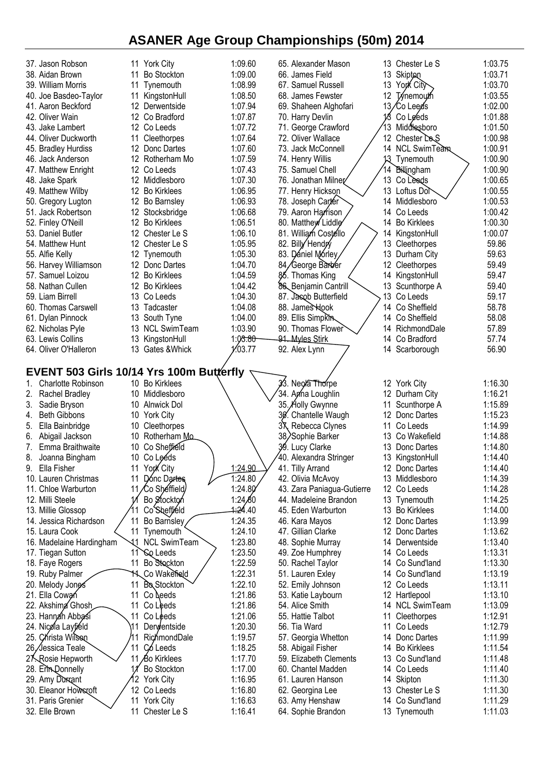| 37. Jason Robson                         | 11 York City                      | 1:09.60              | 65. Alexander Mason                          |          | 13 Chester Le S                | 1:03.75            |
|------------------------------------------|-----------------------------------|----------------------|----------------------------------------------|----------|--------------------------------|--------------------|
| 38. Aidan Brown                          | <b>Bo Stockton</b><br>11          | 1:09.00              | 66. James Field                              | 13       | Skipton                        | 1:03.71            |
| 39. William Morris                       | Tynemouth<br>11                   | 1:08.99              | 67. Samuel Russell                           | 13       | York City                      | 1:03.70            |
| 40. Joe Basdeo-Taylor                    | 11<br>KingstonHull                | 1:08.50              | 68. James Fewster                            | 12       | <b>Tynemouth</b>               | 1:03.55            |
| 41. Aaron Beckford                       | 12 Derwentside                    | 1:07.94              | 69. Shaheen Alghofari                        |          | 13/Co Leeds                    | 1:02.00            |
| 42. Oliver Wain                          | 12 Co Bradford                    | 1:07.87              | 70. Harry Devlin                             |          | Co Leeds                       | 1:01.88            |
| 43. Jake Lambert                         | 12 Co Leeds                       | 1:07.72              | 71. George Crawford                          | 13       | Middlesboro                    | 1:01.50            |
| 44. Oliver Duckworth                     | Cleethorpes<br>11                 | 1:07.64              | 72. Oliver Wallace                           | 12       | Chester Le <sub>S</sub>        | 1:00.98            |
| 45. Bradley Hurdiss                      | 12 Donc Dartes                    | 1:07.60              | 73. Jack McConnell                           |          | 14 NCL SwimTeam                | 1:00.91            |
| 46. Jack Anderson                        | 12 Rotherham Mo                   | 1:07.59              | 74. Henry Willis                             | 13       | Tynemouth                      | 1:00.90            |
| 47. Matthew Enright                      | 12 Co Leeds                       | 1:07.43              | 75. Samuel Chell                             | 14       | Billingham                     | 1:00.90            |
| 48. Jake Spark                           | 12 Middlesboro                    | 1:07.30              | 76. Jonathan Milner                          | 13       | Co Leeds                       | 1:00.65            |
| 49. Matthew Wilby                        | 12 Bo Kirklees                    | 1:06.95              | 77. Henry Hickson                            |          | 13 Loftus Dol                  | 1:00.55            |
| 50. Gregory Lugton                       | 12 Bo Barnsley                    | 1:06.93              | 78. Joseph Carter                            | 14       | Middlesboro                    | 1:00.53            |
| 51. Jack Robertson                       | 12 Stocksbridge                   | 1:06.68              | 79. Aaron Harrison<br>80. Matthew Liddle     | 14       | Co Leeds                       | 1:00.42            |
| 52. Finley O'Neill<br>53. Daniel Butler  | 12 Bo Kirklees<br>12 Chester Le S | 1:06.51<br>1:06.10   | 81. William Costello                         | 14       | 14 Bo Kirklees<br>KingstonHull | 1:00.30<br>1:00.07 |
| 54. Matthew Hunt                         | 12 Chester Le S                   | 1:05.95              | 82. Billy Hendry                             | 13       | Cleethorpes                    | 59.86              |
| 55. Alfie Kelly                          | 12 Tynemouth                      | 1:05.30              | 83. Dániel Mórley                            | 13       | Durham City                    | 59.63              |
| 56. Harvey Williamson                    | 12 Donc Dartes                    | 1:04.70              | 84/George Barber                             | 12       | Cleethorpes                    | 59.49              |
| 57. Samuel Loizou                        | 12 Bo Kirklees                    | 1:04.59              | 85. Thomas King                              | 14       | KingstonHull                   | 59.47              |
| 58. Nathan Cullen                        | 12 Bo Kirklees                    | 1:04.42              | 86 Benjamin Cantrill                         |          | 13 Scunthorpe A                | 59.40              |
| 59. Liam Birrell                         | 13 Co Leeds                       | 1:04.30              | 87. Jasob Butterfield                        | 13       | Co Leeds                       | 59.17              |
| 60. Thomas Carswell                      | 13 Tadcaster                      | 1:04.08              | 88. James Hook                               | 14       | Co Sheffield                   | 58.78              |
| 61. Dylan Pinnock                        | 13<br>South Tyne                  | 1:04.00              | 89. Ellis Simpkin                            |          | 14 Co Sheffield                | 58.08              |
| 62. Nicholas Pyle                        | <b>NCL SwimTeam</b><br>13         | 1:03.90              | 90. Thomas Flower                            |          | 14 RichmondDale                | 57.89              |
| 63. Lewis Collins                        | 13<br>KingstonHull                | 1:03.80              | 91. Myles Stirk                              | 14       | Co Bradford                    | 57.74              |
| 64. Oliver O'Halleron                    | 13<br>Gates & Whick               | 1⁄.03.77             | 92. Alex Lynn                                |          | 14 Scarborough                 | 56.90              |
|                                          |                                   |                      |                                              |          |                                |                    |
| EVENT 503 Girls 10/14 Yrs 100m Butterfly |                                   |                      |                                              |          |                                |                    |
| Charlotte Robinson<br>1.                 | 10 Bo Kirklees                    |                      | 33. Neola Thorpe                             |          | 12 York City                   | 1:16.30            |
| Rachel Bradley<br>2.                     | 10 Middlesboro                    |                      | 34. Anna Loughlin                            |          | 12 Durham City                 | 1:16.21            |
| 3.<br>Sadie Bryson                       | 10<br>Alnwick Dol                 |                      | 35. Holly Gwynne                             | 11       | Scunthorpe A                   | 1:15.89            |
| <b>Beth Gibbons</b><br>4.                | 10 York City                      |                      | 30.<br>Chantelle Waugh                       | 12       | Donc Dartes                    | 1:15.23            |
| 5.<br>Ella Bainbridge                    | 10<br>Cleethorpes                 |                      | ЗҲ.<br>Rebecca Clynes                        | 11       | Co Leeds                       | 1:14.99            |
| 6.<br>Abigail Jackson                    | 10 Rotherham Mo                   |                      | 38/Sophie Barker                             | 13       | Co Wakefield                   | 1:14.88            |
| Emma Braithwaite<br>7.                   | Co Sheffield<br>10                |                      | 39. Lucy Clarke                              | 13.      | Donc Dartes                    | 1:14.80            |
| 8.<br>Joanna Bingham                     | 10 Co Leeds                       |                      | 40. Alexandra Stringer                       |          | 13 KingstonHull                | 1:14.40            |
| Ella Fisher                              | 11<br>York City                   | 1:24.90              | 41. Tilly Arrand                             |          | 12 Donc Dartes                 | 1:14.40            |
| 10. Lauren Christmas                     | 11<br>Donc Dartes                 | 1:24.80              | 42. Olivia McAvoy                            |          | 13 Middlesboro                 | 1:14.39            |
| 11. Chloe Warburton                      | 11/Co Sheffield                   | 1:24.80              | 43. Zara Paniagua-Gutierre                   |          | 12 Co Leeds                    | 1:14.28            |
| 12. Milli Steele                         | Bo Stockton                       | 1:24 $80$            | 44. Madeleine Brandon                        |          | 13 Tynemouth                   | 1:14.25            |
| 13. Millie Glossop                       | Co <sup>Sheffield</sup>           | 4 <del>∶2</del> 4.40 | 45. Eden Warburton                           |          | 13 Bo Kirklees                 | 1:14.00            |
| 14. Jessica Richardson                   | 11<br>Bo Barnsley                 | 1:24.35              | 46. Kara Mayos                               | 12       | Donc Dartes                    | 1:13.99            |
| 15. Laura Cook                           | 11<br>Tynemouth                   | 1:24.10              | 47. Gillian Clarke                           | 12       | Donc Dartes                    | 1:13.62            |
| 16. Madelaine Hardingham                 | 11<br><b>NCL SwimTeam</b>         | 1:23.80              | 48. Sophie Murray                            | 14       | Derwentside                    | 1:13.40            |
| 17. Tiegan Sutton                        | 11<br><b>So Leeds</b>             | 1:23.50              | 49. Zoe Humphrey                             |          | 14 Co Leeds                    | 1:13.31            |
| 18. Faye Rogers                          | 11<br>Bo Stockton                 | 1:22.59              | 50. Rachel Taylor                            |          | 14 Co Sund'land                | 1:13.30            |
| 19. Ruby Palmer                          | Co Wakefield<br>11                | 1:22.31              | 51. Lauren Exley                             |          | 14 Co Sund'land                | 1:13.19            |
| 20. Melody Jone∕s                        | <b>Bo</b> Stockton<br>11          | 1:22.10              | 52. Emily Johnson                            |          | 12 Co Leeds                    | 1:13.11            |
| 21. Ella Cowan                           | 11<br>Co Leeds                    | 1:21.86              | 53. Katie Laybourn                           |          | 12 Hartlepool                  | 1:13.10            |
| 22. Akshima Ghosh                        | 11<br>Co Leeds                    | 1:21.86              | 54. Alice Smith                              |          | 14 NCL SwimTeam                | 1:13.09            |
| 23. Hannah Abbasi                        | 11<br>Co Leeds<br>11              | 1:21.06              | 55. Hattie Talbot                            | 11       | Cleethorpes                    | 1:12.91            |
| 24. Nicola Layfiéld                      | Derwentside                       | 1:20.30              | 56. Tia Ward                                 | 11       | Co Leeds                       | 1:12.79            |
| 25. Christa Wilson                       | RichmondDale<br>1                 | 1:19.57              | 57. Georgia Whetton                          | 14       | Donc Dartes                    | 1:11.99            |
| 26,∕Jessica Teale                        | 11<br>Có Leeds<br>11 Bo Kirklees  | 1:18.25              | 58. Abigail Fisher                           | 14       | <b>Bo Kirklees</b>             | 1:11.54<br>1:11.48 |
| 27. Rosie Hepworth<br>28. Erin Donnelly  | <b>Bo Stockton</b>                | 1:17.70<br>1:17.00   | 59. Elizabeth Clements<br>60. Chantel Madden | 13<br>14 | Co Sund'land<br>Co Leeds       | 1:11.40            |
| 29. Amy Durrant                          | 12.<br><b>York City</b>           | 1:16.95              | 61. Lauren Hanson                            | 14       | Skipton                        | 1:11.30            |
| 30. Eleanor Howscoft                     | 12 Co Leeds                       | 1:16.80              | 62. Georgina Lee                             | 13.      | Chester Le S                   | 1:11.30            |
| 31. Paris Grenier                        | 11<br><b>York City</b>            | 1:16.63              | 63. Amy Henshaw                              | 14       | Co Sund'land                   | 1:11.29            |
| 32. Elle Brown                           | Chester Le S<br>11                | 1:16.41              | 64. Sophie Brandon                           |          | 13 Tynemouth                   | 1:11.03            |
|                                          |                                   |                      |                                              |          |                                |                    |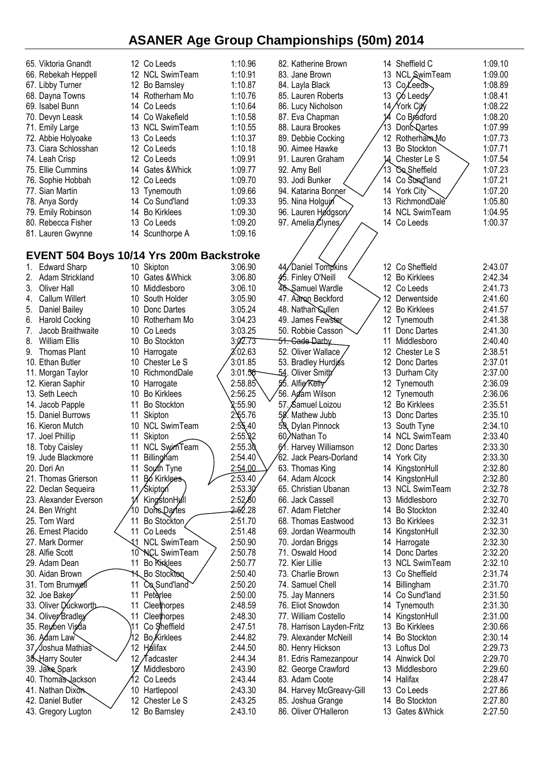| 65. Viktoria Gnandt         | 12 Co Leeds                              | 1:10.96             | 82. Katherine Brown        |     | 14 Sheffield C       | 1:09.10 |
|-----------------------------|------------------------------------------|---------------------|----------------------------|-----|----------------------|---------|
| 66. Rebekah Heppell         | 12 NCL SwimTeam                          | 1:10.91             | 83. Jane Brown             | 13  | <b>NCL SwimTeam</b>  | 1:09.00 |
| 67. Libby Turner            | 12 Bo Barnsley                           | 1:10.87             | 84. Layla Black            | 13  | Co Leeds             | 1:08.89 |
| 68. Dayna Towns             | 14 Rotherham Mo                          | 1:10.76             | 85. Lauren Roberts         | 13  | C <sub>6</sub> Leeds | 1:08.41 |
|                             |                                          | 1:10.64             |                            |     | 14/York City         | 1:08.22 |
| 69. Isabel Bunn             | 14 Co Leeds                              |                     | 86. Lucy Nicholson         |     |                      |         |
| 70. Devyn Leask             | 14 Co Wakefield                          | 1:10.58             | 87. Eva Chapman            | 14  | Co Brádford          | 1:08.20 |
| 71. Emily Large             | 13 NCL SwimTeam                          | 1:10.55             | 88. Laura Brookes          | 13  | <b>Dont</b> Qartes   | 1:07.99 |
| 72. Abbie Holyoake          | 13 Co Leeds                              | 1:10.37             | 89. Debbie Cocking         |     | 12 RotherhamMo       | 1:07.73 |
| 73. Ciara Schlosshan        | 12 Co Leeds                              | 1:10.18             | 90. Aimee Hawke            | 13  | <b>Bo Stockton</b>   | 1:07.71 |
| 74. Leah Crisp              | 12 Co Leeds                              | 1:09.91             | 91. Lauren Graham          | 14  | Chester Le S         | 1:07.54 |
| 75. Ellie Cummins           | 14 Gates & Whick                         | 1:09.77             | 92. Amy Bell               | 13  | Co Sheffield         | 1:07.23 |
| 76. Sophie Hobbah           | 12 Co Leeds                              | 1:09.70             | 93. Jodi Bunker            | 14  | Co Sund'land         | 1:07.21 |
| 77. Sian Martin             | 13 Tynemouth                             | 1:09.66             | 94. Katarina Bonner        |     | 14 York City         | 1:07.20 |
| 78. Anya Sordy              | 14 Co Sund'land                          | 1:09.33             | 95. Nina Holgujn           | 13  | RichmondDale         | 1:05.80 |
| 79. Emily Robinson          | 14 Bo Kirklees                           | 1:09.30             | 96. Lauren Hødgsory        | 14  | <b>NCL SwimTeam</b>  | 1:04.95 |
| 80. Rebecca Fisher          | 13 Co Leeds                              | 1:09.20             | 97. Amelia Clynes          |     | 14 Co Leeds          | 1:00.37 |
| 81. Lauren Gwynne           | 14 Scunthorpe A                          | 1:09.16             |                            |     |                      |         |
|                             |                                          |                     |                            |     |                      |         |
|                             |                                          |                     |                            |     |                      |         |
|                             | EVENT 504 Boys 10/14 Yrs 200m Backstroke |                     |                            |     |                      |         |
| <b>Edward Sharp</b><br>1.   | 10 Skipton                               | 3:06.90             | 44/Daniel Tompkins         |     | 12 Co Sheffield      | 2:43.07 |
| Adam Strickland<br>2.       | 10 Gates & Whick                         | 3:06.80             | 45. Finley O'Neill         |     | 12 Bo Kirklees       | 2:42.34 |
| Oliver Hall<br>3.           | 10 Middlesboro                           | 3:06.10             | 46. Samuel Wardle          |     | 12 Co Leeds          | 2:41.73 |
| Callum Willert<br>4.        | 10 South Holder                          | 3:05.90             | 47. Aaron Beckford         |     | 12 Derwentside       | 2:41.60 |
| Daniel Bailey<br>5.         | Donc Dartes<br>10                        | 3:05.24             | 48. Nathan Sullen          |     | 12 Bo Kirklees       | 2:41.57 |
| <b>Harold Cocking</b><br>6. | 10 Rotherham Mo                          | 3:04.23             | 49. James Fewster          |     | 12 Tynemouth         | 2:41.38 |
| Jacob Braithwaite<br>7.     | 10 Co Leeds                              | 3:03.25             | 50. Robbie Casson          | 11  | Donc Dartes          | 2:41.30 |
| 8.<br><b>William Ellis</b>  | <b>Bo Stockton</b><br>10                 | 3:02.73             | <del>51. Cade Da</del> rby | 11  | Middlesboro          | 2:40.40 |
| <b>Thomas Plant</b><br>9.   | 10 Harrogate                             | 2.02.63             | 52. Oliver Wallace         |     | 12 Chester Le S      | 2:38.51 |
| 10. Ethan Butler            | 10 Chester Le S                          | 3:01.85             | 53. Bradley Hurdiss        |     | 12 Donc Dartes       | 2:37.01 |
| 11. Morgan Taylor           | 10<br>RichmondDale                       | 3:01.56             | 54. Oliver Smith           | 13  | Durham City          | 2:37.00 |
| 12. Kieran Saphir           | 10<br>Harrogate                          | 2:58.85             | 55. Alfie Kelly            |     | 12 Tynemouth         | 2:36.09 |
| 13. Seth Leech              | 10<br><b>Bo Kirklees</b>                 | 2:56.25             | 56. Adam Wilson            |     | 12 Tynemouth         | 2:36.06 |
| 14. Jacob Papple            | <b>Bo Stockton</b><br>11                 | 2:55.90             | 57. Samuel Loizou          |     | 12 Bo Kirklees       | 2:35.51 |
| 15. Daniel Burrows          | Skipton<br>11                            | $2\frac{5}{5}5.76$  | 58. Mathew Jubb            | 13. | Donc Dartes          | 2:35.10 |
| 16. Kieron Mutch            | 10 NCL SwimTeam                          | 2:55.40             |                            | 13  | South Tyne           | 2:34.10 |
|                             |                                          | $2:55.\$ 32         | 59, Dylan Pinnock          | 14  | <b>NCL SwimTeam</b>  | 2:33.40 |
| 17. Joel Phillip            | Skipton<br>11                            |                     | 60/Nathan To               |     |                      |         |
| 18. Toby Caisley            | <b>NCL SwimTeam</b><br>11                | 2:55.30             | 61. Harvey Williamson      |     | 12 Donc Dartes       | 2:33.30 |
| 19. Jude Blackmore          | Billingham<br>11                         | 2:54.40             | 62. Jack Pears-Dorland     |     | 14 York City         | 2:33.30 |
| 20. Dori An                 | 11 South Tyne                            | 2:54.00             | 63. Thomas King            |     | 14 KingstonHull      | 2:32.80 |
| 21. Thomas Grierson         | Bo Kirklees<br>11                        | 2:53.40             | 64. Adam Alcock            |     | 14 KingstonHull      | 2:32.80 |
| 22. Declan Sequeira         | 11/Skipton                               | 2:53.30             | 65. Christian Ubanan       | 13  | <b>NCL SwimTeam</b>  | 2:32.78 |
| 23. Alexander Everson       | KingstonHull                             | 2:52,80             | 66. Jack Cassell           | 13  | Middlesboro          | 2:32.70 |
| 24. Ben Wright              | 10<br>Done Dartes                        | <del>2:5</del> 2.28 | 67. Adam Fletcher          | 14  | Bo Stockton          | 2:32.40 |
| 25. Tom Ward                | 11<br>Bo Stockton,                       | 2:51.70             | 68. Thomas Eastwood        | 13  | <b>Bo Kirklees</b>   | 2:32.31 |
| 26. Ernest Placido          | 11<br>Co Leeds                           | 2:51.48             | 69. Jordan Wearmouth       | 14  | KingstonHull         | 2:32.30 |
| 27. Mark Dormer             | 11<br><b>NCL SwimTeam</b>                | 2:50.90             | 70. Jordan Briggs          | 14  | Harrogate            | 2:32.30 |
| 28. Alfie Scott             | <b>NCL SwimTeam</b><br>10                | 2:50.78             | 71. Oswald Hood            | 14  | Donc Dartes          | 2:32.20 |
| 29. Adam Dean               | 11<br><b>Bo Rinklees</b>                 | 2:50.77             | 72. Kier Lillie            | 13  | <b>NCL SwimTeam</b>  | 2:32.10 |
| 30. Aidan Brown             | Bo Stockton<br>11.                       | 2:50.40             | 73. Charlie Brown          | 13  | Co Sheffield         | 2:31.74 |
| 31. Tom Brumwell            | Co Sund'land<br>11                       | 2:50.20             | 74. Samuel Chell           | 14  | Billingham           | 2:31.70 |
| 32. Joe Baker               | 11<br>Peterlee                           | 2:50.00             | 75. Jay Manners            | 14  | Co Sund'land         | 2:31.50 |
| 33. Oliver Duckworth        | 11<br>Cleethorpes                        | 2:48.59             | 76. Eliot Snowdon          |     | 14 Tynemouth         | 2:31.30 |
| 34. Olivey Bradley          | 11<br>Cleethorpes                        | 2:48.30             | 77. William Costello       | 14  | KingstonHull         | 2:31.00 |
| 35. Reµ⁄ben Vis⁄da          | 11<br>Co Sheffield                       | 2:47.51             | 78. Harrison Layden-Fritz  | 13  | <b>Bo Kirklees</b>   | 2:30.66 |
| 36. Adam Law                | 2<br>Bo Kirklees                         | 2:44.82             | 79. Alexander McNeill      | 14  | <b>Bo Stockton</b>   | 2:30.14 |
| ∕Joshua Mathias`<br>37,     | 12 <sup>°</sup><br><b>H</b> álifax       | 2:44.50             | 80. Henry Hickson          | 13  | Loftus Dol           | 2:29.73 |
| 38. Harry Souter            | 12 <sub>1</sub><br>∕Tadcaster            | 2:44.34             | 81. Edris Ramezanpour      | 14  | Alnwick Dol          | 2:29.70 |
| 39. Jake Spark              | Middlesboro                              | 2:43.90             |                            | 13  | Middlesboro          | 2:29.60 |
|                             | 2                                        | 2:43.44             | 82. George Crawford        |     |                      | 2:28.47 |
| 40. Thomas Jackson          | Co Leeds                                 |                     | 83. Adam Coote             | 14  | Halifax              |         |
| 41. Nathan Dixon            | 10 Hartlepool                            | 2:43.30             | 84. Harvey McGreavy-Gill   | 13  | Co Leeds             | 2:27.86 |
| 42. Daniel Butler           | Chester Le S<br>12                       | 2:43.25             | 85. Joshua Grange          | 14  | <b>Bo Stockton</b>   | 2:27.80 |
| 43. Gregory Lugton          | 12 Bo Barnsley                           | 2:43.10             | 86. Oliver O'Halleron      |     | 13 Gates & Whick     | 2:27.50 |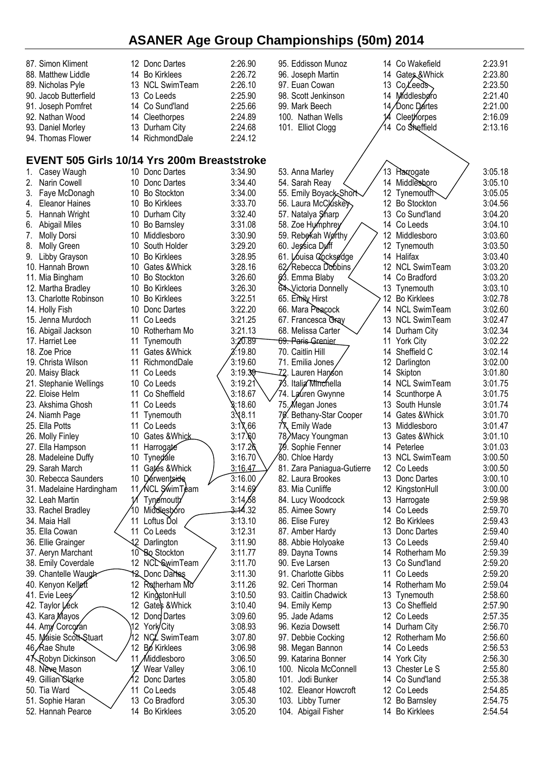| 87. Simon Kliment                                  |                 | 12 Donc Dartes     | 2:26.90             | 95. Eddisson Munoz            |     | 14 Co Wakefield    | 2:23.91 |
|----------------------------------------------------|-----------------|--------------------|---------------------|-------------------------------|-----|--------------------|---------|
| 88. Matthew Liddle                                 |                 | 14 Bo Kirklees     | 2:26.72             | 96. Joseph Martin             | 14  | Gates & Whick      | 2:23.80 |
| 89. Nicholas Pyle                                  |                 | 13 NCL SwimTeam    | 2:26.10             | 97. Euan Cowan                | 13  | Co Leeds           | 2:23.50 |
| 90. Jacob Butterfield                              |                 | 13 Co Leeds        | 2:25.90             | 98. Scott Jenkinson           | 14  | Middlesbøro        | 2:21.40 |
| 91. Joseph Pomfret                                 |                 | 14 Co Sund'land    | 2:25.66             | 99. Mark Beech                | 14. | ∕Donc Dártes       | 2:21.00 |
| 92. Nathan Wood                                    |                 | 14 Cleethorpes     | 2:24.89             | 100. Nathan Wells             |     | Cleethorpes        | 2:16.09 |
| 93. Daniel Morley                                  |                 | 13 Durham City     | 2:24.68             | 101. Elliot Clogg             | 14  | Co Sheffield       | 2:13.16 |
| 94. Thomas Flower                                  |                 | 14 RichmondDale    | 2:24.12             |                               |     |                    |         |
|                                                    |                 |                    |                     |                               |     |                    |         |
| <b>EVENT 505 Girls 10/14 Yrs 200m Breaststroke</b> |                 |                    |                     |                               |     |                    |         |
| Casey Waugh                                        |                 | 10 Donc Dartes     | 3:34.90             | 53. Anna Marley               |     | 13 Harrogate       | 3:05.18 |
| Narin Cowell<br>2.                                 |                 | 10 Donc Dartes     | 3:34.40             | 54. Sarah Reay                |     | 14 Middlesboro     | 3:05.10 |
| Faye McDonagh<br>3.                                |                 | 10 Bo Stockton     | 3:34.00             | 55. Emily Boyack-Short        |     | 12 Tynemouth       | 3:05.05 |
| <b>Eleanor Haines</b><br>4.                        |                 | 10 Bo Kirklees     | 3:33.70             | 56. Laura McCluskey           |     | 12 Bo Stockton     | 3:04.56 |
| 5. Hannah Wright                                   |                 | 10 Durham City     | 3:32.40             | 57. Natalya Sharp             | 13  | Co Sund'land       | 3:04.20 |
| 6. Abigail Miles                                   | 10              | Bo Barnsley        | 3:31.08             | 58. Zoe Hymphrey              | 14  | Co Leeds           | 3:04.10 |
| <b>Molly Dorsi</b><br>7.                           |                 | 10 Middlesboro     | 3:30.90             | 59. Rebekah Worthy            | 12  | Middlesboro        | 3:03.60 |
| 8.<br>Molly Green                                  |                 | 10 South Holder    | 3:29.20             | 60. Jessica Duff              | 12  | Tynemouth          | 3:03.50 |
| Libby Grayson<br>9.                                |                 | 10 Bo Kirklees     | 3:28.95             | 61. Louisa Cocksedge          |     | 14 Halifax         | 3:03.40 |
| 10. Hannah Brown                                   |                 | 10 Gates & Whick   | 3:28.16             | 62/Rebecca Dobbins            |     | 12 NCL SwimTeam    | 3:03.20 |
| 11. Mia Bingham                                    | 10              | <b>Bo Stockton</b> | 3:26.60             | 63. Emma Blaby                | 14  | Co Bradford        | 3:03.20 |
| 12. Martha Bradley                                 |                 | 10 Bo Kirklees     | 3:26.30             | 64. Victoria Donnelly         |     | 13 Tynemouth       | 3:03.10 |
| 13. Charlotte Robinson                             |                 | 10 Bo Kirklees     | 3:22.51             | 65. Emily Hirst               | 12  | <b>Bo Kirklees</b> | 3:02.78 |
| 14. Holly Fish                                     |                 | 10 Donc Dartes     | 3:22.20             | 66. Mara Peacock              |     | 14 NCL SwimTeam    | 3:02.60 |
| 15. Jenna Murdoch                                  | 11              | Co Leeds           | 3:21.25             | 67. Francesca Gray            |     | 13 NCL SwimTeam    | 3:02.47 |
| 16. Abigail Jackson                                |                 | 10 Rotherham Mo    | 3:21.13             | 68. Melissa Carter            |     | 14 Durham City     | 3:02.34 |
| 17. Harriet Lee                                    | 11              | Tynemouth          | 3:20.89             | <del>69. Paris G</del> renier |     | 11 York City       | 3:02.22 |
| 18. Zoe Price                                      | 11              | Gates & Whick      | 3:19.80             | 70. Caitlin Hill              | 14  | Sheffield C        | 3:02.14 |
| 19. Christa Wilson                                 | 11              | RichmondDale       | 3:19.60             | 71. Emilia Jones              | 12  | Darlington         | 3:02.00 |
| 20. Maisy Black                                    | 11              | Co Leeds           | 3:19.39             | -72. Lauren Han⁄son           |     | 14 Skipton         | 3:01.80 |
| 21. Stephanie Wellings                             |                 | 10 Co Leeds        | 3:19.21             | 73. Italia Minchella          |     | 14 NCL SwimTeam    | 3:01.75 |
| 22. Eloise Helm                                    | 11              | Co Sheffield       | 3:18.67             | 74. Lauren Gwynne             |     | 14 Scunthorpe A    | 3:01.75 |
| 23. Akshima Ghosh                                  | 11              | Co Leeds           | 8:18.60             | 75. Megan Jones               | 13. | South Hunsle       | 3:01.74 |
| 24. Niamh Page                                     | 11              | Tynemouth          | 3.48.11             | 70. Bethany-Star Cooper       | 14  | Gates & Whick      | 3:01.70 |
| 25. Ella Potts                                     | 11              | Co Leeds           | 3:17.66             | 7٦<br><b>Emily Wade</b>       |     | 13 Middlesboro     | 3:01.47 |
| 26. Molly Finley                                   |                 | 10 Gates & Whick   | 3:17.60             | 78/Macy Youngman              |     | 13 Gates & Whick   | 3:01.10 |
| 27. Ella Hampson                                   | 11              | Harrogate          | 3:17.26             | 79. Sophie Fenner             |     | 14 Peterlee        | 3:01.03 |
| 28. Madeleine Duffy                                |                 | 10 Tyned ale       | 3:16.70             | 80. Chloe Hardy               |     | 13 NCL SwimTeam    | 3:00.50 |
| 29. Sarah March                                    |                 | 11 Gates & Whick   | 3:16.47             | 81. Zara Paniagua-Gutierre    |     | 12 Co Leeds        | 3:00.50 |
| 30. Rebecca Saunders                               |                 | 10 Dérwentside     | 3:16.00             | 82. Laura Brookes             |     | 13 Donc Dartes     | 3:00.10 |
| 31. Madelaine Hardingham                           |                 | 11 ACL SwimTeam    | 3:14.69'            | 83. Mia Cunliffe              |     | 12 KingstonHull    | 3:00.00 |
| 32. Leah Martin                                    |                 | Tynemouth          | 3:14,68             | 84. Lucy Woodcock             |     | 13 Harrogate       | 2:59.98 |
| 33. Rachel Bradley                                 | 10              | Middlesboro        | <del>3:1</del> 4.32 | 85. Aimee Sowry               |     | 14 Co Leeds        | 2:59.70 |
| 34. Maia Hall                                      | 11              | Loftus Dol         | 3:13.10             | 86. Elise Furey               |     | 12 Bo Kirklees     | 2:59.43 |
| 35. Ella Cowan                                     | 11              | Co Leeds           | 3:12.31             | 87. Amber Hardy               |     | 13 Donc Dartes     | 2:59.40 |
| 36. Ellie Grainger                                 | 12              | Darlington         | 3:11.90             | 88. Abbie Holyoake            |     | 13 Co Leeds        | 2:59.40 |
| 37. Aeryn Marchant                                 |                 | 10 Bo Stockton     | 3:11.77             | 89. Dayna Towns               |     | 14 Rotherham Mo    | 2:59.39 |
| 38. Emily Coverdale                                |                 | 12 NCL SwimTeam    | 3:11.70             | 90. Eve Larsen                |     | 13 Co Sund'land    | 2:59.20 |
| 39. Chantelle Waugh                                |                 | 12 Donc Dartes     | 3:11.30             | 91. Charlotte Gibbs           | 11  | Co Leeds           | 2:59.20 |
| 40. Kenyon Kelleft                                 | 12              | Rotherham Mo       | 3:11.26             | 92. Ceri Thorman              | 14  | Rotherham Mo       | 2:59.04 |
| 41. Evie Lees                                      | 12              | KingstonHull       | 3:10.50             | 93. Caitlin Chadwick          |     | 13 Tynemouth       | 2:58.60 |
| 42. Taylor Leck                                    | 12              | Gates & Whick      | 3:10.40             | 94. Emily Kemp                |     | 13 Co Sheffield    | 2:57.90 |
| 43. Kara Mayos                                     | 12 <sup>°</sup> | Dong Dartes        | 3:09.60             | 95. Jade Adams                |     | 12 Co Leeds        | 2:57.35 |
| 44. Amy Corcoran                                   | 12.             | York/City          | 3:08.93             | 96. Kezia Dowsett             |     | 14 Durham City     | 2:56.70 |
| 45. Maisie Scott-Stuart                            | 2               | NCL SwimTeam       | 3:07.80             | 97. Debbie Cocking            |     | 12 Rotherham Mo    | 2:56.60 |
| 46, Rae Shute                                      | 12              | <b>Bo</b> Kirklees | 3:06.98             | 98. Megan Bannon              |     | 14 Co Leeds        | 2:56.53 |
| 47 Robyn Dickinson                                 | 11              | Middlesboro        | 3:06.50             | 99. Katarina Bonner           |     | 14 York City       | 2:56.30 |
| 48. Neve Mason                                     |                 | Wear Valley        | 3:06.10             | 100. Nicola McConnell         |     | 13 Chester Le S    | 2:55.80 |
| 49. Gillian Clarke                                 | 12.             | Donc Dartes        | 3:05.80             | 101. Jodi Bunker              |     | 14 Co Sund'land    | 2:55.38 |
| 50. Tia Ward                                       |                 | 11 Co Leeds        | 3:05.48             | 102. Eleanor Howcroft         |     | 12 Co Leeds        | 2:54.85 |
| 51. Sophie Haran                                   |                 | 13 Co Bradford     | 3:05.30             | 103. Libby Turner             |     | 12 Bo Barnsley     | 2:54.75 |
| 52. Hannah Pearce                                  |                 | 14 Bo Kirklees     | 3:05.20             | 104. Abigail Fisher           |     | 14 Bo Kirklees     | 2:54.54 |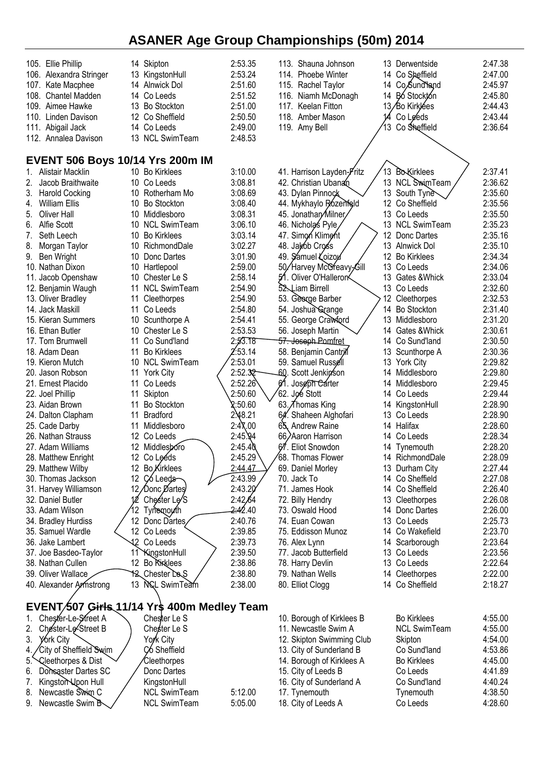| 105. Ellie Phillip<br>106. Alexandra Stringer<br>107. Kate Macphee<br>108. Chantel Madden<br>109. Aimee Hawke<br>110. Linden Davison<br>111. Abigail Jack<br>112. Annalea Davison | 14 Skipton<br>13 KingstonHull<br>14 Alnwick Dol<br>14 Co Leeds<br>13 Bo Stockton<br>12 Co Sheffield<br>14 Co Leeds<br>13 NCL SwimTeam | 2:53.35<br>2:53.24<br>2:51.60<br>2:51.52<br>2:51.00<br>2:50.50<br>2:49.00<br>2:48.53 | 113. Shauna Johnson<br>114. Phoebe Winter<br>115. Rachel Taylor<br>116. Niamh McDonagh<br>117. Keelan Fitton<br>118. Amber Mason<br>119. Amy Bell | 14<br>14<br>14<br>13 | 13 Derwentside<br>14 Co Sheffield<br>Co,Sund land<br>Bó Stocktón<br>13/Bo Kirklées<br>Co Leeds<br>Co Sheffield | 2:47.38<br>2:47.00<br>2:45.97<br>2:45.80<br>2:44.43<br>2:43.44<br>2:36.64 |
|-----------------------------------------------------------------------------------------------------------------------------------------------------------------------------------|---------------------------------------------------------------------------------------------------------------------------------------|--------------------------------------------------------------------------------------|---------------------------------------------------------------------------------------------------------------------------------------------------|----------------------|----------------------------------------------------------------------------------------------------------------|---------------------------------------------------------------------------|
| <b>EVENT 506 Boys 10/14 Yrs 200m IM</b>                                                                                                                                           |                                                                                                                                       |                                                                                      |                                                                                                                                                   |                      |                                                                                                                |                                                                           |
| Alistair Macklin<br>1.                                                                                                                                                            | 10 Bo Kirklees                                                                                                                        | 3:10.00                                                                              | 41. Harrison Layden-Fritz                                                                                                                         |                      | 13 Bo <b>Kirklees</b>                                                                                          | 2:37.41                                                                   |
| 2.<br>Jacob Braithwaite<br>3.<br><b>Harold Cocking</b>                                                                                                                            | 10 Co Leeds<br>10 Rotherham Mo                                                                                                        | 3:08.81<br>3:08.69                                                                   | 42. Christian Ubanan<br>43. Dylan Pinnock                                                                                                         |                      | 13 NCL SwimTeam<br>13 South Tyne                                                                               | 2:36.62<br>2:35.60                                                        |
| William Ellis<br>4.                                                                                                                                                               | <b>Bo Stockton</b><br>10                                                                                                              | 3:08.40                                                                              | 44. Mykhaylo Rózenfeld                                                                                                                            | $12 \,$              | Co Sheffield                                                                                                   | 2:35.56                                                                   |
| 5.<br>Oliver Hall                                                                                                                                                                 | Middlesboro<br>10                                                                                                                     | 3:08.31                                                                              | 45. Jonathary Milner                                                                                                                              | 13                   | Co Leeds                                                                                                       | 2:35.50                                                                   |
| 6.<br>Alfie Scott                                                                                                                                                                 | <b>NCL SwimTeam</b><br>10                                                                                                             | 3:06.10                                                                              | 46. Nicholas Pyle                                                                                                                                 | 13                   | <b>NCL SwimTeam</b>                                                                                            | 2:35.23                                                                   |
| Seth Leech<br>7.                                                                                                                                                                  | <b>Bo Kirklees</b><br>10                                                                                                              | 3:03.14                                                                              | 47. Simon Kliment                                                                                                                                 | 12                   | Donc Dartes                                                                                                    | 2:35.16                                                                   |
| 8.<br>Morgan Taylor                                                                                                                                                               | RichmondDale<br>10                                                                                                                    | 3:02.27                                                                              | 48. Jakob Cross                                                                                                                                   |                      | 13 Alnwick Dol                                                                                                 | 2:35.10                                                                   |
| 9.<br>Ben Wright<br>10. Nathan Dixon                                                                                                                                              | Donc Dartes<br>10<br>10<br>Hartlepool                                                                                                 | 3:01.90<br>2:59.00                                                                   | 49. Samuel Loizou<br>50/Harvey McGreavy-Gill                                                                                                      | 12<br>13             | <b>Bo Kirklees</b><br>Co Leeds                                                                                 | 2:34.34<br>2:34.06                                                        |
| 11. Jacob Openshaw                                                                                                                                                                | Chester Le S<br>10                                                                                                                    | 2:58.14                                                                              | Oliver O'Halleron<br>51                                                                                                                           | 13                   | Gates &Whick                                                                                                   | 2:33.04                                                                   |
| 12. Benjamin Waugh                                                                                                                                                                | <b>NCL SwimTeam</b><br>11                                                                                                             | 2:54.90                                                                              | 52. Liam Birrell                                                                                                                                  |                      | 13 Co Leeds                                                                                                    | 2:32.60                                                                   |
| 13. Oliver Bradley                                                                                                                                                                | 11<br>Cleethorpes                                                                                                                     | 2:54.90                                                                              | 53. George Barber                                                                                                                                 | 12                   | Cleethorpes                                                                                                    | 2:32.53                                                                   |
| 14. Jack Maskill                                                                                                                                                                  | 11<br>Co Leeds                                                                                                                        | 2:54.80                                                                              | 54. Joshua Grange                                                                                                                                 | 14                   | <b>Bo Stockton</b>                                                                                             | 2:31.40                                                                   |
| 15. Kieran Summers                                                                                                                                                                | 10<br>Scunthorpe A                                                                                                                    | 2:54.41                                                                              | 55. George Crawford                                                                                                                               | 13                   | Middlesboro                                                                                                    | 2:31.20                                                                   |
| 16. Ethan Butler<br>17. Tom Brumwell                                                                                                                                              | 10<br>Chester Le S<br>Co Sund'land<br>11                                                                                              | 2:53.53<br>2:53.18                                                                   | 56. Joseph Martin<br><del>57. Joseph Pomfret</del>                                                                                                | 14<br>14             | Gates & Whick<br>Co Sund'land                                                                                  | 2:30.61<br>2:30.50                                                        |
| 18. Adam Dean                                                                                                                                                                     | <b>Bo Kirklees</b><br>11                                                                                                              | :53.14                                                                               | 58. Benjamin Cantril                                                                                                                              |                      | 13 Scunthorpe A                                                                                                | 2:30.36                                                                   |
| 19. Kieron Mutch                                                                                                                                                                  | 10 NCL SwimTeam                                                                                                                       | 2:53.01                                                                              | 59. Samuel Russell                                                                                                                                |                      | 13 York City                                                                                                   | 2:29.82                                                                   |
| 20. Jason Robson                                                                                                                                                                  | 11 York City                                                                                                                          | 2:52.32                                                                              | -60. Scott Jenkin⁄son                                                                                                                             |                      | 14 Middlesboro                                                                                                 | 2:29.80                                                                   |
| 21. Ernest Placido                                                                                                                                                                | 11<br>Co Leeds                                                                                                                        | 2:52.26                                                                              | 61. Joseph Carter                                                                                                                                 |                      | 14 Middlesboro                                                                                                 | 2:29.45                                                                   |
| 22. Joel Phillip                                                                                                                                                                  | Skipton<br>11                                                                                                                         | 2:50.60                                                                              | 62. Joé Stott                                                                                                                                     | 14                   | Co Leeds                                                                                                       | 2:29.44                                                                   |
| 23. Aidan Brown                                                                                                                                                                   | <b>Bo Stockton</b><br>11                                                                                                              | 2:50.60                                                                              | 63. Thomas King                                                                                                                                   | 14                   | KingstonHull                                                                                                   | 2:28.90                                                                   |
| 24. Dalton Clapham<br>25. Cade Darby                                                                                                                                              | <b>Bradford</b><br>11<br>Middlesboro<br>11                                                                                            | 2.48.21<br>2:47.00                                                                   | 64. Shaheen Alghofari<br>65. Andrew Raine                                                                                                         | 14                   | 13 Co Leeds<br>Halifax                                                                                         | 2:28.90<br>2:28.60                                                        |
| 26. Nathan Strauss                                                                                                                                                                | 12<br>Co Leeds                                                                                                                        | 2:45.94                                                                              | 66/Aaron Harrison                                                                                                                                 | 14                   | Co Leeds                                                                                                       | 2:28.34                                                                   |
| 27. Adam Williams                                                                                                                                                                 | 12<br>Middlesboro                                                                                                                     | 2:45.40                                                                              | 67. Eliot Snowdon                                                                                                                                 | 14                   | Tynemouth                                                                                                      | 2:28.20                                                                   |
| 28. Matthew Enright                                                                                                                                                               | 12 Co Leéds                                                                                                                           | 2:45.29                                                                              | 68. Thomas Flower                                                                                                                                 |                      | 14 RichmondDale                                                                                                | 2:28.09                                                                   |
| 29. Matthew Wilby                                                                                                                                                                 | 12 Bo Kirklees                                                                                                                        | 2:44.47                                                                              | 69. Daniel Morley                                                                                                                                 |                      | 13 Durham City                                                                                                 | 2:27.44                                                                   |
| 30. Thomas Jackson                                                                                                                                                                | 12 Co Leeds                                                                                                                           | 2:43.99                                                                              | 70. Jack To                                                                                                                                       |                      | 14 Co Sheffield                                                                                                | 2:27.08                                                                   |
| 31. Harvey Williamson                                                                                                                                                             | 12 Donc Dartes                                                                                                                        | 2:43.20                                                                              | 71. James Hook                                                                                                                                    |                      | 14 Co Sheffield                                                                                                | 2:26.40                                                                   |
| 32. Daniel Butler<br>33. Adam Wilson                                                                                                                                              | Chester Le/S                                                                                                                          | 2:42,64<br><del>2:4</del> 2.40                                                       | 72. Billy Hendry<br>73. Oswald Hood                                                                                                               |                      | 13 Cleethorpes<br>14 Donc Dartes                                                                               | 2:26.08<br>2:26.00                                                        |
| 34. Bradley Hurdiss                                                                                                                                                               | Tynemouth<br>12 Donc Dartes                                                                                                           | 2:40.76                                                                              | 74. Euan Cowan                                                                                                                                    |                      | 13 Co Leeds                                                                                                    | 2:25.73                                                                   |
| 35. Samuel Wardle                                                                                                                                                                 | 12 Co Leeds                                                                                                                           | 2:39.85                                                                              | 75. Eddisson Munoz                                                                                                                                |                      | 14 Co Wakefield                                                                                                | 2:23.70                                                                   |
| 36. Jake Lambert                                                                                                                                                                  | 42 Co Leeds                                                                                                                           | 2:39.73                                                                              | 76. Alex Lynn                                                                                                                                     |                      | 14 Scarborough                                                                                                 | 2:23.64                                                                   |
| 37. Joe Basdeo-Taylor                                                                                                                                                             | 11 KingstonHull                                                                                                                       | 2:39.50                                                                              | 77. Jacob Butterfield                                                                                                                             |                      | 13 Co Leeds                                                                                                    | 2:23.56                                                                   |
| 38. Nathan Cullen                                                                                                                                                                 | 12 Bo Kinklees                                                                                                                        | 2:38.86                                                                              | 78. Harry Devlin                                                                                                                                  |                      | 13 Co Leeds                                                                                                    | 2:22.64                                                                   |
| 39. Oliver Wallace                                                                                                                                                                | 12 Chester De S                                                                                                                       | 2:38.80                                                                              | 79. Nathan Wells                                                                                                                                  |                      | 14 Cleethorpes                                                                                                 | 2:22.00                                                                   |
| 40. Alexander Armstrong                                                                                                                                                           | 13 NGL SwimTeam                                                                                                                       | 2:38.00                                                                              | 80. Elliot Clogg                                                                                                                                  |                      | 14 Co Sheffield                                                                                                | 2:18.27                                                                   |
| EVENT/507 Girls 11/14 Yrs 400m Medley Team                                                                                                                                        |                                                                                                                                       |                                                                                      |                                                                                                                                                   |                      |                                                                                                                |                                                                           |
| Chester-Le-Street A<br>1.                                                                                                                                                         | Chester Le S                                                                                                                          |                                                                                      | 10. Borough of Kirklees B                                                                                                                         |                      | <b>Bo Kirklees</b>                                                                                             | 4:55.00                                                                   |
| Chester-Le-Street B<br>2.                                                                                                                                                         | Chester Le S                                                                                                                          |                                                                                      | 11. Newcastle Swim A                                                                                                                              |                      | <b>NCL SwimTeam</b>                                                                                            | 4:55.00                                                                   |
| 3.<br>York City                                                                                                                                                                   | York City                                                                                                                             |                                                                                      | 12. Skipton Swimming Club                                                                                                                         |                      | Skipton                                                                                                        | 4:54.00                                                                   |
| City of Sheffield Swim<br>4.                                                                                                                                                      | C <sub>6</sub> Sheffield                                                                                                              |                                                                                      | 13. City of Sunderland B                                                                                                                          |                      | Co Sund'land                                                                                                   | 4:53.86                                                                   |
| Cleethorpes & Dist<br>5.                                                                                                                                                          | Cleethorpes                                                                                                                           |                                                                                      | 14. Borough of Kirklees A                                                                                                                         |                      | <b>Bo Kirklees</b>                                                                                             | 4:45.00                                                                   |
| 6.<br>Donsaster Dartes SC<br>Kingston Upon Hull                                                                                                                                   | Donc Dartes<br>KingstonHull                                                                                                           |                                                                                      | 15. City of Leeds B<br>16. City of Sunderland A                                                                                                   |                      | Co Leeds<br>Co Sund'land                                                                                       | 4:41.89<br>4:40.24                                                        |
| Newcastle Swim C<br>8.                                                                                                                                                            | <b>NCL SwimTeam</b>                                                                                                                   | 5:12.00                                                                              | 17. Tynemouth                                                                                                                                     |                      | Tynemouth                                                                                                      | 4:38.50                                                                   |
| Newcastle Swim B<br>9.                                                                                                                                                            | <b>NCL SwimTeam</b>                                                                                                                   | 5:05.00                                                                              | 18. City of Leeds A                                                                                                                               |                      | Co Leeds                                                                                                       | 4:28.60                                                                   |
|                                                                                                                                                                                   |                                                                                                                                       |                                                                                      |                                                                                                                                                   |                      |                                                                                                                |                                                                           |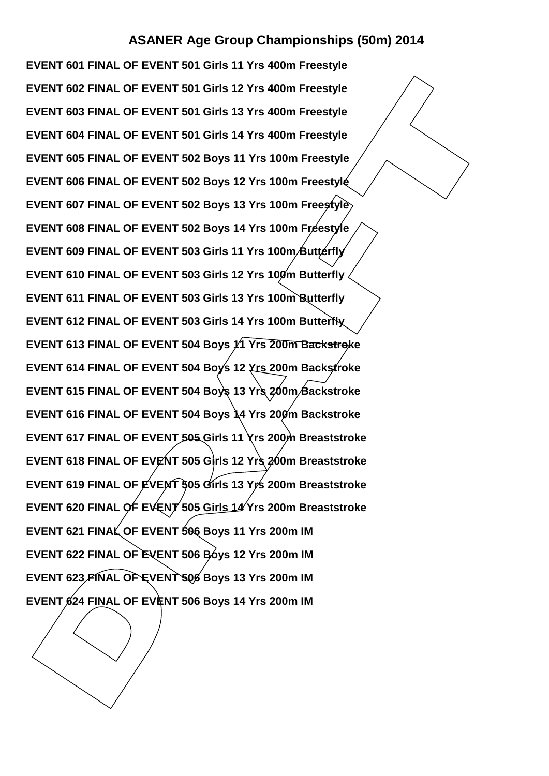**EVENT 601 FINAL OF EVENT 501 Girls 11 Yrs 400m Freestyle EVENT 602 FINAL OF EVENT 501 Girls 12 Yrs 400m Freestyle EVENT 603 FINAL OF EVENT 501 Girls 13 Yrs 400m Freestyle EVENT 604 FINAL OF EVENT 501 Girls 14 Yrs 400m Freestyle EVENT 605 FINAL OF EVENT 502 Boys 11 Yrs 100m Freestyle EVENT 606 FINAL OF EVENT 502 Boys 12 Yrs 100m Freestyle EVENT 607 FINAL OF EVENT 502 Boys 13 Yrs 100m Freestyle EVENT 608 FINAL OF EVENT 502 Boys 14 Yrs 100m Freestyle** EVENT 609 FINAL OF EVENT 503 Girls 11 Yrs 100m **Butterfly EVENT 610 FINAL OF EVENT 503 Girls 12 Yrs 100m Butterfly EVENT 611 FINAL OF EVENT 503 Girls 13 Yrs 100m Butterfly EVENT 612 FINAL OF EVENT 503 Girls 14 Yrs 100m Butterfly EVENT 613 FINAL OF EVENT 504 Boys 11 Yrs 200m Backstroke EVENT 614 FINAL OF EVENT 504 Boys 12 Yrs 200m Backstroke EVENT 615 FINAL OF EVENT 504 Boys 13 Yrs 200m Backstroke EVENT 616 FINAL OF EVENT 504 Boys 14 Yrs 200m Backstroke EVENT 617 FINAL OF EVENT 505 Girls 11 Yrs 200m Breaststroke EVENT 618 FINAL OF EVENT 505 Girls 12 Yrs 200m Breaststroke EVENT 619 FINAL OF EVENT 505 Girls 13 Yrs 200m Breaststroke EVENT 620 FINAL OF EVENT 505 Girls 14 Yrs 200m Breaststroke EVENT 621 FINAL OF EVENT 506 Boys 11 Yrs 200m IM EVENT 622 FINAL OF EVENT 506 Boys 12 Yrs 200m IM EVENT 623 FINAL OF EVENT 506 Boys 13 Yrs 200m IM EVENT 624 FINAL OF EVENT 506 Boys 14 Yrs 200m IM**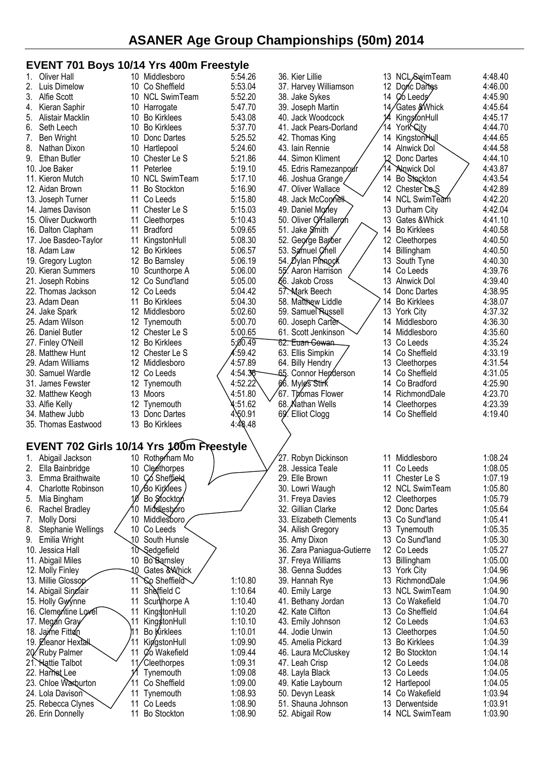### **EVENT 701 Boys 10/14 Yrs 400m Freestyle**

| 1. | Oliver Hall                              |                 | $1911 - 119 - 199111 - 1999$<br>10 Middlesboro | 5:54.26            | 36. Kier Lillie                       |    | 13 NCL SwimTeam                | 4:48.40            |
|----|------------------------------------------|-----------------|------------------------------------------------|--------------------|---------------------------------------|----|--------------------------------|--------------------|
| 2. | Luis Dimelow                             |                 | 10 Co Sheffield                                | 5:53.04            | 37. Harvey Williamson                 |    | 12 Donc Dartes                 | 4:46.00            |
|    |                                          |                 |                                                |                    |                                       |    |                                |                    |
| 3. | Alfie Scott                              |                 | 10 NCL SwimTeam                                | 5:52.20            | 38. Jake Sykes                        | 14 | Co Leeds                       | 4:45.90            |
| 4. | Kieran Saphir                            |                 | 10 Harrogate                                   | 5:47.70            | 39. Joseph Martin                     | 14 | ∕Gates <i>%</i> Whick          | 4:45.64            |
| 5. | Alistair Macklin                         |                 | 10 Bo Kirklees                                 | 5:43.08            | 40. Jack Woodcock                     |    | KingsfonHull                   | 4:45.17            |
| 6. | Seth Leech                               |                 | 10 Bo Kirklees                                 | 5:37.70            | 41. Jack Pears-Dorland                | 14 | York City                      | 4:44.70            |
| 7. | Ben Wright                               | 10              | Donc Dartes                                    | 5:25.52            | 42. Thomas King                       | 14 | KingstonHull                   | 4:44.65            |
| 8. | Nathan Dixon                             |                 | 10 Hartlepool                                  | 5:24.60            | 43. Iain Rennie                       | 14 | Alnwick Dol                    | 4:44.58            |
| 9. | Ethan Butler                             | 10              | Chester Le S                                   | 5:21.86            | 44. Simon Kliment                     | 12 | Donc Dartes                    | 4:44.10            |
|    | 10. Joe Baker                            |                 | 11 Peterlee                                    | 5:19.10            | 45. Edris Ramezanpoxir                | 14 | <b>Alnwick Dol</b>             | 4:43.87            |
|    | 11. Kieron Mutch                         |                 | 10 NCL SwimTeam                                | 5:17.10            | 46. Joshua Grange                     | 14 | Bo Stockton                    | 4:43.54            |
|    | 12. Aidan Brown                          | 11              | <b>Bo Stockton</b>                             | 5:16.90            | 47. Oliver Wallace                    |    | 12 Chester Le <sub>S</sub>     | 4:42.89            |
|    | 13. Joseph Turner                        | 11              | Co Leeds                                       | 5:15.80            | 48. Jack McConnel                     | 14 | NCL SwimTeam                   | 4:42.20            |
|    | 14. James Davison                        | 11              | Chester Le S                                   | 5:15.03            | 49. Daniel Morley                     | 13 | Durham City                    | 4:42.04            |
|    | 15. Oliver Duckworth                     |                 | 11 Cleethorpes                                 | 5:10.43            | 50. Oliver O/Halleron                 | 13 | Gates & Whick                  | 4:41.10            |
|    |                                          | 11              | <b>Bradford</b>                                |                    |                                       |    |                                |                    |
|    | 16. Dalton Clapham                       |                 |                                                | 5:09.65            | 51. Jake Smith                        | 14 | <b>Bo Kirklees</b>             | 4:40.58            |
|    | 17. Joe Basdeo-Taylor                    | 11              | KingstonHull                                   | 5:08.30            | 52. George Barber                     | 12 | Cleethorpes                    | 4:40.50            |
|    | 18. Adam Law                             |                 | 12 Bo Kirklees                                 | 5:06.57            | 53. Samuel Chell                      | 14 | Billingham                     | 4:40.50            |
|    | 19. Gregory Lugton                       |                 | 12 Bo Barnsley                                 | 5:06.19            | 54. Øylan Pinnock                     |    | 13 South Tyne                  | 4:40.30            |
|    | 20. Kieran Summers                       |                 | 10 Scunthorpe A                                | 5:06.00            | 55. Aaron Harrison                    | 14 | Co Leeds                       | 4:39.76            |
|    | 21. Joseph Robins                        |                 | 12 Co Sund'land                                | 5:05.00            | <b>§6. Jakob Cross</b>                | 13 | <b>Alnwick Dol</b>             | 4:39.40            |
|    | 22. Thomas Jackson                       |                 | 12 Co Leeds                                    | 5:04.42            | 57. Mark Beech                        |    | 14 Donc Dartes                 | 4:38.95            |
|    | 23. Adam Dean                            | 11              | <b>Bo Kirklees</b>                             | 5:04.30            | 58. Matthew Liddle                    | 14 | <b>Bo Kirklees</b>             | 4:38.07            |
|    | 24. Jake Spark                           |                 | 12 Middlesboro                                 | 5:02.60            | 59. Samuel Russell                    | 13 | <b>York City</b>               | 4:37.32            |
|    | 25. Adam Wilson                          |                 | 12 Tynemouth                                   | 5:00.70            | 60. Joseph Carter                     |    | 14 Middlesboro                 | 4:36.30            |
|    | 26. Daniel Butler                        |                 | 12 Chester Le S                                | 5:00.65            | 61. Scott Jenkinson                   | 14 | Middlesboro                    | 4:35.60            |
|    |                                          |                 |                                                | 5:00.49            |                                       |    |                                |                    |
|    | 27. Finley O'Neill                       |                 | 12 Bo Kirklees                                 |                    | 62. Euan Cowan                        | 13 | Co Leeds                       | 4:35.24            |
|    | 28. Matthew Hunt                         |                 | 12 Chester Le S                                | 4:59.42            | 63. Ellis Simpkin                     |    | 14 Co Sheffield                | 4:33.19            |
|    | 29. Adam Williams                        |                 | 12 Middlesboro                                 | 4:57.89            | 64. Billy Hendry                      |    | 13 Cleethorpes                 | 4:31.54            |
|    | 30. Samuel Wardle                        |                 | 12 Co Leeds                                    | 4:54.36            | 65. Connor Henderson                  |    | 14 Co Sheffield                | 4:31.05            |
|    | 31. James Fewster                        |                 | 12 Tynemouth                                   | 4:52.22            | 66. Myles Stirk                       |    | 14 Co Bradford                 | 4:25.90            |
|    | 32. Matthew Keogh                        |                 | 13 Moors                                       | 4:51.80            | 67. Thomas Flower                     |    | 14 RichmondDale                | 4:23.70            |
|    | 33. Alfie Kelly                          |                 | 12 Tynemouth                                   | 4:51.62            | 68. Nathan Wells                      | 14 | Cleethorpes                    | 4:23.39            |
|    | 34. Mathew Jubb                          |                 | 13 Donc Dartes                                 | 4.60.91            | 69. Elliot Clogg                      |    | 14 Co Sheffield                | 4:19.40            |
|    | 35. Thomas Eastwood                      |                 | 13 Bo Kirklees                                 | 4:48.48            |                                       |    |                                |                    |
|    |                                          |                 |                                                |                    |                                       |    |                                |                    |
|    | EVENT 702 Girls 10/14 Yrs 100m Freestyle |                 |                                                |                    |                                       |    |                                |                    |
|    |                                          |                 |                                                |                    | 27. Robyn Dickinson                   |    |                                | 1:08.24            |
|    | 1. Abigail Jackson                       |                 | 10 Rotherham Mo                                |                    |                                       |    | 11 Middlesboro                 |                    |
|    | 2. Ella Bainbridge                       |                 | 10 Cleethorpes                                 |                    | 28. Jessica Teale                     | 11 | Co Leeds                       | 1:08.05            |
| 3. | Emma Braithwaite                         |                 | 10 Co Sheffield                                | v                  | 29. Elle Brown                        |    | 11 Chester Le S                | 1:07.19            |
| 4. | Charlotte Robinson                       |                 | 10 <i>A</i> o Kirklees                         |                    | 30. Lowri Waugh                       |    | 12 NCL SwimTeam                | 1:05.80            |
| 5. | Mia Bingham                              |                 | 10 Bo Stockton                                 |                    | 31. Freya Davies                      |    | 12 Cleethorpes                 | 1:05.79            |
| 6. | Rachel Bradley                           |                 | Middlesboro                                    |                    | 32. Gillian Clarke                    | 12 | Donc Dartes                    | 1:05.64            |
| 7. | <b>Molly Dorsi</b>                       | 10              | Middlesboro                                    |                    | 33. Elizabeth Clements                | 13 | Co Sund'land                   | 1:05.41            |
| 8. | Stephanie Wellings                       | 10 <sup>°</sup> | Co Leeds                                       |                    | 34. Ailish Gregory                    | 13 | Tynemouth                      | 1:05.35            |
| 9. | Emilia Wright                            | .10             | South Hunsle                                   |                    | 35. Amy Dixon                         | 13 | Co Sund'land                   | 1:05.30            |
|    | 10. Jessica Hall                         |                 | 10 Sedgefield                                  |                    | 36. Zara Paniagua-Gutierre            |    | 12 Co Leeds                    | 1:05.27            |
|    | 11. Abigail Miles                        | 10              | <b>Bo Barnsley</b>                             |                    | 37. Freya Williams                    | 13 | Billingham                     | 1:05.00            |
|    |                                          | 10              | Gates & Whick                                  |                    | 38. Genna Suddes                      |    | 13 York City                   | 1:04.96            |
|    | 12. Molly Finley                         |                 |                                                |                    |                                       |    |                                |                    |
|    | 13. Millie Glossop                       | 11              | `&o Sheffiel∂                                  | 1:10.80            | 39. Hannah Rye                        | 13 | RichmondDale                   | 1:04.96            |
|    | 14. Abigail Sinelair                     | 11              | Sheffield C                                    | 1:10.64            | 40. Emily Large                       | 13 | <b>NCL SwimTeam</b>            | 1:04.90            |
|    | 15. Holly Gyynne                         | 11              | Scunthorpe A                                   | 1:10.40            | 41. Bethany Jordan                    |    | 13 Co Wakefield                | 1:04.70            |
|    | 16. Clementine Lovel                     | 11              | KingstonHull                                   | 1:10.20            | 42. Kate Clifton                      |    | 13 Co Sheffield                | 1:04.64            |
|    | 17. Megan Gray                           | 11              | King ston Hull                                 | 1:10.10            | 43. Emily Johnson                     |    | 12 Co Leeds                    | 1:04.63            |
|    | 18. Jaime Fitton                         | M1              | Bo Kirklees                                    | 1:10.01            | 44. Jodie Unwin                       | 13 | Cleethorpes                    | 1:04.50            |
|    | 19. Eleanor Hextall                      | 11              | KipgstonHull                                   | 1:09.90            | 45. Amelia Pickard                    | 13 | <b>Bo Kirklees</b>             | 1:04.39            |
|    | 20. Ruby Palmer                          | 11              | Øo Wakefield                                   | 1:09.44            | 46. Laura McCluskey                   | 12 | <b>Bo Stockton</b>             | 1:04.14            |
|    | 21. Hattie Talbot                        | 11              | Cleethorpes                                    | 1:09.31            | 47. Leah Crisp                        |    | 12 Co Leeds                    | 1:04.08            |
|    | 22. Harriet Lee                          |                 | Tynemouth                                      | 1:09.08            | 48. Layla Black                       |    | 13 Co Leeds                    | 1:04.05            |
|    |                                          | 11              |                                                |                    |                                       |    |                                |                    |
|    | 23. Chloe Warburton                      |                 | Co Sheffield                                   | 1:09.00            | 49. Katie Laybourn                    |    | 12 Hartlepool                  | 1:04.05            |
|    | 24. Lola Davison                         | 11              | Tynemouth                                      | 1:08.93            | 50. Devyn Leask                       | 14 | Co Wakefield                   | 1:03.94            |
|    |                                          |                 |                                                |                    |                                       |    |                                |                    |
|    | 25. Rebecca Clynes<br>26. Erin Donnelly  | 11<br>11        | Co Leeds<br><b>Bo Stockton</b>                 | 1:08.90<br>1:08.90 | 51. Shauna Johnson<br>52. Abigail Row | 13 | Derwentside<br>14 NCL SwimTeam | 1:03.91<br>1:03.90 |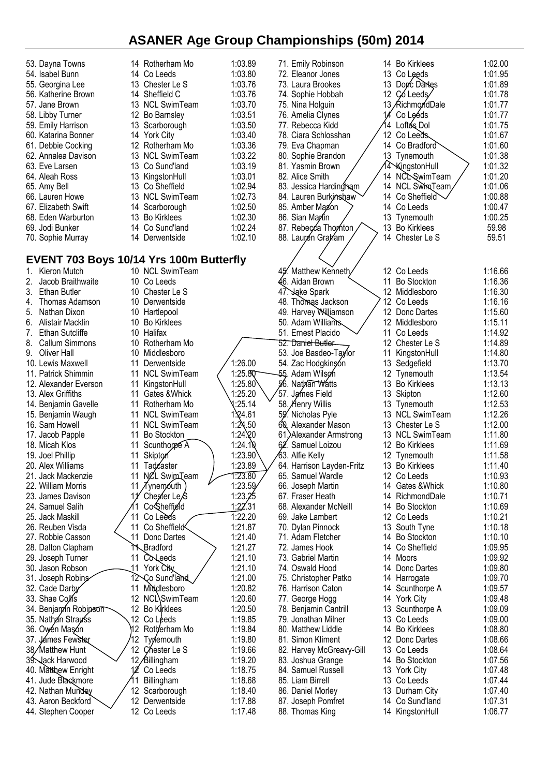| 53. Dayna Towns              | 14 Rotherham Mo                         | 1:03.89 | 71. Emily Robinson            | 14  | <b>Bo Kirklees</b> | 1:02.00 |
|------------------------------|-----------------------------------------|---------|-------------------------------|-----|--------------------|---------|
| 54. Isabel Bunn              | 14 Co Leeds                             | 1:03.80 | 72. Eleanor Jones             |     | 13 Co Leeds        | 1:01.95 |
| 55. Georgina Lee             | 13 Chester Le S                         | 1:03.76 | 73. Laura Brookes             | 13  | Dopc Dartes        | 1:01.89 |
| 56. Katherine Brown          | 14 Sheffield C                          | 1:03.76 | 74. Sophie Hobbah             | 12  | Co Leeds           | 1:01.78 |
| 57. Jane Brown               | 13 NCL SwimTeam                         | 1:03.70 | 75. Nina Holguin              |     | 13 AichmondDale    | 1:01.77 |
| 58. Libby Turner             | Bo Barnsley<br>12                       | 1:03.51 | 76. Amelia Clynes             |     | Co Leéds           | 1:01.77 |
| 59. Emily Harrison           | 13 Scarborough                          | 1:03.50 | 77. Rebecca Kidd              | 14  | Loftu's Dol        | 1:01.75 |
| 60. Katarina Bonner          | 14 York City                            | 1:03.40 | 78. Ciara Schlosshan          |     | 12 Co Leeds        | 1:01.67 |
| 61. Debbie Cocking           | 12 Rotherham Mo                         | 1:03.36 | 79. Eva Chapman               | 14  | Co Bradford        | 1:01.60 |
| 62. Annalea Davison          | 13 NCL SwimTeam                         | 1:03.22 | 80. Sophie Brandon            |     | 13 Tynemouth       | 1:01.38 |
| 63. Eve Larsen               | 13 Co Sund'land                         | 1:03.19 | 81. Yasmin Brown              |     | 14 KingstonHull    | 1:01.32 |
| 64. Aleah Ross               | 13 KingstonHull                         | 1:03.01 | 82. Alice Smith               | 14. | NCLSwimTeam        | 1:01.20 |
| 65. Amy Bell                 | 13 Co Sheffield                         | 1:02.94 | 83. Jessica Hardingham        |     | 14 NCL Swim Team   | 1:01.06 |
| 66. Lauren Howe              | 13 NCL SwimTeam                         | 1:02.73 | 84. Lauren Burkinshaw         | 14  | Co Sheffield       | 1:00.88 |
| 67. Elizabeth Swift          | Scarborough<br>14                       | 1:02.50 | 85. Amber Magon               | 14  | Co Leeds           | 1:00.47 |
| 68. Eden Warburton           | 13<br><b>Bo Kirklees</b>                | 1:02.30 | 86. Sian Martin               | 13  | Tynemouth          | 1:00.25 |
| 69. Jodi Bunker              | 14 Co Sund'land                         | 1:02.24 | 87. Rebecca Thomton           | 13  | <b>Bo Kirklees</b> | 59.98   |
| 70. Sophie Murray            | 14 Derwentside                          | 1:02.10 | 88. Lauren Graham             | 14  | Chester Le S       | 59.51   |
|                              |                                         |         |                               |     |                    |         |
|                              | EVENT 703 Boys 10/14 Yrs 100m Butterfly |         |                               |     |                    |         |
| Kieron Mutch<br>1.           | 10 NCL SwimTeam                         |         | 45. Matthew Kenneth           |     | 12 Co Leeds        | 1:16.66 |
| Jacob Braithwaite            | 10 Co Leeds                             |         | <b>4</b> 6. Aidan Brown       | 11  | <b>Bo Stockton</b> | 1:16.36 |
| 3.<br><b>Ethan Butler</b>    | 10 Chester Le S                         |         | 47. Jake Spark                |     | 12 Middlesboro     | 1:16.30 |
| Thomas Adamson<br>4.         | 10 Derwentside                          |         | 48. Thomas Jackson            | 12  | Co Leeds           | 1:16.16 |
| Nathan Dixon<br>5.           | 10 Hartlepool                           |         | 49. Harvey Williamson         |     | 12 Donc Dartes     | 1:15.60 |
| 6.<br>Alistair Macklin       | 10<br><b>Bo Kirklees</b>                |         | 50. Adam Williams             |     | 12 Middlesboro     | 1:15.11 |
| 7.<br><b>Ethan Sutcliffe</b> | 10 Halifax                              |         | 51. Ernest Placido            | 11  | Co Leeds           | 1:14.92 |
| <b>Callum Simmons</b><br>8.  | Rotherham Mo<br>10                      |         | 52. Dani <del>el Butler</del> |     | 12 Chester Le S    | 1:14.89 |
| Oliver Hall<br>9.            | Middlesboro<br>10                       |         | 53. Joe Basdeo-Taylor         | 11  | KingstonHull       | 1:14.80 |
| 10. Lewis Maxwell            | Derwentside<br>11                       | 1:26.00 | 54. Zac Hodgkinşón            | 13  | Sedgefield         | 1:13.70 |
| 11. Patrick Shimmin          | 11<br><b>NCL SwimTeam</b>               | 1:25.80 | 55. Adam Wilso⁄n              | 12  | Tynemouth          | 1:13.54 |
| 12. Alexander Everson        | 11<br>KingstonHull                      | 1:25.80 | 56. Nathan Watts              | 13  | <b>Bo Kirklees</b> | 1:13.13 |
| 13. Alex Griffiths           | 11<br>Gates & Whick                     | 1:25.20 | 57. James Field               | 13  | Skipton            | 1:12.60 |
| 14. Benjamin Gavelle         | 11<br>Rotherham Mo                      | 1:25.14 | 58. Henry Willis              | 13  | Tynemouth          | 1:12.53 |
| 15. Benjamin Waugh           | <b>NCL SwimTeam</b><br>11               | 1.24.61 | 59. Nicholas Pyle             |     | 13 NCL SwimTeam    | 1:12.26 |
| 16. Sam Howell               | NCL SwimTeam<br>11                      | 1:24.50 | 60.<br>Alexander Mason        | 13. | Chester Le S       | 1:12.00 |
| 17. Jacob Papple             | <b>Bo Stockton</b><br>11                | 1:24.20 | 61. Alexander Armstrong       |     | 13 NCL SwimTeam    | 1:11.80 |
| 18. Micah Klos               | Scunthoppe A<br>11                      | 1:24.10 | Samuel Loizou<br>62.          | 12  | <b>Bo Kirklees</b> | 1:11.69 |
| 19. Joel Phillip             | 11<br>Skipton                           | 1:23.90 | ⁄63. Alfie Kelly              |     | 12 Tynemouth       | 1:11.58 |
| 20. Alex Williams            | 11<br>Tadcaster                         | 1:23.89 | 64. Harrison Layden-Fritz     | 13  | <b>Bo Kirklees</b> | 1:11.40 |
| 21. Jack Mackenzie           | NCL Swip <sub>L</sub> eam<br>11         | 1:23.80 | 65. Samuel Wardle             | 12  | Co Leeds           | 1:10.93 |
| 22. William Morris           | <b>Tynemouth</b><br>11                  | 1:23.59 | 66. Joseph Martin             | 14  | Gates & Whick      | 1:10.80 |
| 23. James Davison            | Chester Le <sub>/S</sub>                | 1:23.25 | 67. Fraser Heath              | 14  | RichmondDale       | 1:10.71 |
| 24. Samuel Salih             | Co Sheffield<br>1                       | 1:22.31 | 68. Alexander McNeill         | 14  | <b>Bo Stockton</b> | 1:10.69 |
| 25. Jack Maskill             | 11<br>Co Leeds                          | 1:22.20 | 69. Jake Lambert              |     | 12 Co Leeds        | 1:10.21 |
| 26. Reuben Visda             | Co Sheffield<br>11                      | 1:21.87 | 70. Dylan Pinnock             | 13  | South Tyne         | 1:10.18 |
| 27. Robbie Casson            | 11<br>Donc Dartes                       | 1:21.40 | 71. Adam Fletcher             | 14  | <b>Bo Stockton</b> | 1:10.10 |
| 28. Dalton Clapham           | Bradford                                | 1:21.27 | 72. James Hook                | 14  | Co Sheffield       | 1:09.95 |
| 29. Joseph Turner            | Coleeds<br>11                           | 1:21.10 | 73. Gabriel Martin            | 14  | Moors              | 1:09.92 |
| 30. Jason Robson             | 11<br>York City                         | 1:21.10 | 74. Oswald Hood               | 14  | Donc Dartes        | 1:09.80 |
| 31. Joseph Robins            | 12 Co Sund'land                         | 1:21.00 | 75. Christopher Patko         | 14  | Harrogate          | 1:09.70 |
| 32. Cade Darby               | Middlesboro<br>11                       | 1:20.82 | 76. Harrison Caton            | 14  | Scunthorpe A       | 1:09.57 |
| 33. Shae Colls               | NCL\SwimTeam<br>12                      | 1:20.60 | 77. George Hogg               | 14  | <b>York City</b>   | 1:09.48 |
| 34. Benjamin Robipson        | 12<br>Bo Kirklees                       | 1:20.50 | 78. Benjamin Cantrill         | 13  | Scunthorpe A       | 1:09.09 |
| 35. Nathan Strauss           | 12 Co Leeds                             | 1:19.85 | 79. Jonathan Milner           | 13  | Co Leeds           | 1:09.00 |
| 36. Owen Mason               | Rotherham Mo                            | 1:19.84 | 80. Matthew Liddle            | 14  | <b>Bo Kirklees</b> | 1:08.80 |
| 37. Jámes Fewster            | 12<br>Typemouth                         | 1:19.80 | 81. Simon Kliment             | 12. | Donc Dartes        | 1:08.66 |
| 38/Matthew Hunt              | 12 Chester Le S                         | 1:19.66 | 82. Harvey McGreavy-Gill      | 13  | Co Leeds           | 1:08.64 |
| 39. Jack Harwood             | 12/Billingham                           | 1:19.20 | 83. Joshua Grange             | 14  | <b>Bo Stockton</b> | 1:07.56 |
| 40. Matthew Enright          | Co Leeds                                | 1:18.75 | 84. Samuel Russell            |     | 13 York City       | 1:07.48 |
| 41. Jude Blackmore           | Billingham                              | 1:18.68 | 85. Liam Birrell              | 13  | Co Leeds           | 1:07.44 |
| 42. Nathan Mundey            | 12 Scarborough                          | 1:18.40 | 86. Daniel Morley             | 13  | Durham City        | 1:07.40 |
| 43. Aaron Beckford           | 12 Derwentside                          | 1:17.88 | 87. Joseph Pomfret            | 14  | Co Sund'land       | 1:07.31 |
| 44. Stephen Cooper           | 12 Co Leeds                             | 1:17.48 | 88. Thomas King               |     | 14 KingstonHull    | 1:06.77 |
|                              |                                         |         |                               |     |                    |         |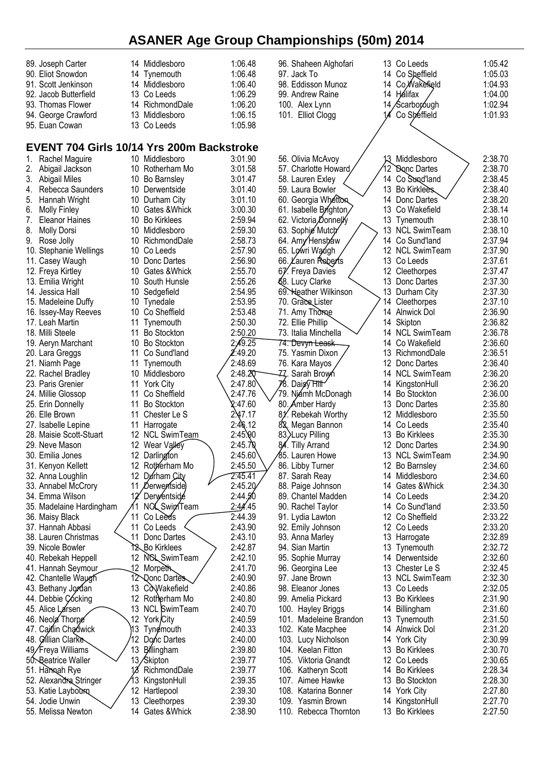| 89. Joseph Carter           | 14 Middlesboro                            | 1:06.48 | 96. Shaheen Alghofari       | 13 Co Leeds                        | 1:05.42 |
|-----------------------------|-------------------------------------------|---------|-----------------------------|------------------------------------|---------|
| 90. Eliot Snowdon           | 14 Tynemouth                              | 1:06.48 | 97. Jack To                 | 14 Co Sheffield                    | 1:05.03 |
| 91. Scott Jenkinson         | 14 Middlesboro                            | 1:06.40 | 98. Eddisson Munoz          | Co Wakefield<br>14                 | 1:04.93 |
| 92. Jacob Butterfield       | 13 Co Leeds                               | 1:06.29 | 99. Andrew Raine            | 14 Hálifax                         | 1:04.00 |
| 93. Thomas Flower           | 14<br>RichmondDale                        | 1:06.20 | 100. Alex Lynn              | 14 Scarborough                     | 1:02.94 |
|                             |                                           |         |                             |                                    |         |
| 94. George Crawford         | 13 Middlesboro                            | 1:06.15 | 101. Elliot Clogg           | Co Sheffield                       | 1:01.93 |
| 95. Euan Cowan              | 13 Co Leeds                               | 1:05.98 |                             |                                    |         |
|                             |                                           |         |                             |                                    |         |
|                             | EVENT 704 Girls 10/14 Yrs 200m Backstroke |         |                             |                                    |         |
| Rachel Maguire<br>1.        | 10 Middlesboro                            | 3:01.90 | 56. Olivia McAvoy           | Middlesboro<br>13.                 | 2:38.70 |
| 2.<br>Abigail Jackson       | 10 Rotherham Mo                           | 3:01.58 | 57. Charlotte Howard        | $12^{\circ}$<br><b>Bonc Dartes</b> | 2:38.70 |
| 3.<br><b>Abigail Miles</b>  | 10 Bo Barnsley                            | 3:01.47 | 58. Lauren Exley            | 14 Co Sond'land                    | 2:38.45 |
| Rebecca Saunders<br>4.      | 10 Derwentside                            | 3:01.40 | 59. Laura Bowler            | 13 Bo Kirklees.                    | 2:38.40 |
| Hannah Wright<br>5.         | 10 Durham City                            | 3:01.10 | 60. Georgia Whetton         | 14 Donc Dartes                     | 2:38.20 |
| 6.<br><b>Molly Finley</b>   | 10<br>Gates &Whick                        | 3:00.30 | 61. Isabelle Brighton/      | 13<br>Co Wakefield                 | 2:38.14 |
| 7.<br><b>Eleanor Haines</b> | 10<br><b>Bo Kirklees</b>                  | 2:59.94 | 62. Victoria Donnelly       | 13<br>Tynemouth                    | 2:38.10 |
| 8.<br><b>Molly Dorsi</b>    | 10 Middlesboro                            | 2:59.30 | 63. Sophie Mutch            | 13 NCL SwimTeam                    | 2:38.10 |
| Rose Jolly<br>9.            | 10 RichmondDale                           | 2:58.73 | 64. Amy Henshaw             | 14 Co Sund'land                    | 2:37.94 |
| 10. Stephanie Wellings      | 10 Co Leeds                               | 2:57.90 | 65. Lowri Waugh             | 12 NCL SwimTeam                    | 2:37.90 |
| 11. Casey Waugh             | Donc Dartes<br>10                         | 2:56.90 | 66. Lauren Reberts          | 13 Co Leeds                        | 2:37.61 |
| 12. Freya Kirtley           | 10 Gates & Whick                          | 2:55.70 | 67. Freya Davies            | 12<br>Cleethorpes                  | 2:37.47 |
| 13. Emilia Wright           | 10<br>South Hunsle                        | 2:55.26 | 68. Lucy Clarke             | 13<br>Donc Dartes                  | 2:37.30 |
| 14. Jessica Hall            | 10<br>Sedgefield                          | 2:54.95 | 69. Heather Wilkinson       | 13<br>Durham City                  | 2:37.30 |
| 15. Madeleine Duffy         | 10 Tynedale                               | 2:53.95 | 70. Grace Lister            | 14<br>Cleethorpes                  | 2:37.10 |
| 16. Issey-May Reeves        | 10 Co Sheffield                           | 2:53.48 | 71. Amy Thome               | 14<br>Alnwick Dol                  | 2:36.90 |
| 17. Leah Martin             | 11<br>Tynemouth                           | 2:50.30 | 72. Ellie Phillip           | 14 Skipton                         | 2:36.82 |
| 18. Milli Steele            | 11<br><b>Bo Stockton</b>                  | 2:50.20 | 73. Italia Minchella        | 14 NCL SwimTeam                    | 2:36.78 |
| 19. Aeryn Marchant          | 10 Bo Stockton                            | 2:49.25 | 74. Devy <del>n Leask</del> | 14<br>Co Wakefield                 | 2:36.60 |
| 20. Lara Greggs             | 11<br>Co Sund'land                        | :49.20  | 75. Yasmin Dixon            | 13<br>RichmondDale                 | 2:36.51 |
| 21. Niamh Page              | 11<br>Tynemouth                           | 2:48.69 | 76. Kara Mayos              | 12<br>Donc Dartes                  | 2:36.40 |
| 22. Rachel Bradley          | 10 Middlesboro                            | 2:48.20 | -ZZ. Sarah Brow⁄n           | 14 NCL SwimTeam                    | 2:36.20 |
| 23. Paris Grenier           | <b>York City</b><br>11                    | 2:47.80 | 78. Daisy Hill              | KingstonHull<br>14                 | 2:36.20 |
| 24. Millie Glossop          | 11<br>Co Sheffield                        | 2:47.76 | 79. Niámh McDonagh          | <b>Bo Stockton</b><br>14           | 2:36.00 |
| 25. Erin Donnelly           | 11<br><b>Bo Stockton</b>                  | 2:47.60 | 80. Amber Hardy             | 13<br>Donc Dartes                  | 2:35.80 |
| 26. Elle Brown              | 11<br>Chester Le S                        | 2.47.17 | Rebekah Worthy              | 12<br>Middlesboro                  | 2:35.50 |
| 27. Isabelle Lepine         | 11<br>Harrogate                           | 2:46.12 | 82.<br>Megan Bannon         | 14<br>Co Leeds                     | 2:35.40 |
| 28. Maisie Scott-Stuart     | 12 NCL SwimTeam                           | 2:45.90 | 83.>Lucy Pilling            | 13<br><b>Bo Kirklees</b>           | 2:35.30 |
| 29. Neve Mason              | 12 Wear Valley                            | 2:45.70 | 84. Tilly Arrand            | 12 Donc Dartes                     | 2:34.90 |
| 30. Emilia Jones            | 12<br>Darlington                          | 2:45.60 | ⁄85. Lauren Howe            | 13 NCL SwimTeam                    | 2:34.90 |
| 31. Kenyon Kellett          | 12<br>Rotherham Mo                        | 2:45.50 | 86. Libby Turner            | 12 <sup>°</sup><br>Bo Barnsley     | 2:34.60 |
| 32. Anna Loughlin           | Durham City<br>12                         | 2:45.41 | 87. Sarah Reay              | 14 Middlesboro                     | 2:34.60 |
| 33. Annabel McCrory         | 11<br>Derwertside                         | 2:45.20 | 88. Paige Johnson           | 14<br>Gates &Whick                 | 2:34.30 |
| 34. Emma Wilson             | 12'<br>Derwentside                        | 2:44.50 | 89. Chantel Madden          | 14 Co Leeds                        | 2:34.20 |
| 35. Madelaine Hardingham    | NCL SwimTeam                              | 2:44.45 | 90. Rachel Taylor           | 14 Co Sund'land                    | 2:33.50 |
| 36. Maisy Black             | 11<br>Co Leeds                            | 2:44.39 | 91. Lydia Lawton            | 12 Co Sheffield                    | 2:33.22 |
| 37. Hannah Abbasi           | 11<br>Co Leeds                            | 2:43.90 | 92. Emily Johnson           | 12 Co Leeds                        | 2:33.20 |
| 38. Lauren Christmas        | 11<br>Donc Dartes                         | 2:43.10 | 93. Anna Marley             | 13 Harrogate                       | 2:32.89 |
| 39. Nicole Bowler           | 12 Bo Kirklees                            | 2:42.87 | 94. Sian Martin             | 13 Tynemouth                       | 2:32.72 |
| 40. Rebekah Heppell         | 12<br><b>NCL SwimTeam</b>                 | 2:42.10 | 95. Sophie Murray           | 14 Derwentside                     | 2:32.60 |
| 41. Hannah Seymour          | 12 Morpeth                                | 2:41.70 | 96. Georgina Lee            | 13 Chester Le S                    | 2:32.45 |
| 42. Chantelle Waugh         | 12 Qonc Dartes                            | 2:40.90 | 97. Jane Brown              | 13 NCL SwimTeam                    | 2:32.30 |
| 43. Bethany Jordan          | CoWakefield<br>13                         | 2:40.86 | 98. Eleanor Jones           | 13 Co Leeds                        | 2:32.05 |
| 44. Debbie Çócking          | 12 Rotherham Mo                           | 2:40.80 | 99. Amelia Pickard          | 13 Bo Kirklees                     | 2:31.90 |
| 45. Alice Larsen            | 13<br><b>NCL SwimTeam</b>                 | 2:40.70 | 100. Hayley Briggs          | Billingham<br>14                   | 2:31.60 |
| 46. Neola Thorpe            | 12 <sup>°</sup><br>York/City              | 2:40.59 | 101. Madeleine Brandon      | 13 Tynemouth                       | 2:31.50 |
| 47. Caitlin Chadwick        | ήЗ<br>Tyne mouth                          | 2:40.33 | 102. Kate Macphee           | 14<br>Alnwick Dol                  | 2:31.20 |
| 48. Gillian Clarke          | 12<br>Donc Dartes                         | 2:40.00 | 103. Lucy Nicholson         | 14 York City                       | 2:30.99 |
| 49/Freya Williams           | 13<br>Billingham                          | 2:39.80 | 104. Keelan Fitton          | 13 Bo Kirklees                     | 2:30.70 |
| 50. Beatrice Waller         | 13/Skipton                                | 2:39.77 | 105. Viktoria Gnandt        | 12 Co Leeds                        | 2:30.65 |
| 51. Hamaah Rye              | 18<br>RichmondDale                        | 2:39.77 | 106. Katheryn Scott         | <b>Bo Kirklees</b><br>14           | 2:28.34 |
| 52. Alexandra Stringer      | 13<br>KingstonHull                        | 2:39.35 | 107. Aimee Hawke            | <b>Bo Stockton</b><br>13.          | 2:28.30 |
| 53. Katie Laybourn          | 12 Hartlepool                             | 2:39.30 | 108. Katarina Bonner        | <b>York City</b><br>14             | 2:27.80 |
| 54. Jodie Unwin             | 13<br>Cleethorpes                         | 2:39.30 | 109. Yasmin Brown           | KingstonHull<br>14                 | 2:27.70 |
| 55. Melissa Newton          | 14 Gates & Whick                          | 2:38.90 | 110. Rebecca Thornton       | 13 Bo Kirklees                     | 2:27.50 |
|                             |                                           |         |                             |                                    |         |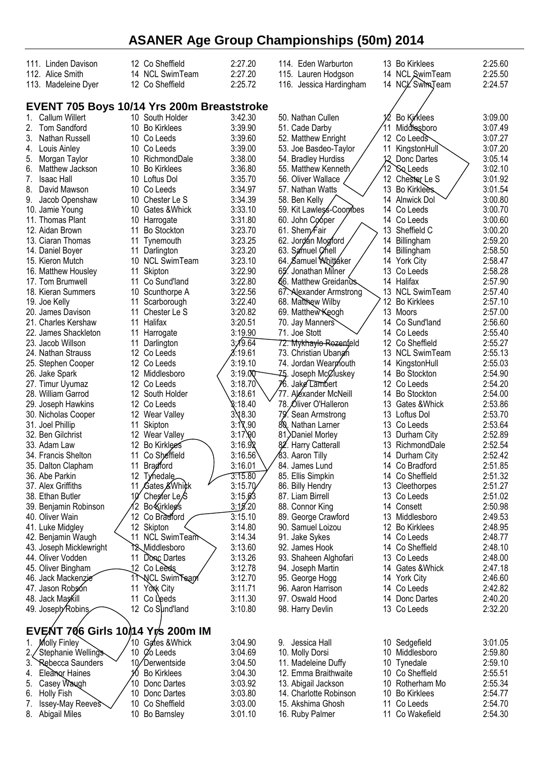| 111. Linden Davison<br>112. Alice Smith<br>113. Madeleine Dyer | 12 Co Sheffield<br>14 NCL SwimTeam<br>12 Co Sheffield | 2:27.20<br>2:27.20<br>2:25.72 | 114. Eden Warburton<br>115. Lauren Hodgson<br>116. Jessica Hardingham |     | 13 Bo Kirklees<br>14 NCL SwimTeam<br>14 NCL Swim Team | 2:25.60<br>2:25.50<br>2:24.57 |
|----------------------------------------------------------------|-------------------------------------------------------|-------------------------------|-----------------------------------------------------------------------|-----|-------------------------------------------------------|-------------------------------|
|                                                                |                                                       |                               |                                                                       |     |                                                       |                               |
|                                                                | EVENT 705 Boys 10/14 Yrs 200m Breaststroke            |                               |                                                                       |     |                                                       |                               |
| Callum Willert<br>1.                                           | 10 South Holder                                       | 3:42.30                       | 50. Nathan Cullen                                                     |     | Bo Kirklees                                           | 3:09.00                       |
| 2.<br>Tom Sandford                                             | 10 Bo Kirklees                                        | 3:39.90                       | 51. Cade Darby                                                        | 11  | Middlesboro                                           | 3:07.49                       |
| Nathan Russell<br>3.                                           | 10 Co Leeds                                           | 3:39.60                       | 52. Matthew Enright                                                   |     | 12 Co Leeds                                           | 3:07.27                       |
| Louis Ainley<br>4.                                             | 10 Co Leeds                                           | 3:39.00                       | 53. Joe Basdeo-Taylor                                                 | 11  | KingstonHull                                          | 3:07.20                       |
| Morgan Taylor<br>5.                                            | 10 RichmondDale                                       | 3:38.00                       | 54. Bradley Hurdiss                                                   |     | Donc Dartes                                           | 3:05.14                       |
| Matthew Jackson<br>6.                                          | 10 Bo Kirklees                                        | 3:36.80                       | 55. Matthew Kenneth,                                                  | 12` | <b><i>So</i></b> Leeds                                | 3:02.10                       |
| 7.<br><b>Isaac Hall</b>                                        | 10 Loftus Dol                                         | 3:35.70                       | 56. Oliver Wallace                                                    |     | 12 Chester Le S                                       | 3:01.92                       |
| 8.<br>David Mawson                                             | 10 Co Leeds                                           | 3:34.97                       | 57. Nathan Watts                                                      |     | 13 Bo Kirklees.                                       | 3:01.54                       |
| 9.<br>Jacob Openshaw                                           | 10 Chester Le S                                       | 3:34.39                       | 58. Ben Kelly                                                         |     | 14 Alnwick Dol                                        | 3:00.80                       |
| 10. Jamie Young                                                | 10 Gates & Whick                                      | 3:33.10                       | 59. Kit Lawless-Coombes                                               |     | 14 Co Leeds                                           | 3:00.70                       |
| 11. Thomas Plant                                               | 10 Harrogate                                          | 3:31.80                       | 60. John Cooper                                                       |     | 14 Co Leeds                                           | 3:00.60                       |
| 12. Aidan Brown                                                | <b>Bo Stockton</b><br>11                              | 3:23.70                       | 61. Shem∕Fair                                                         | 13  | Sheffield C                                           | 3:00.20                       |
| 13. Ciaran Thomas                                              | 11 Tynemouth                                          | 3:23.25                       | 62. Jordán Mogford                                                    | 14  | Billingham                                            | 2:59.20                       |
| 14. Daniel Boyer                                               | 11 Darlington                                         | 3:23.20                       | 63. Samuel Chell                                                      | 14  | Billingham                                            | 2:58.50                       |
| 15. Kieron Mutch                                               | 10 NCL SwimTeam                                       | 3:23.10                       | 64. Samuel Whittaker                                                  |     | 14 York City                                          | 2:58.47                       |
| 16. Matthew Housley                                            | 11<br>Skipton                                         | 3:22.90                       | 65. Jonathan Milner                                                   |     | 13 Co Leeds                                           | 2:58.28                       |
| 17. Tom Brumwell                                               | Co Sund'land<br>11                                    | 3:22.80                       | 66. Matthew Greidanus                                                 |     | 14 Halifax                                            | 2:57.90                       |
| 18. Kieran Summers                                             | 10 Scunthorpe A                                       | 3:22.56                       | 67. Alexander Armstrong                                               |     | 13 NCL SwimTeam                                       | 2:57.40                       |
| 19. Joe Kelly                                                  | Scarborough<br>11                                     | 3:22.40                       | 68. Matthew Wilby                                                     | 12  | <b>Bo Kirklees</b>                                    | 2:57.10                       |
| 20. James Davison                                              | 11 Chester Le S                                       | 3:20.82                       | 69. Matthew Keogh                                                     |     | 13 Moors                                              | 2:57.00                       |
| 21. Charles Kershaw                                            | 11 Halifax                                            | 3:20.51                       | 70. Jay Manners                                                       |     | 14 Co Sund'land                                       | 2:56.60                       |
| 22. James Shackleton                                           | 11 Harrogate                                          | 3:19.90                       | 71. Joe Stott                                                         | 14  | Co Leeds                                              | 2:55.40                       |
| 23. Jacob Willson                                              | Darlington<br>11                                      | 3,19.64                       | 72. M <del>ykhaylo Roze</del> nfeld                                   |     | 12 Co Sheffield                                       | 2:55.27                       |
| 24. Nathan Strauss                                             | 12 Co Leeds                                           | 8:19.61                       | 73. Christian Ubanan                                                  |     | 13 NCL SwimTeam                                       | 2:55.13                       |
| 25. Stephen Cooper                                             | 12 Co Leeds                                           | 3:19.10                       | 74. Jordan Wearmouth                                                  | 14  | KingstonHull                                          | 2:55.03                       |
| 26. Jake Spark                                                 | 12 Middlesboro                                        | 3:19.00                       | Joseph McCluskey<br>75.                                               | 14  | <b>Bo Stockton</b>                                    | 2:54.90                       |
| 27. Timur Uyumaz                                               | 12 Co Leeds                                           | 3:18.70                       | 76. Jake Lambert                                                      |     | 12 Co Leeds                                           | 2:54.20                       |
| 28. William Garrod                                             | 12 South Holder                                       | 3:18.61                       | 77. Aléxander McNeill                                                 | 14  | <b>Bo Stockton</b>                                    | 2:54.00                       |
| 29. Joseph Hawkins                                             | 12 Co Leeds                                           | $\$:18.40$                    | 78. Oliver O'Halleron                                                 | 13. | Gates &Whick                                          | 2:53.86                       |
| 30. Nicholas Cooper                                            | 12 Wear Valley                                        | $3\sqrt{8.30}$                | 79. Sean Armstrong                                                    |     | 13 Loftus Dol                                         | 2:53.70                       |
| 31. Joel Phillip                                               | Skipton<br>11                                         | 3:17.90                       | 80. Nathan Larner                                                     |     | 13 Co Leeds                                           | 2:53.64                       |
| 32. Ben Gilchrist                                              | 12 Wear Valley                                        | 3:17.90                       | 81. Daniel Morley                                                     | 13  | Durham City                                           | 2:52.89                       |
| 33. Adam Law                                                   | 12<br>Bo Kirklees                                     | 3:16.98                       | 82. Harry Catterall                                                   | 13  | RichmondDale                                          | 2:52.54                       |
| 34. Francis Shelton                                            | Co Sheffield<br>11                                    | 3:16.56                       | ∕83. Aaron Tilly                                                      |     | 14 Durham City                                        | 2:52.42                       |
| 35. Dalton Clapham                                             | 11 Bradford                                           | 3:16.01                       | 84. James Lund                                                        |     | 14 Co Bradford                                        | 2:51.85                       |
| 36. Abe Parkin                                                 | 12 Tynedale                                           | 3:15.80                       | 85. Ellis Simpkin                                                     |     | 14 Co Sheffield                                       | 2:51.32                       |
| 37. Alex Griffiths                                             | Gates & Whick<br>11                                   | 3:15.70                       | 86. Billy Hendry                                                      |     | 13 Cleethorpes                                        | 2:51.27                       |
| 38. Ethan Butler                                               | Chester Le <sub>/S</sub>                              | 3:15.63                       | 87. Liam Birrell                                                      |     | 13 Co Leeds                                           | 2:51.02                       |
| 39. Benjamin Robinson                                          | Bo Kirkleg's<br>2                                     | 3:15.20                       | 88. Connor King                                                       |     | 14 Consett                                            | 2:50.98                       |
| 40. Oliver Wain                                                | 12 Co Bradford                                        | 3:15.10                       | 89. George Crawford                                                   |     | 13 Middlesboro                                        | 2:49.53                       |
| 41. Luke Midgley                                               | 12 Skipton                                            | 3:14.80                       | 90. Samuel Loizou                                                     |     | 12 Bo Kirklees                                        | 2:48.95                       |
| 42. Benjamin Waugh                                             | 11<br><b>NCL SwimTeam</b>                             | 3:14.34                       | 91. Jake Sykes                                                        |     | 14 Co Leeds                                           | 2:48.77                       |
| 43. Joseph Micklewright                                        | 12 Middlesboro                                        | 3:13.60                       | 92. James Hook                                                        |     | 14 Co Sheffield                                       | 2:48.10                       |
| 44. Oliver Vodden                                              | 11<br>Donc Dartes                                     | 3:13.26                       | 93. Shaheen Alghofari                                                 |     | 13 Co Leeds                                           | 2:48.00                       |
| 45. Oliver Bingham                                             | 12 Co Leeds                                           | 3:12.78                       | 94. Joseph Martin                                                     |     | 14 Gates & Whick                                      | 2:47.18                       |
| 46. Jack Mackenzie                                             | <b>NCL SwimTeapl</b><br>11                            | 3:12.70                       | 95. George Hogg                                                       |     | 14 York City                                          | 2:46.60                       |
| 47. Jason Robson                                               | York City<br>11                                       | 3:11.71                       | 96. Aaron Harrison                                                    |     | 14 Co Leeds                                           | 2:42.82                       |
| 48. Jack Maskill                                               | 11<br>Co Leeds                                        | 3:11.30                       | 97. Oswald Hood                                                       | 14  | Donc Dartes                                           | 2:40.20                       |
| 49. Joseph/Robins                                              | 12 Co Sund'land                                       | 3:10.80                       | 98. Harry Devlin                                                      |     | 13 Co Leeds                                           | 2:32.20                       |
|                                                                |                                                       |                               |                                                                       |     |                                                       |                               |
|                                                                | EVENT 706 Girls 10/14 Yrs 200m IM                     |                               |                                                                       |     |                                                       |                               |
| $1_{-}$<br>Molly Finley                                        | 10 Gates & Whick                                      | 3:04.90                       | 9. Jessica Hall                                                       |     | 10 Sedgefield                                         | 3:01.05                       |
| Stephanie Wellings                                             | 10 <i>C</i> o Leeds                                   | 3:04.69                       | 10. Molly Dorsi                                                       |     | 10 Middlesboro                                        | 2:59.80                       |
| Rebecca Saunders<br>3.                                         | 10/Derwentside                                        | 3:04.50                       | 11. Madeleine Duffy                                                   |     | 10 Tynedale                                           | 2:59.10                       |
| Eleanor Haines<br>4.                                           | M<br><b>Bo Kirklees</b>                               | 3:04.30                       | 12. Emma Braithwaite                                                  |     | 10 Co Sheffield                                       | 2:55.51                       |
| Casey Waugh<br>5.                                              | 10<br>Donc Dartes                                     | 3:03.92                       | 13. Abigail Jackson                                                   | 10  | Rotherham Mo                                          | 2:55.34                       |
| <b>Holly Fish</b><br>6.                                        | 10 Donc Dartes                                        | 3:03.80                       | 14. Charlotte Robinson                                                | 10  | <b>Bo Kirklees</b>                                    | 2:54.77                       |
| Issey-May Reeves<br>7.                                         | 10 Co Sheffield                                       | 3:03.00                       | 15. Akshima Ghosh                                                     | 11  | Co Leeds                                              | 2:54.70                       |
| 8.<br><b>Abigail Miles</b>                                     | 10 Bo Barnsley                                        | 3:01.10                       | 16. Ruby Palmer                                                       | 11  | Co Wakefield                                          | 2:54.30                       |
|                                                                |                                                       |                               |                                                                       |     |                                                       |                               |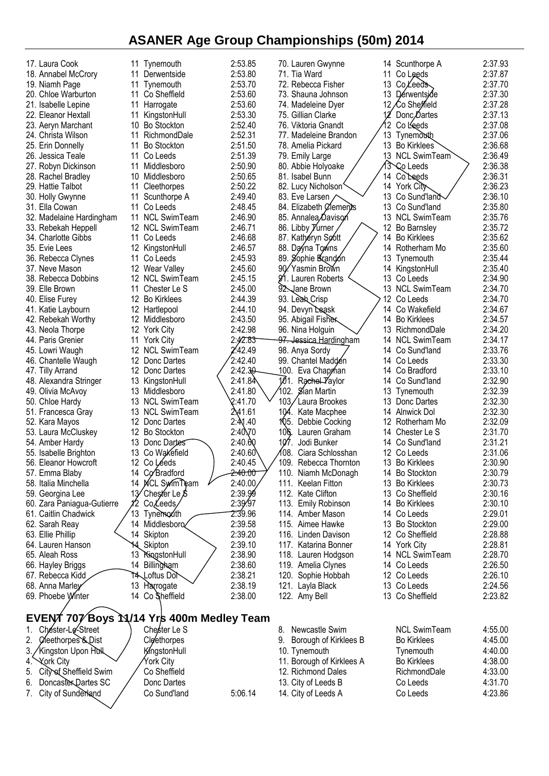| 17. Laura Cook                           | 11 Tynemouth                 | 2:53.85            | 70. Lauren Gwynne           | Scunthorpe A<br>14           | 2:37.93 |
|------------------------------------------|------------------------------|--------------------|-----------------------------|------------------------------|---------|
| 18. Annabel McCrory                      | 11<br>Derwentside            | 2:53.80            | 71. Tia Ward                | Co Leeds<br>11               | 2:37.87 |
| 19. Niamh Page                           | Tynemouth<br>11              | 2:53.70            | 72. Rebecca Fisher          | 13<br>Co Leeds               | 2:37.70 |
| 20. Chloe Warburton                      | Co Sheffield<br>11           | 2:53.60            | 73. Shauna Johnson          | 13 Dérwentside               | 2:37.30 |
| 21. Isabelle Lepine                      | 11<br>Harrogate              | 2:53.60            | 74. Madeleine Dyer          | 12<br>∕Co She <i>ff</i> ield | 2:37.28 |
| 22. Eleanor Hextall                      | 11<br>KingstonHull           | 2:53.30            | 75. Gillian Clarke          | Donc, Dartes                 | 2:37.13 |
| 23. Aeryn Marchant                       | <b>Bo Stockton</b><br>10     | 2:52.40            | 76. Viktoria Gnandt         | 12.<br>Co Leeds              | 2:37.08 |
| 24. Christa Wilson                       | 11<br>RichmondDale           | 2:52.31            | 77. Madeleine Brandon       | 13<br><b>Tynemouth</b>       | 2:37.06 |
| 25. Erin Donnelly                        | <b>Bo Stockton</b><br>11     | 2:51.50            | 78. Amelia Pickard          | 13 Bo Kirklees               | 2:36.68 |
| 26. Jessica Teale                        | Co Leeds<br>11               | 2:51.39            | 79. Emily Large             | 13 NCL SwimTeam              | 2:36.49 |
| 27. Robyn Dickinson                      | Middlesboro<br>11            | 2:50.90            | 80. Abbie Holyoake          | 13<br>Co Leeds               | 2:36.38 |
| 28. Rachel Bradley                       | 10<br>Middlesboro            | 2:50.65            | 81. Isabel Bunn             | Co Leeds<br>14               | 2:36.31 |
| 29. Hattie Talbot                        | 11<br>Cleethorpes            | 2:50.22            | 82. Lucy Nicholson          | 14 York City                 | 2:36.23 |
| 30. Holly Gwynne                         | 11<br>Scunthorpe A           | 2:49.40            | 83. Eve Larsen,             | Co Sund'land<br>13           | 2:36.10 |
| 31. Ella Cowan                           | 11<br>Co Leeds               | 2:48.45            | 84. Elizabeth Clements      | Co Sund'land<br>13           | 2:35.80 |
| 32. Madelaine Hardingham                 | 11 NCL SwimTeam              | 2:46.90            | 85. Annalea Davison         | 13 NCL SwimTeam              | 2:35.76 |
| 33. Rebekah Heppell                      | 12 NCL SwimTeam              | 2:46.71            | 86. Libby <i>Yurner</i>     | 12 Bo Barnsley               | 2:35.72 |
| 34. Charlotte Gibbs                      | 11<br>Co Leeds               | 2:46.68            | 87. Kathéryn Soott          | 14<br><b>Bo Kirklees</b>     | 2:35.62 |
| 35. Evie Lees                            | 12 KingstonHull              | 2:46.57            | 88. Dayna Towns             | 14<br>Rotherham Mo           | 2:35.60 |
| 36. Rebecca Clynes                       | 11<br>Co Leeds               | 2:45.93            | 89. Sophie Brandón          | 13.<br>Tynemouth             | 2:35.44 |
| 37. Neve Mason                           | 12 Wear Valley               | 2:45.60            | 90/Yasmin Brown             | KingstonHull<br>14           | 2:35.40 |
| 38. Rebecca Dobbins                      | 12 NCL SwimTeam              | 2:45.15            | 91.<br>Lauren Roberts       | 13<br>Co Leeds               | 2:34.90 |
| 39. Elle Brown                           | Chester Le S<br>11           | 2:45.00            | 92. Jane Brown              | 13 NCL SwimTeam              | 2:34.70 |
| 40. Elise Furey                          | 12 Bo Kirklees               | 2:44.39            | 93. Leah Crisp              | 12 Co Leeds                  | 2:34.70 |
| 41. Katie Laybourn                       | 12 Hartlepool                | 2:44.10            | 94. Devyn Leask             | Co Wakefield<br>14           | 2:34.67 |
| 42. Rebekah Worthy                       | 12 Middlesboro               | 2:43.50            | 95. Abigail Fisher          | <b>Bo Kirklees</b><br>14     | 2:34.57 |
| 43. Neola Thorpe                         | 12 York City                 | 2:42.98            | 96. Nina Holguin            | RichmondDale<br>13.          | 2:34.20 |
| 44. Paris Grenier                        | 11<br><b>York City</b>       | 2:42.83            | 97. Jessica Hardingham      | <b>NCL SwimTeam</b><br>14    | 2:34.17 |
| 45. Lowri Waugh                          | 12 NCL SwimTeam              | 2.42.49            |                             | Co Sund'land<br>14           | 2:33.76 |
|                                          | 12 Donc Dartes               | 2:42.40            | 98. Anya Sordy              | 14 Co Leeds                  | 2:33.30 |
| 46. Chantelle Waugh                      | 12 Donc Dartes               | 2:42.30            | 99. Chantel Madden          | Co Bradford<br>14            | 2:33.10 |
| 47. Tilly Arrand                         |                              |                    | 100. Eva Chapman            |                              |         |
| 48. Alexandra Stringer                   | 13<br>KingstonHull           | 2:41.84            | 101. Rachel-Taylor          | Co Sund'land<br>14           | 2:32.90 |
| 49. Olivia McAvoy                        | 13 Middlesboro               | 2:41.80            | 102.<br>Sian Martin         | 13<br>Tynemouth              | 2:32.39 |
| 50. Chloe Hardy                          | 13 NCL SwimTeam              | 2:41.70            | 103,<br>Laura Brookes       | 13<br>Donc Dartes            | 2:32.30 |
| 51. Francesca Gray                       | <b>NCL SwimTeam</b><br>13    | 2.41.61            | 104.<br>Kate Macphee        | 14<br>Alnwick Dol            | 2:32.30 |
| 52. Kara Mayos                           | 12 Donc Dartes               | 2:41.40            | 105.<br>Debbie Cocking      | Rotherham Mo<br>12.          | 2:32.09 |
| 53. Laura McCluskey                      | 12 Bo Stockton               | $2:40\times 70$    | Lauren Graham<br>106.       | 14 Chester Le S              | 2:31.70 |
| 54. Amber Hardy                          | 13 Donc Dartes               | 2:40.60            | 107<br>Jodi Bunker          | 14 Co Sund'land              | 2:31.21 |
| 55. Isabelle Brighton                    | Co Wakefield<br>13           | 2:40.60            | 108.<br>Ciara Schlosshan    | 12<br>Co Leeds               | 2:31.06 |
| 56. Eleanor Howcroft                     | 12 Co Léeds                  | 2:40.45            | 109.<br>Rebecca Thornton    | 13 Bo Kirklees               | 2:30.90 |
| 57. Emma Blaby                           | 14 Co Bradford               | <del>2:40.00</del> | 110. Niamh McDonagh         | 14 Bo Stockton               | 2:30.79 |
| 58. Italia Minchella                     | 14 MCL SwimTeam              | 2:40.00            | 111. Keelan Fitton          | 13 Bo Kirklees               | 2:30.73 |
| 59. Georgina Lee                         | 13<br>´Chest⁄er Le <i>\$</i> | 2:39.99            | 112. Kate Clifton           | 13 Co Sheffield              | 2:30.16 |
| 60. Zara Paniagua-Gutierre               | CoLeeds                      | 2:39.97            | 113. Emily Robinson         | 14 Bo Kirklees               | 2:30.10 |
| 61. Caitlin Chadwick                     | 13<br>Tynemouth              | 2:39.96            | 114. Amber Mason            | 14 Co Leeds                  | 2:29.01 |
| 62. Sarah Reay                           | 14 Middlesboro               | 2:39.58            | 115. Aimee Hawke            | 13 Bo Stockton               | 2:29.00 |
| 63. Ellie Phillip                        | 14 Skipton                   | 2:39.20            | 116. Linden Davison         | 12 Co Sheffield              | 2:28.88 |
| 64. Lauren Hanson                        | 14 Skipton                   | 2:39.10            | 117. Katarina Bonner        | 14 York City                 | 2:28.81 |
| 65. Aleah Ross                           | 13 KingstonHull              | 2:38.90            | 118. Lauren Hodgson         | 14 NCL SwimTeam              | 2:28.70 |
| 66. Hayley Briggs                        | 14 Billingham                | 2:38.60            | 119. Amelia Clynes          | 14 Co Leeds                  | 2:26.50 |
| 67. Rebecca Kidd                         | 14\Loftus Dor                | 2:38.21            | 120. Sophie Hobbah          | 12 Co Leeds                  | 2:26.10 |
| 68. Anna Marley                          | 13 Harrogate                 | 2:38.19            | 121. Layla Black            | 13 Co Leeds                  | 2:24.56 |
| 69. Phoebe Winter                        | 14 Co Sheffield              | 2:38.00            | 122. Amy Bell               | 13 Co Sheffield              | 2:23.82 |
|                                          |                              |                    |                             |                              |         |
| EVENT 707 Boys M/14 Yrs 400m Medley Team |                              |                    |                             |                              |         |
| Chester-Le-Street<br>1.                  | Chester Le S                 |                    | Newcastle Swim<br>8.        | <b>NCL SwimTeam</b>          | 4:55.00 |
| 2.<br>Cleethorpes & Dist                 | Cleethorpes                  |                    | Borough of Kirklees B<br>9. | <b>Bo Kirklees</b>           | 4:45.00 |
| 3.                                       |                              |                    |                             |                              |         |
| Kingston Upon Hull                       | KingstonHull                 |                    | 10. Tynemouth               | Tynemouth                    | 4:40.00 |
| <b>Xork City</b><br>4.                   | York City                    |                    | 11. Borough of Kirklees A   | <b>Bo Kirklees</b>           | 4:38.00 |
| 5.<br>City of Sheffield Swim             | Co Sheffield                 |                    | 12. Richmond Dales          | RichmondDale                 | 4:33.00 |
| Doncaster Dartes SC<br>6.                | Donc Dartes                  |                    | 13. City of Leeds B         | Co Leeds                     | 4:31.70 |
| 7. City of Sunderland                    | Co Sund'land                 | 5:06.14            | 14. City of Leeds A         | Co Leeds                     | 4:23.86 |
|                                          |                              |                    |                             |                              |         |